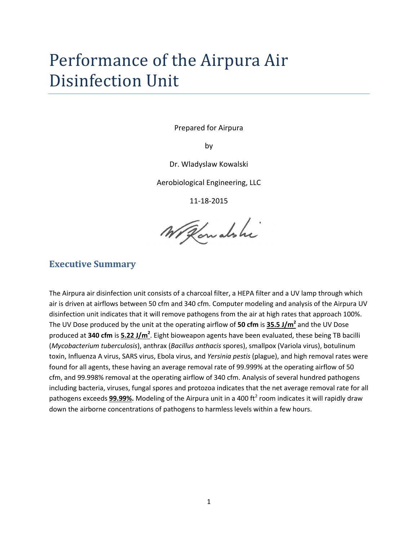# Performance of the Airpura Air Disinfection Unit

Prepared for Airpura

by

Dr. Wladyslaw Kowalski

Aerobiological Engineering, LLC

11-18-2015

Withousland

### **Executive Summary**

The Airpura air disinfection unit consists of a charcoal filter, a HEPA filter and a UV lamp through which air is driven at airflows between 50 cfm and 340 cfm. Computer modeling and analysis of the Airpura UV disinfection unit indicates that it will remove pathogens from the air at high rates that approach 100%. The UV Dose produced by the unit at the operating airflow of **50 cfm** is **35.5 J/m<sup>2</sup>** and the UV Dose produced at **340 cfm** is **5.22 J/m<sup>2</sup>** . Eight bioweapon agents have been evaluated, these being TB bacilli (*Mycobacterium tuberculosis*), anthrax (*Bacillus anthacis* spores), smallpox (Variola virus), botulinum toxin, Influenza A virus, SARS virus, Ebola virus, and *Yersinia pestis* (plague), and high removal rates were found for all agents, these having an average removal rate of 99.999% at the operating airflow of 50 cfm, and 99.998% removal at the operating airflow of 340 cfm. Analysis of several hundred pathogens including bacteria, viruses, fungal spores and protozoa indicates that the net average removal rate for all pathogens exceeds **99.99%.** Modeling of the Airpura unit in a 400 ft<sup>2</sup> room indicates it will rapidly draw down the airborne concentrations of pathogens to harmless levels within a few hours.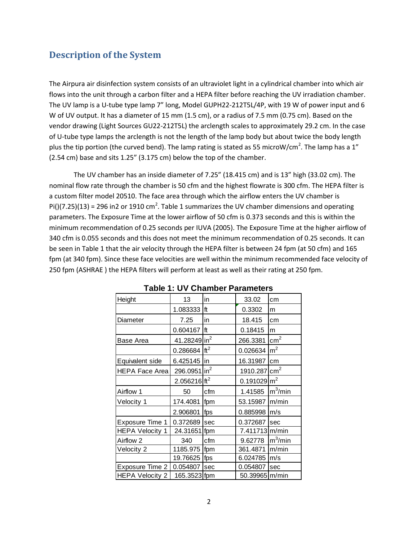# **Description of the System**

The Airpura air disinfection system consists of an ultraviolet light in a cylindrical chamber into which air flows into the unit through a carbon filter and a HEPA filter before reaching the UV irradiation chamber. The UV lamp is a U-tube type lamp 7" long, Model GUPH22-212T5L/4P, with 19 W of power input and 6 W of UV output. It has a diameter of 15 mm (1.5 cm), or a radius of 7.5 mm (0.75 cm). Based on the vendor drawing (Light Sources GU22-212T5L) the arclength scales to approximately 29.2 cm. In the case of U-tube type lamps the arclength is not the length of the lamp body but about twice the body length plus the tip portion (the curved bend). The lamp rating is stated as 55 microW/cm<sup>2</sup>. The lamp has a 1" (2.54 cm) base and sits 1.25" (3.175 cm) below the top of the chamber.

The UV chamber has an inside diameter of 7.25" (18.415 cm) and is 13" high (33.02 cm). The nominal flow rate through the chamber is 50 cfm and the highest flowrate is 300 cfm. The HEPA filter is a custom filter model 20510. The face area through which the airflow enters the UV chamber is Pi()(7.25)(13) = 296 in2 or 1910 cm<sup>2</sup>. Table 1 summarizes the UV chamber dimensions and operating parameters. The Exposure Time at the lower airflow of 50 cfm is 0.373 seconds and this is within the minimum recommendation of 0.25 seconds per IUVA (2005). The Exposure Time at the higher airflow of 340 cfm is 0.055 seconds and this does not meet the minimum recommendation of 0.25 seconds. It can be seen in Table 1 that the air velocity through the HEPA filter is between 24 fpm (at 50 cfm) and 165 fpm (at 340 fpm). Since these face velocities are well within the minimum recommended face velocity of 250 fpm (ASHRAE ) the HEPA filters will perform at least as well as their rating at 250 fpm.

| <b>Table 1: UV Chamber Parameters</b> |                          |                 |                          |                |  |  |  |  |  |  |
|---------------------------------------|--------------------------|-----------------|--------------------------|----------------|--|--|--|--|--|--|
| Height                                | 13                       | in              | 33.02                    | cm             |  |  |  |  |  |  |
|                                       | 1.083333                 | ft              | 0.3302                   | m              |  |  |  |  |  |  |
| Diameter                              | 7.25                     | in              | 18.415                   | cm             |  |  |  |  |  |  |
|                                       | 0.604167                 | ft              | 0.18415                  | m              |  |  |  |  |  |  |
| Base Area                             | 41.28249 in <sup>2</sup> |                 | 266.3381                 | $\text{cm}^2$  |  |  |  |  |  |  |
|                                       | 0.286684                 | ft <sup>2</sup> | 0.026634                 | m <sup>2</sup> |  |  |  |  |  |  |
| Equivalent side                       | 6.425145                 | lin             | 16.31987                 | cm             |  |  |  |  |  |  |
| <b>HEPA Face Area</b>                 | 296.0951 in <sup>2</sup> |                 | 1910.287                 | $\text{cm}^2$  |  |  |  |  |  |  |
|                                       | 2.056216 ft <sup>2</sup> |                 | $0.191029 \, \text{m}^2$ |                |  |  |  |  |  |  |
| Airflow 1                             | 50                       | cfm             | 1.41585                  | $m^3/m$ in     |  |  |  |  |  |  |
| Velocity 1                            | 174.4081                 | fpm             | 53.15987                 | m/min          |  |  |  |  |  |  |
|                                       | 2.906801                 | fps             | 0.885998                 | m/s            |  |  |  |  |  |  |
| Exposure Time 1                       | 0.372689                 | sec             | 0.372687                 | sec            |  |  |  |  |  |  |
| <b>HEPA Velocity 1</b>                | 24.31651                 | fpm             | 7.411713 m/min           |                |  |  |  |  |  |  |
| Airflow 2                             | 340                      | cfm             | 9.62778                  | $m^3/m$ in     |  |  |  |  |  |  |
| Velocity 2                            | 1185.975                 | fpm             | 361.4871                 | m/min          |  |  |  |  |  |  |
|                                       | 19.76625                 | fps             | 6.024785                 | m/s            |  |  |  |  |  |  |
| Exposure Time 2                       | 0.054807                 | sec             | 0.054807                 | sec            |  |  |  |  |  |  |
| <b>HEPA Velocity 2</b>                | 165.3523 fpm             |                 | 50.39965 m/min           |                |  |  |  |  |  |  |

|  |  | <b>Table 1: UV Chamber Parameters</b> |
|--|--|---------------------------------------|
|--|--|---------------------------------------|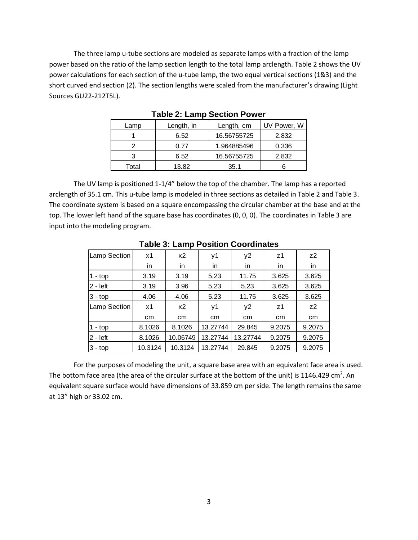The three lamp u-tube sections are modeled as separate lamps with a fraction of the lamp power based on the ratio of the lamp section length to the total lamp arclength. Table 2 shows the UV power calculations for each section of the u-tube lamp, the two equal vertical sections (1&3) and the short curved end section (2). The section lengths were scaled from the manufacturer's drawing (Light Sources GU22-212T5L).

| Lamp  | Length, in<br>Length, cm |             | UV Power, W |
|-------|--------------------------|-------------|-------------|
|       | 6.52                     | 16.56755725 | 2.832       |
|       | 0.77                     | 1.964885496 | 0.336       |
| 2     | 6.52                     | 16.56755725 | 2.832       |
| Total | 13.82                    | 35.1        |             |

**Table 2: Lamp Section Power**

The UV lamp is positioned 1-1/4" below the top of the chamber. The lamp has a reported arclength of 35.1 cm. This u-tube lamp is modeled in three sections as detailed in Table 2 and Table 3. The coordinate system is based on a square encompassing the circular chamber at the base and at the top. The lower left hand of the square base has coordinates (0, 0, 0). The coordinates in Table 3 are input into the modeling program.

| <b>Table 3: Lamp Position Coordinates</b> |          |          |                            |                |                |                |  |  |  |  |  |  |  |
|-------------------------------------------|----------|----------|----------------------------|----------------|----------------|----------------|--|--|--|--|--|--|--|
| Lamp Section                              | x1       | x2       | z <sub>1</sub><br>у2<br>у1 |                |                |                |  |  |  |  |  |  |  |
|                                           | in       | in       | in                         | in             | in             | in             |  |  |  |  |  |  |  |
| 1 - top                                   | 3.19     | 3.19     | 5.23                       | 11.75          | 3.625          | 3.625          |  |  |  |  |  |  |  |
| $2 - left$                                | 3.19     | 3.96     | 5.23                       | 3.625          | 3.625          |                |  |  |  |  |  |  |  |
| $3 - top$                                 | 4.06     | 4.06     | 5.23                       | 11.75<br>3.625 |                | 3.625          |  |  |  |  |  |  |  |
| Lamp Section                              | x1       | x2       | у1                         | y2             | z <sub>1</sub> | Z <sup>2</sup> |  |  |  |  |  |  |  |
|                                           | cm<br>cm |          | cm                         | cm             |                | cm             |  |  |  |  |  |  |  |
| $1 - top$                                 | 8.1026   | 8.1026   | 13.27744                   | 29.845         | 9.2075         | 9.2075         |  |  |  |  |  |  |  |
| $2 - left$                                | 8.1026   | 10.06749 | 13.27744                   | 13.27744       | 9.2075         | 9.2075         |  |  |  |  |  |  |  |
| $3 - top$                                 | 10.3124  | 10.3124  | 13.27744                   | 29.845         | 9.2075         | 9.2075         |  |  |  |  |  |  |  |

**Table 3: Lamp Position Coordinates**

For the purposes of modeling the unit, a square base area with an equivalent face area is used. The bottom face area (the area of the circular surface at the bottom of the unit) is 1146.429 cm<sup>2</sup>. An equivalent square surface would have dimensions of 33.859 cm per side. The length remains the same at 13" high or 33.02 cm.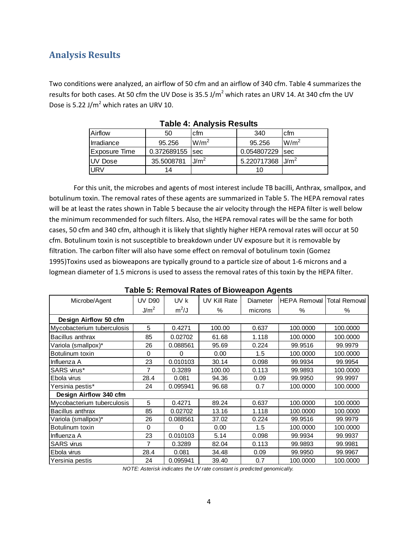# **Analysis Results**

Two conditions were analyzed, an airflow of 50 cfm and an airflow of 340 cfm. Table 4 summarizes the results for both cases. At 50 cfm the UV Dose is 35.5 J/m<sup>2</sup> which rates an URV 14. At 340 cfm the UV Dose is 5.22 J/ $m^2$  which rates an URV 10.

| Airflow        | 50          | cfm              | 340         | cfm              |
|----------------|-------------|------------------|-------------|------------------|
| Irradiance     | 95.256      | W/m <sup>2</sup> | 95.256      | $W/m^2$          |
| Exposure Time  | 0.372689155 | sec              | 0.054807229 | <b>Isec</b>      |
| <b>UV Dose</b> | 35.5008781  | J/m <sup>2</sup> | 5.220717368 | J/m <sup>2</sup> |
| <b>URV</b>     | 14          |                  | 10          |                  |

**Table 4: Analysis Results**

For this unit, the microbes and agents of most interest include TB bacilli, Anthrax, smallpox, and botulinum toxin. The removal rates of these agents are summarized in Table 5. The HEPA removal rates will be at least the rates shown in Table 5 because the air velocity through the HEPA filter is well below the minimum recommended for such filters. Also, the HEPA removal rates will be the same for both cases, 50 cfm and 340 cfm, although it is likely that slightly higher HEPA removal rates will occur at 50 cfm. Botulinum toxin is not susceptible to breakdown under UV exposure but it is removable by filtration. The carbon filter will also have some effect on removal of botulinum toxin (Gomez 1995)Toxins used as bioweapons are typically ground to a particle size of about 1-6 microns and a logmean diameter of 1.5 microns is used to assess the removal rates of this toxin by the HEPA filter.

| <b>Table 5: Removal Rates of Bioweapon Agents</b> |                  |          |                     |          |                     |                      |  |  |  |  |  |  |
|---------------------------------------------------|------------------|----------|---------------------|----------|---------------------|----------------------|--|--|--|--|--|--|
| Microbe/Agent                                     | <b>UV D90</b>    | UV k     | <b>UV Kill Rate</b> | Diameter | <b>HEPA Removal</b> | <b>Total Removal</b> |  |  |  |  |  |  |
|                                                   | J/m <sup>2</sup> | $m^2/J$  | $\%$                | microns  | $\%$                | $\%$                 |  |  |  |  |  |  |
| Design Airflow 50 cfm                             |                  |          |                     |          |                     |                      |  |  |  |  |  |  |
| Mycobacterium tuberculosis                        | 5                | 0.4271   | 100.00              | 0.637    | 100.0000            | 100.0000             |  |  |  |  |  |  |
| Bacillus anthrax                                  | 85               | 0.02702  | 61.68               | 1.118    | 100.0000            | 100.0000             |  |  |  |  |  |  |
| Variola (smallpox)*                               | 26               | 0.088561 | 95.69               | 0.224    | 99.9516             | 99.9979              |  |  |  |  |  |  |
| Botulinum toxin                                   | 0                | 0        | 0.00                | 1.5      | 100.0000            | 100.0000             |  |  |  |  |  |  |
| Influenza A                                       | 23               | 0.010103 | 30.14               | 0.098    | 99.9934             | 99.9954              |  |  |  |  |  |  |
| SARS virus*                                       | 7                | 0.3289   | 100.00              | 0.113    | 99.9893             | 100.0000             |  |  |  |  |  |  |
| Ebola virus                                       | 28.4             | 0.081    | 94.36               | 0.09     | 99.9950             | 99.9997              |  |  |  |  |  |  |
| Yersinia pestis*                                  | 24               | 0.095941 | 96.68               | 0.7      | 100.0000            | 100,0000             |  |  |  |  |  |  |
| Design Airflow 340 cfm                            |                  |          |                     |          |                     |                      |  |  |  |  |  |  |
| Mycobacterium tuberculosis                        | 5                | 0.4271   | 89.24               | 0.637    | 100.0000            | 100.0000             |  |  |  |  |  |  |
| Bacillus anthrax                                  | 85               | 0.02702  | 13.16               | 1.118    | 100.0000            | 100.0000             |  |  |  |  |  |  |
| Variola (smallpox)*                               | 26               | 0.088561 | 37.02               | 0.224    | 99.9516             | 99.9979              |  |  |  |  |  |  |
| Botulinum toxin                                   | 0                | $\Omega$ | 0.00                | 1.5      | 100.0000            | 100.0000             |  |  |  |  |  |  |
| Influenza A                                       | 23               | 0.010103 | 5.14                | 0.098    | 99.9934             | 99.9937              |  |  |  |  |  |  |
| <b>SARS</b> virus                                 | 7                | 0.3289   | 82.04               | 0.113    | 99.9893             | 99.9981              |  |  |  |  |  |  |
| Ebola virus                                       | 28.4             | 0.081    | 34.48               | 0.09     | 99.9950             | 99.9967              |  |  |  |  |  |  |
| Yersinia pestis                                   | 24               | 0.095941 | 39.40               | 0.7      | 100.0000            | 100.0000             |  |  |  |  |  |  |

| Table 5: Removal Rates of Bioweapon Agents |  |  |
|--------------------------------------------|--|--|
|--------------------------------------------|--|--|

*NOTE: Asterisk indicates the UV rate constant is predicted genomically.*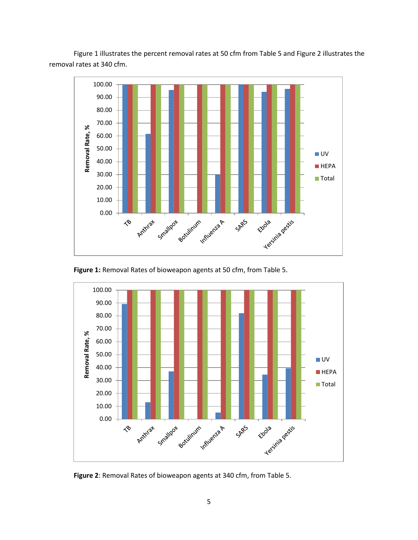Figure 1 illustrates the percent removal rates at 50 cfm from Table 5 and Figure 2 illustrates the removal rates at 340 cfm.





**Figure 1:** Removal Rates of bioweapon agents at 50 cfm, from Table 5.



5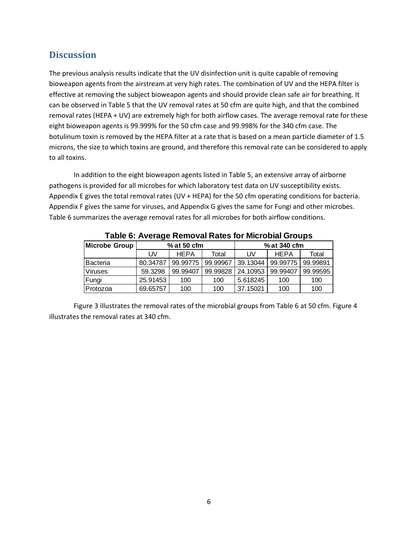# **Discussion**

The previous analysis results indicate that the UV disinfection unit is quite capable of removing bioweapon agents from the airstream at very high rates. The combination of UV and the HEPA filter is effective at removing the subject bioweapon agents and should provide clean safe air for breathing. It can be observed in Table 5 that the UV removal rates at 50 cfm are quite high, and that the combined removal rates (HEPA + UV) are extremely high for both airflow cases. The average removal rate for these eight bioweapon agents is 99.999% for the 50 cfm case and 99.998% for the 340 cfm case. The botulinum toxin is removed by the HEPA filter at a rate that is based on a mean particle diameter of 1.5 microns, the size to which toxins are ground, and therefore this removal rate can be considered to apply to all toxins.

In addition to the eight bioweapon agents listed in Table 5, an extensive array of airborne pathogens is provided for all microbes for which laboratory test data on UV susceptibility exists. Appendix E gives the total removal rates (UV + HEPA) for the 50 cfm operating conditions for bacteria. Appendix F gives the same for viruses, and Appendix G gives the same for Fungi and other microbes. Table 6 summarizes the average removal rates for all microbes for both airflow conditions.

| Table 0. Arclage Itempral Rates for Improvial Ordinas |          |             |          |              |             |          |  |  |  |  |  |  |
|-------------------------------------------------------|----------|-------------|----------|--------------|-------------|----------|--|--|--|--|--|--|
| Microbe Group                                         |          | % at 50 cfm |          | % at 340 cfm |             |          |  |  |  |  |  |  |
|                                                       | UV       | <b>HEPA</b> | Total    | UV           | <b>HEPA</b> | Total    |  |  |  |  |  |  |
| Bacteria                                              | 80.34787 | 99.99775    | 99.99967 | 39.13044     | 99.99775    | 99.99891 |  |  |  |  |  |  |
| <b>Viruses</b>                                        | 59.3298  | 99.99407    | 99.99828 | 24.10953     | 99.99407    | 99.99595 |  |  |  |  |  |  |
| Fungi                                                 | 25.91453 | 100         | 100      | 5.618245     | 100         | 100      |  |  |  |  |  |  |
| Protozoa                                              | 69.65757 | 100         | 100      | 37.15021     | 100         | 100      |  |  |  |  |  |  |

**Table 6: Average Removal Rates for Microbial Groups**

Figure 3 illustrates the removal rates of the microbial groups from Table 6 at 50 cfm. Figure 4 illustrates the removal rates at 340 cfm.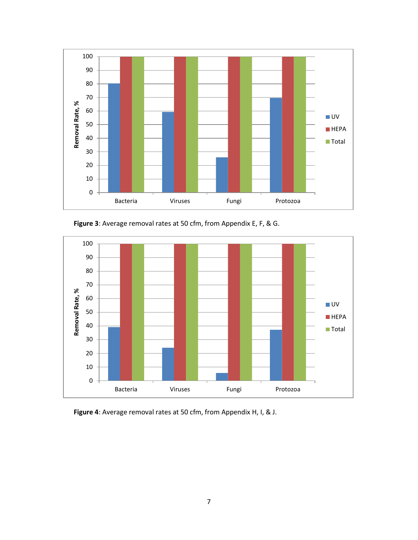

**Figure 3**: Average removal rates at 50 cfm, from Appendix E, F, & G.



**Figure 4**: Average removal rates at 50 cfm, from Appendix H, I, & J.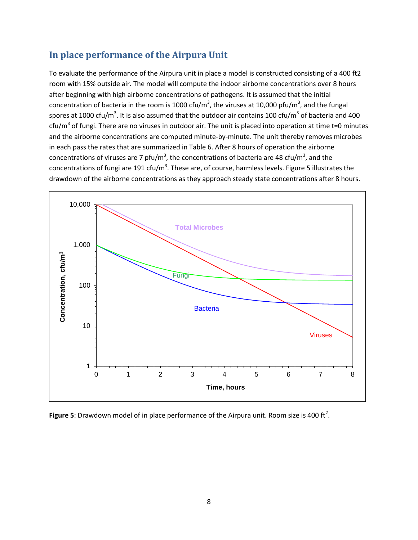# **In place performance of the Airpura Unit**

To evaluate the performance of the Airpura unit in place a model is constructed consisting of a 400 ft2 room with 15% outside air. The model will compute the indoor airborne concentrations over 8 hours after beginning with high airborne concentrations of pathogens. It is assumed that the initial concentration of bacteria in the room is 1000 cfu/m<sup>3</sup>, the viruses at 10,000 pfu/m<sup>3</sup>, and the fungal spores at 1000 cfu/m<sup>3</sup>. It is also assumed that the outdoor air contains 100 cfu/m<sup>3</sup> of bacteria and 400 cfu/m<sup>3</sup> of fungi. There are no viruses in outdoor air. The unit is placed into operation at time t=0 minutes and the airborne concentrations are computed minute-by-minute. The unit thereby removes microbes in each pass the rates that are summarized in Table 6. After 8 hours of operation the airborne concentrations of viruses are 7 pfu/m<sup>3</sup>, the concentrations of bacteria are 48 cfu/m<sup>3</sup>, and the concentrations of fungi are 191 cfu/m<sup>3</sup>. These are, of course, harmless levels. Figure 5 illustrates the drawdown of the airborne concentrations as they approach steady state concentrations after 8 hours.



**Figure 5**: Drawdown model of in place performance of the Airpura unit. Room size is 400 ft<sup>2</sup>.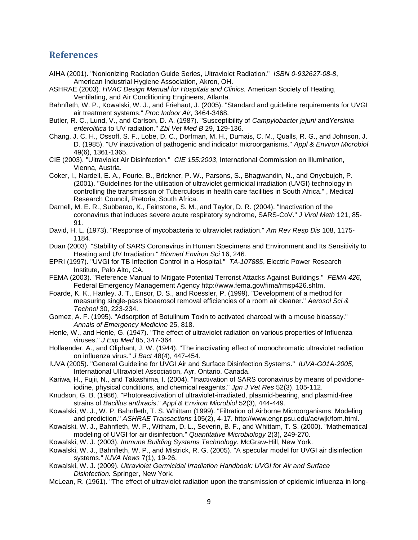### **References**

- AIHA (2001). "Nonionizing Radiation Guide Series, Ultraviolet Radiation." *ISBN 0-932627-08-8*, American Industrial Hygiene Association, Akron, OH.
- ASHRAE (2003). *HVAC Design Manual for Hospitals and Clinics.* American Society of Heating, Ventilating, and Air Conditioning Engineers, Atlanta.
- Bahnfleth, W. P., Kowalski, W. J., and Friehaut, J. (2005). "Standard and guideline requirements for UVGI air treatment systems." *Proc Indoor Air*, 3464-3468.
- Butler, R. C., Lund, V., and Carlson, D. A. (1987). "Susceptibility of *Campylobacter jejuni* and*Yersinia enterolitica* to UV radiation." *Zbl Vet Med B* 29, 129-136.
- Chang, J. C. H., Ossoff, S. F., Lobe, D. C., Dorfman, M. H., Dumais, C. M., Qualls, R. G., and Johnson, J. D. (1985). "UV inactivation of pathogenic and indicator microorganisms." *Appl & Environ Microbiol* 49(6), 1361-1365.
- CIE (2003). "Ultraviolet Air Disinfection." *CIE 155:2003*, International Commission on Illumination, Vienna, Austria.
- Coker, I., Nardell, E. A., Fourie, B., Brickner, P. W., Parsons, S., Bhagwandin, N., and Onyebujoh, P. (2001). "Guidelines for the utilisation of ultraviolet germicidal irradiation (UVGI) technology in controlling the transmission of Tuberculosis in health care facilities in South Africa." , Medical Research Council, Pretoria, South Africa.
- Darnell, M. E. R., Subbarao, K., Feinstone, S. M., and Taylor, D. R. (2004). "Inactivation of the coronavirus that induces severe acute respiratory syndrome, SARS-CoV." *J Virol Meth* 121, 85- 91.
- David, H. L. (1973). "Response of mycobacteria to ultraviolet radiation." *Am Rev Resp Dis* 108, 1175- 1184.
- Duan (2003). "Stability of SARS Coronavirus in Human Specimens and Environment and Its Sensitivity to Heating and UV Irradiation." *Biomed Environ Sci* 16, 246.
- EPRI (1997). "UVGI for TB Infection Control in a Hospital." *TA-107885*, Electric Power Research Institute, Palo Alto, CA.
- FEMA (2003). "Reference Manual to Mitigate Potential Terrorist Attacks Against Buildings." *FEMA 426*, Federal Emergency Management Agency http://www.fema.gov/fima/rmsp426.shtm.
- Foarde, K. K., Hanley, J. T., Ensor, D. S., and Roessler, P. (1999). "Development of a method for measuring single-pass bioaerosol removal efficiencies of a room air cleaner." *Aerosol Sci & Technol* 30, 223-234.
- Gomez, A. F. (1995). "Adsorption of Botulinum Toxin to activated charcoal with a mouse bioassay." *Annals of Emergency Medicine* 25, 818.
- Henle, W., and Henle, G. (1947). "The effect of ultraviolet radiation on various properties of Influenza viruses." *J Exp Med* 85, 347-364.
- Hollaender, A., and Oliphant, J. W. (1944). "The inactivating effect of monochromatic ultraviolet radiation on influenza virus." *J Bact* 48(4), 447-454.
- IUVA (2005). "General Guideline for UVGI Air and Surface Disinfection Systems." *IUVA-G01A-2005*, International Ultraviolet Association, Ayr, Ontario, Canada.
- Kariwa, H., Fujii, N., and Takashima, I. (2004). "Inactivation of SARS coronavirus by means of povidoneiodine, physical conditions, and chemical reagents." *Jpn J Vet Res* 52(3), 105-112.
- Knudson, G. B. (1986). "Photoreactivation of ultraviolet-irradiated, plasmid-bearing, and plasmid-free strains of *Bacillus anthracis*." *Appl & Environ Microbiol* 52(3), 444-449.
- Kowalski, W. J., W. P. Bahnfleth, T. S. Whittam (1999). "Filtration of Airborne Microorganisms: Modeling and prediction." *ASHRAE Transactions* 105(2), 4-17. http://www.engr.psu.edu/ae/wjk/fom.html.
- Kowalski, W. J., Bahnfleth, W. P., Witham, D. L., Severin, B. F., and Whittam, T. S. (2000). "Mathematical modeling of UVGI for air disinfection." *Quantitative Microbiology* 2(3), 249-270.
- Kowalski, W. J. (2003). *Immune Building Systems Technology.* McGraw-Hill, New York.
- Kowalski, W. J., Bahnfleth, W. P., and Mistrick, R. G. (2005). "A specular model for UVGI air disinfection systems." *IUVA News* 7(1), 19-26.
- Kowalski, W. J. (2009). *Ultraviolet Germicidal Irradiation Handbook: UVGI for Air and Surface Disinfection.* Springer, New York.
- McLean, R. (1961). "The effect of ultraviolet radiation upon the transmission of epidemic influenza in long-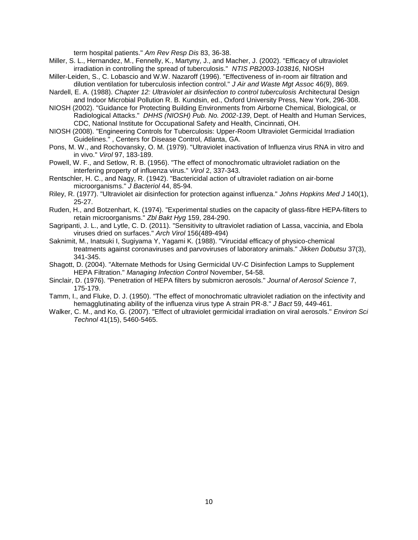term hospital patients." *Am Rev Resp Dis* 83, 36-38.

- Miller, S. L., Hernandez, M., Fennelly, K., Martyny, J., and Macher, J. (2002). "Efficacy of ultraviolet irradiation in controlling the spread of tuberculosis." *NTIS PB2003-103816*, NIOSH
- Miller-Leiden, S., C. Lobascio and W.W. Nazaroff (1996). "Effectiveness of in-room air filtration and dilution ventilation for tuberculosis infection control." *J Air and Waste Mgt Assoc* 46(9), 869.
- Nardell, E. A. (1988). *Chapter 12: Ultraviolet air disinfection to control tuberculosis* Architectural Design and Indoor Microbial Pollution R. B. Kundsin, ed., Oxford University Press, New York, 296-308.
- NIOSH (2002). "Guidance for Protecting Building Environments from Airborne Chemical, Biological, or Radiological Attacks." *DHHS (NIOSH) Pub. No. 2002-139*, Dept. of Health and Human Services, CDC, National Institute for Occupational Safety and Health, Cincinnati, OH.
- NIOSH (2008). "Engineering Controls for Tuberculosis: Upper-Room Ultraviolet Germicidal Irradiation Guidelines." , Centers for Disease Control, Atlanta, GA.
- Pons, M. W., and Rochovansky, O. M. (1979). "Ultraviolet inactivation of Influenza virus RNA in vitro and in vivo." *Virol* 97, 183-189.
- Powell, W. F., and Setlow, R. B. (1956). "The effect of monochromatic ultraviolet radiation on the interfering property of influenza virus." *Virol* 2, 337-343.
- Rentschler, H. C., and Nagy, R. (1942). "Bactericidal action of ultraviolet radiation on air-borne microorganisms." *J Bacteriol* 44, 85-94.
- Riley, R. (1977). "Ultraviolet air disinfection for protection against influenza." *Johns Hopkins Med J* 140(1), 25-27.
- Ruden, H., and Botzenhart, K. (1974). "Experimental studies on the capacity of glass-fibre HEPA-filters to retain microorganisms." *Zbl Bakt Hyg* 159, 284-290.
- Sagripanti, J. L., and Lytle, C. D. (2011). "Sensitivity to ultraviolet radiation of Lassa, vaccinia, and Ebola viruses dried on surfaces." *Arch Virol* 156(489-494)
- Saknimit, M., Inatsuki I, Sugiyama Y, Yagami K. (1988). "Virucidal efficacy of physico-chemical treatments against coronaviruses and parvoviruses of laboratory animals." *Jikken Dobutsu* 37(3), 341-345.
- Shagott, D. (2004). "Alternate Methods for Using Germicidal UV-C Disinfection Lamps to Supplement HEPA Filtration." *Managing Infection Control* November, 54-58.
- Sinclair, D. (1976). "Penetration of HEPA filters by submicron aerosols." *Journal of Aerosol Science* 7, 175-179.
- Tamm, I., and Fluke, D. J. (1950). "The effect of monochromatic ultraviolet radiation on the infectivity and hemagglutinating ability of the influenza virus type A strain PR-8." *J Bact* 59, 449-461.
- Walker, C. M., and Ko, G. (2007). "Effect of ultraviolet germicidal irradiation on viral aerosols." *Environ Sci Technol* 41(15), 5460-5465.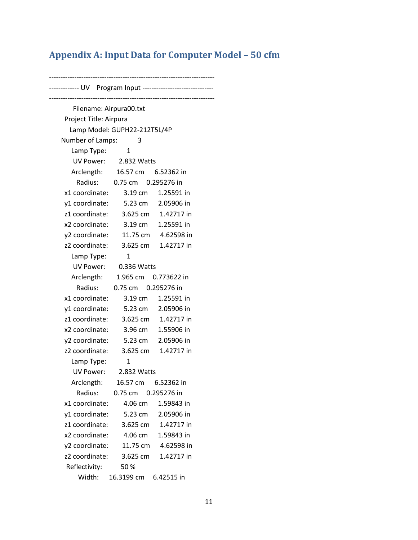# **Appendix A: Input Data for Computer Model – 50 cfm**

------------------------------------------------------------------------ ------------- UV Program Input ------------------------------------------------------------------------------------------------------- Filename: Airpura00.txt Project Title: Airpura Lamp Model: GUPH22-212T5L/4P Number of Lamps: 3 Lamp Type: 1 UV Power: 2.832 Watts Arclength: 16.57 cm 6.52362 in Radius: 0.75 cm 0.295276 in x1 coordinate: 3.19 cm 1.25591 in y1 coordinate: 5.23 cm 2.05906 in z1 coordinate: 3.625 cm 1.42717 in x2 coordinate: 3.19 cm 1.25591 in y2 coordinate: 11.75 cm 4.62598 in z2 coordinate: 3.625 cm 1.42717 in Lamp Type: 1 UV Power: 0.336 Watts Arclength: 1.965 cm 0.773622 in Radius: 0.75 cm 0.295276 in x1 coordinate: 3.19 cm 1.25591 in y1 coordinate: 5.23 cm 2.05906 in z1 coordinate: 3.625 cm 1.42717 in x2 coordinate: 3.96 cm 1.55906 in y2 coordinate: 5.23 cm 2.05906 in z2 coordinate: 3.625 cm 1.42717 in Lamp Type: 1 UV Power: 2.832 Watts Arclength: 16.57 cm 6.52362 in Radius: 0.75 cm 0.295276 in x1 coordinate: 4.06 cm 1.59843 in y1 coordinate: 5.23 cm 2.05906 in z1 coordinate: 3.625 cm 1.42717 in x2 coordinate: 4.06 cm 1.59843 in y2 coordinate: 11.75 cm 4.62598 in z2 coordinate: 3.625 cm 1.42717 in Reflectivity: 50 % Width: 16.3199 cm 6.42515 in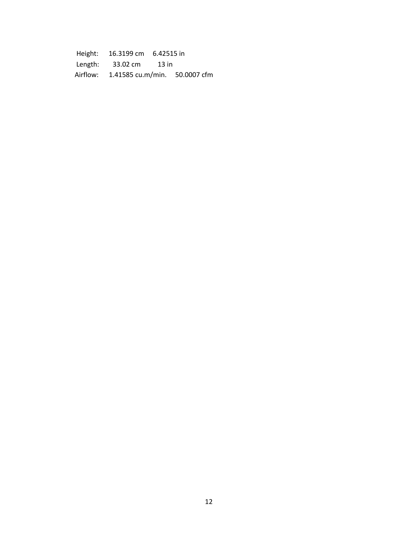Height: 16.3199 cm 6.42515 in Length: 33.02 cm 13 in Airflow: 1.41585 cu.m/min. 50.0007 cfm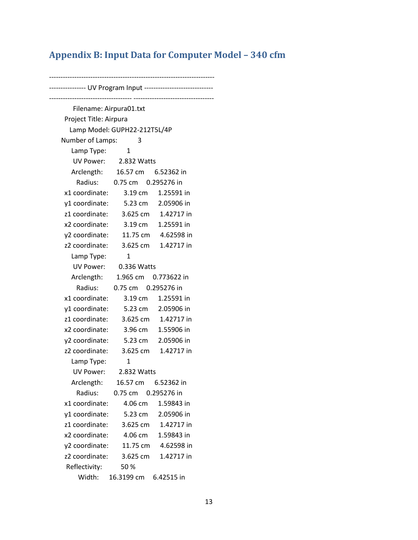# **Appendix B: Input Data for Computer Model – 340 cfm**

------------------------------------------------------------------------ ---------------- UV Program Input ------------------------------------------------------------------ ----------------------------------- Filename: Airpura01.txt Project Title: Airpura Lamp Model: GUPH22-212T5L/4P Number of Lamps: 3 Lamp Type: 1 UV Power: 2.832 Watts Arclength: 16.57 cm 6.52362 in Radius: 0.75 cm 0.295276 in x1 coordinate: 3.19 cm 1.25591 in y1 coordinate: 5.23 cm 2.05906 in z1 coordinate: 3.625 cm 1.42717 in x2 coordinate: 3.19 cm 1.25591 in y2 coordinate: 11.75 cm 4.62598 in z2 coordinate: 3.625 cm 1.42717 in Lamp Type: 1 UV Power: 0.336 Watts Arclength: 1.965 cm 0.773622 in Radius: 0.75 cm 0.295276 in x1 coordinate: 3.19 cm 1.25591 in y1 coordinate: 5.23 cm 2.05906 in z1 coordinate: 3.625 cm 1.42717 in x2 coordinate: 3.96 cm 1.55906 in y2 coordinate: 5.23 cm 2.05906 in z2 coordinate: 3.625 cm 1.42717 in Lamp Type: 1 UV Power: 2.832 Watts Arclength: 16.57 cm 6.52362 in Radius: 0.75 cm 0.295276 in x1 coordinate: 4.06 cm 1.59843 in y1 coordinate: 5.23 cm 2.05906 in z1 coordinate: 3.625 cm 1.42717 in x2 coordinate: 4.06 cm 1.59843 in y2 coordinate: 11.75 cm 4.62598 in z2 coordinate: 3.625 cm 1.42717 in Reflectivity: 50 % Width: 16.3199 cm 6.42515 in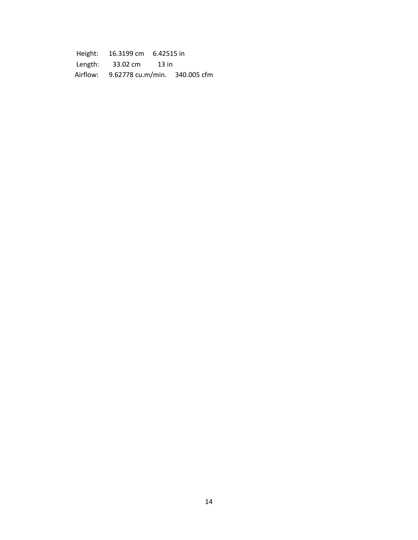Height: 16.3199 cm 6.42515 in Length: 33.02 cm 13 in Airflow: 9.62778 cu.m/min. 340.005 cfm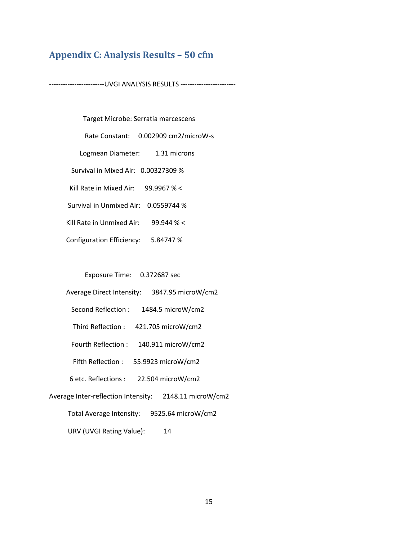# **Appendix C: Analysis Results – 50 cfm**

------------------------UVGI ANALYSIS RESULTS ------------------------

 Target Microbe: Serratia marcescens Rate Constant: 0.002909 cm2/microW-s Logmean Diameter: 1.31 microns Survival in Mixed Air: 0.00327309 % Kill Rate in Mixed Air: 99.9967 % < Survival in Unmixed Air: 0.0559744 % Kill Rate in Unmixed Air: 99.944 % < Configuration Efficiency: 5.84747 %

Exposure Time: 0.372687 sec

Average Direct Intensity: 3847.95 microW/cm2

- Second Reflection : 1484.5 microW/cm2
- Third Reflection : 421.705 microW/cm2
- Fourth Reflection : 140.911 microW/cm2
- Fifth Reflection : 55.9923 microW/cm2
- 6 etc. Reflections : 22.504 microW/cm2
- Average Inter-reflection Intensity: 2148.11 microW/cm2
	- Total Average Intensity: 9525.64 microW/cm2
	- URV (UVGI Rating Value): 14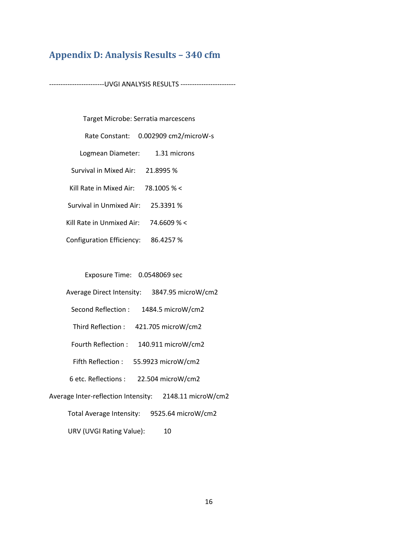## **Appendix D: Analysis Results – 340 cfm**

------------------------UVGI ANALYSIS RESULTS ------------------------

Target Microbe: Serratia marcescens

Rate Constant: 0.002909 cm2/microW-s

- Logmean Diameter: 1.31 microns
- Survival in Mixed Air: 21.8995 %

Kill Rate in Mixed Air: 78.1005 % <

- Survival in Unmixed Air: 25.3391 %
- Kill Rate in Unmixed Air: 74.6609 % <
- Configuration Efficiency: 86.4257 %

Exposure Time: 0.0548069 sec

- Average Direct Intensity: 3847.95 microW/cm2
	- Second Reflection : 1484.5 microW/cm2
	- Third Reflection : 421.705 microW/cm2
	- Fourth Reflection : 140.911 microW/cm2
	- Fifth Reflection : 55.9923 microW/cm2
- 6 etc. Reflections : 22.504 microW/cm2
- Average Inter-reflection Intensity: 2148.11 microW/cm2
	- Total Average Intensity: 9525.64 microW/cm2
	- URV (UVGI Rating Value): 10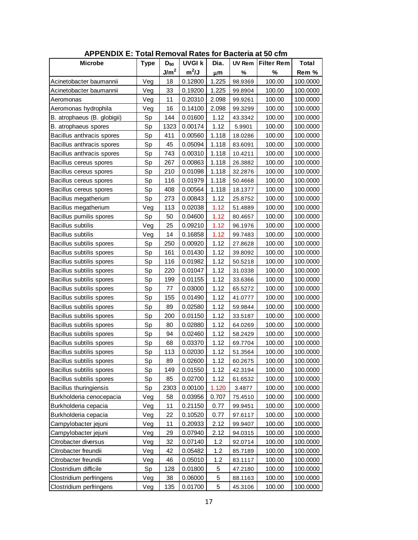| <b>APPENDIX E: Total Removal Rates for Bacteria at 50 cfm</b> |             |                  |               |             |               |                   |              |
|---------------------------------------------------------------|-------------|------------------|---------------|-------------|---------------|-------------------|--------------|
| <b>Microbe</b>                                                | <b>Type</b> | $D_{90}$         | <b>UVGI k</b> | Dia.        | <b>UV Rem</b> | <b>Filter Rem</b> | <b>Total</b> |
|                                                               |             | J/m <sup>2</sup> | $m^2/J$       | μm          | %             | %                 | Rem %        |
| Acinetobacter baumannii                                       | Veg         | 18               | 0.12800       | 1.225       | 98.9369       | 100.00            | 100.0000     |
| Acinetobacter baumannii                                       | Veg         | 33               | 0.19200       | 1.225       | 99.8904       | 100.00            | 100.0000     |
| Aeromonas                                                     | Veg         | 11               | 0.20310       | 2.098       | 99.9261       | 100.00            | 100.0000     |
| Aeromonas hydrophila                                          | Veg         | 16               | 0.14100       | 2.098       | 99.3299       | 100.00            | 100.0000     |
| B. atrophaeus (B. globigii)                                   | Sp          | 144              | 0.01600       | 1.12        | 43.3342       | 100.00            | 100.0000     |
| B. atrophaeus spores                                          | Sp          | 1323             | 0.00174       | 1.12        | 5.9901        | 100.00            | 100.0000     |
| Bacillus anthracis spores                                     | Sp          | 411              | 0.00560       | 1.118       | 18.0286       | 100.00            | 100.0000     |
| Bacillus anthracis spores                                     | Sp          | 45               | 0.05094       | 1.118       | 83.6091       | 100.00            | 100.0000     |
| Bacillus anthracis spores                                     | Sp          | 743              | 0.00310       | 1.118       | 10.4211       | 100.00            | 100.0000     |
| Bacillus cereus spores                                        | Sp          | 267              | 0.00863       | 1.118       | 26.3882       | 100.00            | 100.0000     |
| Bacillus cereus spores                                        | Sp          | 210              | 0.01098       | 1.118       | 32.2876       | 100.00            | 100.0000     |
| Bacillus cereus spores                                        | Sp          | 116              | 0.01979       | 1.118       | 50.4668       | 100.00            | 100.0000     |
| Bacillus cereus spores                                        | Sp          | 408              | 0.00564       | 1.118       | 18.1377       | 100.00            | 100.0000     |
| Bacillus megatherium                                          | Sp          | 273              | 0.00843       | 1.12        | 25.8752       | 100.00            | 100.0000     |
| Bacillus megatherium                                          | Veg         | 113              | 0.02038       | 1.12        | 51.4889       | 100.00            | 100.0000     |
| Bacillus pumilis spores                                       | Sp          | 50               | 0.04600       | 1.12        | 80.4657       | 100.00            | 100.0000     |
| <b>Bacillus subtilis</b>                                      | Veg         | 25               | 0.09210       | 1.12        | 96.1976       | 100.00            | 100.0000     |
| Bacillus subtilis                                             | Veg         | 14               | 0.16858       | 1.12        | 99.7483       | 100.00            | 100.0000     |
| Bacillus subtilis spores                                      | Sp          | 250              | 0.00920       | 1.12        | 27.8628       | 100.00            | 100.0000     |
| Bacillus subtilis spores                                      | Sp          | 161              | 0.01430       | 1.12        | 39.8092       | 100.00            | 100.0000     |
| Bacillus subtilis spores                                      | Sp          | 116              | 0.01982       | 1.12        | 50.5218       | 100.00            | 100.0000     |
| Bacillus subtilis spores                                      | Sp          | 220              | 0.01047       | 1.12        | 31.0338       | 100.00            | 100.0000     |
| Bacillus subtilis spores                                      | Sp          | 199              | 0.01155       | 1.12        | 33.6366       | 100.00            | 100.0000     |
| Bacillus subtilis spores                                      | Sp          | 77               | 0.03000       | 1.12        | 65.5272       | 100.00            | 100.0000     |
| Bacillus subtilis spores                                      | Sp          | 155              | 0.01490       | 1.12        | 41.0777       | 100.00            | 100.0000     |
| Bacillus subtilis spores                                      | Sp          | 89               | 0.02580       | 1.12        | 59.9844       | 100.00            | 100.0000     |
| Bacillus subtilis spores                                      | Sp          | 200              | 0.01150       | 1.12        | 33.5187       | 100.00            | 100.0000     |
| Bacillus subtilis spores                                      | Sp          | 80               | 0.02880       | 1.12        | 64.0269       | 100.00            | 100.0000     |
| Bacillus subtilis spores                                      | Sp          | 94               | 0.02460       | 1.12        | 58.2429       | 100.00            | 100.0000     |
| Bacillus subtilis spores                                      | Sp          | 68               | 0.03370       | 1.12        | 69.7704       | 100.00            | 100.0000     |
| Bacillus subtilis spores                                      | Sp          | 113              | 0.02030       | 1.12        | 51.3564       | 100.00            | 100.0000     |
| Bacillus subtilis spores                                      | Sp          | 89               | 0.02600       | 1.12        | 60.2675       | 100.00            | 100.0000     |
| Bacillus subtilis spores                                      | Sp          | 149              | 0.01550       | 1.12        | 42.3194       | 100.00            | 100.0000     |
| Bacillus subtilis spores                                      | Sp          | 85               | 0.02700       | 1.12        | 61.6532       | 100.00            | 100.0000     |
| Bacillus thuringiensis                                        | Sp          | 2303             | 0.00100       | 1.120       | 3.4877        | 100.00            | 100.0000     |
| Burkholderia cenocepacia                                      | Veg         | 58               | 0.03956       | 0.707       | 75.4510       | 100.00            | 100.0000     |
| Burkholderia cepacia                                          | Veg         | 11               | 0.21150       | 0.77        | 99.9451       | 100.00            | 100.0000     |
| Burkholderia cepacia                                          | Veg         | 22               | 0.10520       | 0.77        | 97.6117       | 100.00            | 100.0000     |
| Campylobacter jejuni                                          | Veg         | 11               | 0.20933       | 2.12        | 99.9407       | 100.00            | 100.0000     |
| Campylobacter jejuni                                          | Veg         | 29               | 0.07940       | 2.12        | 94.0315       | 100.00            | 100.0000     |
| Citrobacter diversus                                          | Veg         | 32               | 0.07140       | 1.2         | 92.0714       | 100.00            | 100.0000     |
| Citrobacter freundii                                          | Veg         | 42               | 0.05482       | 1.2         | 85.7189       | 100.00            | 100.0000     |
| Citrobacter freundii                                          | Veg         | 46               | 0.05010       | 1.2         | 83.1117       | 100.00            | 100.0000     |
| Clostridium difficile                                         | Sp          | 128              | 0.01800       | 5           | 47.2180       | 100.00            | 100.0000     |
| Clostridium perfringens                                       | Veg         | 38               | 0.06000       | 5           | 88.1163       | 100.00            | 100.0000     |
| Clostridium perfringens                                       | Veg         | 135              | 0.01700       | $\mathbf 5$ | 45.3106       | 100.00            | 100.0000     |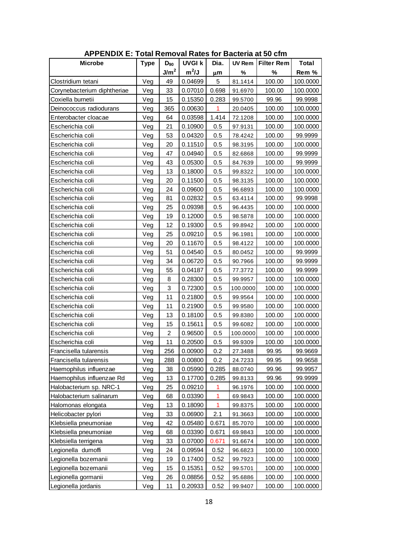| <b>APPENDIX E: Total Removal Rates for Bacteria at 50 cfm</b> |             |                  |               |                |               |                   |              |  |
|---------------------------------------------------------------|-------------|------------------|---------------|----------------|---------------|-------------------|--------------|--|
| <b>Microbe</b>                                                | <b>Type</b> | $D_{90}$         | <b>UVGI k</b> | Dia.           | <b>UV Rem</b> | <b>Filter Rem</b> | <b>Total</b> |  |
|                                                               |             | J/m <sup>2</sup> | $m^2/J$       | μm             | %             | %                 | Rem %        |  |
| Clostridium tetani                                            | Veg         | 49               | 0.04699       | 5              | 81.1414       | 100.00            | 100.0000     |  |
| Corynebacterium diphtheriae                                   | Veg         | 33               | 0.07010       | 0.698          | 91.6970       | 100.00            | 100.0000     |  |
| Coxiella burnetii                                             | Veg         | 15               | 0.15350       | 0.283          | 99.5700       | 99.96             | 99.9998      |  |
| Deinococcus radiodurans                                       | Veg         | 365              | 0.00630       | 1              | 20.0405       | 100.00            | 100.0000     |  |
| Enterobacter cloacae                                          | Veg         | 64               | 0.03598       | 1.414          | 72.1208       | 100.00            | 100.0000     |  |
| Escherichia coli                                              | Veg         | 21               | 0.10900       | 0.5            | 97.9131       | 100.00            | 100.0000     |  |
| Escherichia coli                                              | Veg         | 53               | 0.04320       | 0.5            | 78.4242       | 100.00            | 99.9999      |  |
| Escherichia coli                                              | Veg         | 20               | 0.11510       | 0.5            | 98.3195       | 100.00            | 100.0000     |  |
| Escherichia coli                                              | Veg         | 47               | 0.04940       | 0.5            | 82.6868       | 100.00            | 99.9999      |  |
| Escherichia coli                                              | Veg         | 43               | 0.05300       | 0.5            | 84.7639       | 100.00            | 99.9999      |  |
| Escherichia coli                                              | Veg         | 13               | 0.18000       | 0.5            | 99.8322       | 100.00            | 100.0000     |  |
| Escherichia coli                                              | Veg         | 20               | 0.11500       | 0.5            | 98.3135       | 100.00            | 100.0000     |  |
| Escherichia coli                                              | Veg         | 24               | 0.09600       | 0.5            | 96.6893       | 100.00            | 100.0000     |  |
| Escherichia coli                                              | Veg         | 81               | 0.02832       | 0.5            | 63.4114       | 100.00            | 99.9998      |  |
| Escherichia coli                                              | Veg         | 25               | 0.09398       | 0.5            | 96.4435       | 100.00            | 100.0000     |  |
| Escherichia coli                                              | Veg         | 19               | 0.12000       | 0.5            | 98.5878       | 100.00            | 100.0000     |  |
| Escherichia coli                                              | Veg         | 12               | 0.19300       | 0.5            | 99.8942       | 100.00            | 100.0000     |  |
| Escherichia coli                                              | Veg         | 25               | 0.09210       | 0.5            | 96.1981       | 100.00            | 100.0000     |  |
| Escherichia coli                                              | Veg         | 20               | 0.11670       | 0.5            | 98.4122       | 100.00            | 100.0000     |  |
| Escherichia coli                                              | Veg         | 51               | 0.04540       | 0.5            | 80.0452       | 100.00            | 99.9999      |  |
| Escherichia coli                                              | Veg         | 34               | 0.06720       | 0.5            | 90.7966       | 100.00            | 99.9999      |  |
| Escherichia coli                                              | Veg         | 55               | 0.04187       | 0.5            | 77.3772       | 100.00            | 99.9999      |  |
| Escherichia coli                                              | Veg         | 8                | 0.28300       | 0.5            | 99.9957       | 100.00            | 100.0000     |  |
| Escherichia coli                                              | Veg         | 3                | 0.72300       | 0.5            | 100.0000      | 100.00            | 100.0000     |  |
| Escherichia coli                                              | Veg         | 11               | 0.21800       | 0.5            | 99.9564       | 100.00            | 100.0000     |  |
| Escherichia coli                                              | Veg         | 11               | 0.21900       | 0.5            | 99.9580       | 100.00            | 100.0000     |  |
| Escherichia coli                                              | Veg         | 13               | 0.18100       | 0.5            | 99.8380       | 100.00            | 100.0000     |  |
| Escherichia coli                                              | Veg         | 15               | 0.15611       | 0.5            | 99.6082       | 100.00            | 100.0000     |  |
| Escherichia coli                                              | Veg         | $\overline{2}$   | 0.96500       | 0.5            | 100.0000      | 100.00            | 100.0000     |  |
| Escherichia coli                                              | Veg         | 11               | 0.20500       | 0.5            | 99.9309       | 100.00            | 100.0000     |  |
| Francisella tularensis                                        | Veg         | 256              | 0.00900       | 0.2            | 27.3488       | 99.95             | 99.9669      |  |
| Francisella tularensis                                        | Veg         | 288              | 0.00800       | 0.2            | 24.7233       | 99.95             | 99.9658      |  |
| Haemophilus influenzae                                        | Veg         | 38               | 0.05990       | 0.285          | 88.0740       | 99.96             | 99.9957      |  |
| Haemophilus influenzae Rd                                     | Veg         | 13               | 0.17700       | 0.285          | 99.8133       | 99.96             | 99.9999      |  |
| Halobacterium sp. NRC-1                                       | Veg         | 25               | 0.09210       | 1              | 96.1976       | 100.00            | 100.0000     |  |
| Halobacterium salinarum                                       | Veg         | 68               | 0.03390       | 1              | 69.9843       | 100.00            | 100.0000     |  |
| Halomonas elongata                                            | Veg         | 13               | 0.18090       | $\overline{1}$ | 99.8375       | 100.00            | 100.0000     |  |
| Helicobacter pylori                                           | Veg         | 33               | 0.06900       | 2.1            | 91.3663       | 100.00            | 100.0000     |  |
| Klebsiella pneumoniae                                         | Veg         | 42               | 0.05480       | 0.671          | 85.7070       | 100.00            | 100.0000     |  |
| Klebsiella pneumoniae                                         | Veg         | 68               | 0.03390       | 0.671          | 69.9843       | 100.00            | 100.0000     |  |
| Klebsiella terrigena                                          | Veg         | 33               | 0.07000       | 0.671          | 91.6674       | 100.00            | 100.0000     |  |
| Legionella dumoffi                                            | Veg         | 24               | 0.09594       | 0.52           | 96.6823       | 100.00            | 100.0000     |  |
| Legionella bozemanii                                          | Veg         | 19               | 0.17400       | 0.52           | 99.7923       | 100.00            | 100.0000     |  |
| Legionella bozemanii                                          | Veg         | 15               | 0.15351       | 0.52           | 99.5701       | 100.00            | 100.0000     |  |
| Legionella gormanii                                           | Veg         | 26               | 0.08856       | 0.52           | 95.6886       | 100.00            | 100.0000     |  |
| Legionella jordanis                                           | Veg         | 11               | 0.20933       | 0.52           | 99.9407       | 100.00            | 100.0000     |  |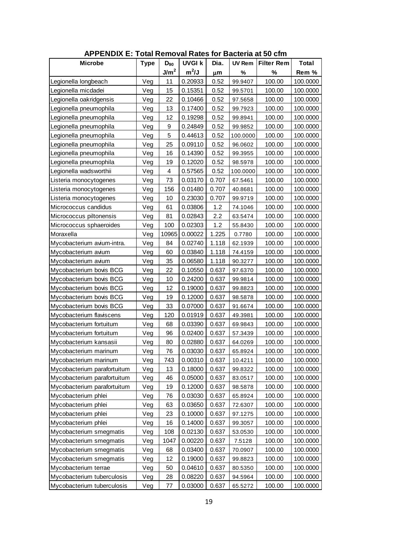| <b>APPENDIX E: Total Removal Rates for Bacteria at 50 cfm</b> |             |                  |               |       |               |                   |              |
|---------------------------------------------------------------|-------------|------------------|---------------|-------|---------------|-------------------|--------------|
| <b>Microbe</b>                                                | <b>Type</b> | $D_{90}$         | <b>UVGI k</b> | Dia.  | <b>UV Rem</b> | <b>Filter Rem</b> | <b>Total</b> |
|                                                               |             | J/m <sup>2</sup> | $m^2/J$       | μm    | %             | %                 | Rem %        |
| Legionella longbeach                                          | Veg         | 11               | 0.20933       | 0.52  | 99.9407       | 100.00            | 100.0000     |
| Legionella micdadei                                           | Veg         | 15               | 0.15351       | 0.52  | 99.5701       | 100.00            | 100.0000     |
| Legionella oakridgensis                                       | Veg         | 22               | 0.10466       | 0.52  | 97.5658       | 100.00            | 100.0000     |
| Legionella pneumophila                                        | Veg         | 13               | 0.17400       | 0.52  | 99.7923       | 100.00            | 100.0000     |
| Legionella pneumophila                                        | Veg         | 12               | 0.19298       | 0.52  | 99.8941       | 100.00            | 100.0000     |
| Legionella pneumophila                                        | Veg         | 9                | 0.24849       | 0.52  | 99.9852       | 100.00            | 100.0000     |
| Legionella pneumophila                                        | Veg         | 5                | 0.44613       | 0.52  | 100.0000      | 100.00            | 100.0000     |
| Legionella pneumophila                                        | Veg         | 25               | 0.09110       | 0.52  | 96.0602       | 100.00            | 100.0000     |
| Legionella pneumophila                                        | Veg         | 16               | 0.14390       | 0.52  | 99.3955       | 100.00            | 100.0000     |
| Legionella pneumophila                                        | Veg         | 19               | 0.12020       | 0.52  | 98.5978       | 100.00            | 100.0000     |
| Legionella wadsworthii                                        | Veg         | $\overline{4}$   | 0.57565       | 0.52  | 100.0000      | 100.00            | 100.0000     |
| Listeria monocytogenes                                        | Veg         | 73               | 0.03170       | 0.707 | 67.5461       | 100.00            | 100.0000     |
| Listeria monocytogenes                                        | Veg         | 156              | 0.01480       | 0.707 | 40.8681       | 100.00            | 100.0000     |
| Listeria monocytogenes                                        | Veg         | 10               | 0.23030       | 0.707 | 99.9719       | 100.00            | 100.0000     |
| Micrococcus candidus                                          | Veg         | 61               | 0.03806       | 1.2   | 74.1046       | 100.00            | 100.0000     |
| Micrococcus piltonensis                                       | Veg         | 81               | 0.02843       | 2.2   | 63.5474       | 100.00            | 100.0000     |
| Micrococcus sphaeroides                                       | Veg         | 100              | 0.02303       | 1.2   | 55.8430       | 100.00            | 100.0000     |
| Moraxella                                                     | Veg         | 10965            | 0.00022       | 1.225 | 0.7780        | 100.00            | 100.0000     |
| Mycobacterium avium-intra.                                    | Veg         | 84               | 0.02740       | 1.118 | 62.1939       | 100.00            | 100.0000     |
| Mycobacterium avium                                           | Veg         | 60               | 0.03840       | 1.118 | 74.4159       | 100.00            | 100.0000     |
| Mycobacterium avium                                           | Veg         | 35               | 0.06580       | 1.118 | 90.3277       | 100.00            | 100.0000     |
| Mycobacterium bovis BCG                                       | Veg         | 22               | 0.10550       | 0.637 | 97.6370       | 100.00            | 100.0000     |
| Mycobacterium bovis BCG                                       | Veg         | 10               | 0.24200       | 0.637 | 99.9814       | 100.00            | 100.0000     |
| Mycobacterium bovis BCG                                       | Veg         | 12               | 0.19000       | 0.637 | 99.8823       | 100.00            | 100.0000     |
| Mycobacterium bovis BCG                                       | Veg         | 19               | 0.12000       | 0.637 | 98.5878       | 100.00            | 100.0000     |
| Mycobacterium bovis BCG                                       | Veg         | 33               | 0.07000       | 0.637 | 91.6674       | 100.00            | 100.0000     |
| Mycobacterium flaviscens                                      | Veg         | 120              | 0.01919       | 0.637 | 49.3981       | 100.00            | 100.0000     |
| Mycobacterium fortuitum                                       | Veg         | 68               | 0.03390       | 0.637 | 69.9843       | 100.00            | 100.0000     |
| Mycobacterium fortuitum                                       | Veg         | 96               | 0.02400       | 0.637 | 57.3439       | 100.00            | 100.0000     |
| Mycobacterium kansasii                                        | Veg         | 80               | 0.02880       | 0.637 | 64.0269       | 100.00            | 100.0000     |
| Mycobacterium marinum                                         | Veg         | 76               | 0.03030       | 0.637 | 65.8924       | 100.00            | 100.0000     |
| Mycobacterium marinum                                         | Veg         | 743              | 0.00310       | 0.637 | 10.4211       | 100.00            | 100.0000     |
| Mycobacterium parafortuitum                                   | Veg         | 13               | 0.18000       | 0.637 | 99.8322       | 100.00            | 100.0000     |
| Mycobacterium parafortuitum                                   | Veg         | 46               | 0.05000       | 0.637 | 83.0517       | 100.00            | 100.0000     |
| Mycobacterium parafortuitum                                   | Veg         | 19               | 0.12000       | 0.637 | 98.5878       | 100.00            | 100.0000     |
| Mycobacterium phlei                                           | Veg         | 76               | 0.03030       | 0.637 | 65.8924       | 100.00            | 100.0000     |
| Mycobacterium phlei                                           | Veg         | 63               | 0.03650       | 0.637 | 72.6307       | 100.00            | 100.0000     |
| Mycobacterium phlei                                           | Veg         | 23               | 0.10000       | 0.637 | 97.1275       | 100.00            | 100.0000     |
| Mycobacterium phlei                                           | Veg         | 16               | 0.14000       | 0.637 | 99.3057       | 100.00            | 100.0000     |
| Mycobacterium smegmatis                                       | Veg         | 108              | 0.02130       | 0.637 | 53.0530       | 100.00            | 100.0000     |
| Mycobacterium smegmatis                                       | Veg         | 1047             | 0.00220       | 0.637 | 7.5128        | 100.00            | 100.0000     |
| Mycobacterium smegmatis                                       | Veg         | 68               | 0.03400       | 0.637 | 70.0907       | 100.00            | 100.0000     |
| Mycobacterium smegmatis                                       | Veg         | 12               | 0.19000       | 0.637 | 99.8823       | 100.00            | 100.0000     |
| Mycobacterium terrae                                          | Veg         | 50               | 0.04610       | 0.637 | 80.5350       | 100.00            | 100.0000     |
| Mycobacterium tuberculosis                                    | Veg         | 28               | 0.08220       | 0.637 | 94.5964       | 100.00            | 100.0000     |
| Mycobacterium tuberculosis                                    | Veg         | 77               | 0.03000       | 0.637 | 65.5272       | 100.00            | 100.0000     |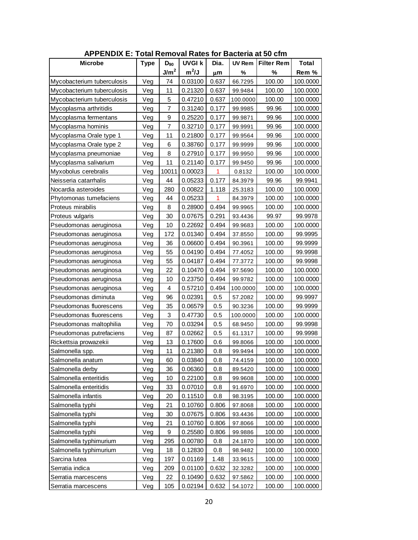| <b>APPENDIX E: Total Removal Rates for Bacteria at 50 cfm</b> |             |                  |               |       |               |                   |              |  |
|---------------------------------------------------------------|-------------|------------------|---------------|-------|---------------|-------------------|--------------|--|
| <b>Microbe</b>                                                | <b>Type</b> | $D_{90}$         | <b>UVGI k</b> | Dia.  | <b>UV Rem</b> | <b>Filter Rem</b> | <b>Total</b> |  |
|                                                               |             | J/m <sup>2</sup> | $m^2/J$       | μm    | %             | %                 | Rem %        |  |
| Mycobacterium tuberculosis                                    | Veg         | 74               | 0.03100       | 0.637 | 66.7295       | 100.00            | 100.0000     |  |
| Mycobacterium tuberculosis                                    | Veg         | 11               | 0.21320       | 0.637 | 99.9484       | 100.00            | 100.0000     |  |
| Mycobacterium tuberculosis                                    | Veg         | 5                | 0.47210       | 0.637 | 100.0000      | 100.00            | 100.0000     |  |
| Mycoplasma arthritidis                                        | Veg         | $\overline{7}$   | 0.31240       | 0.177 | 99.9985       | 99.96             | 100.0000     |  |
| Mycoplasma fermentans                                         | Veg         | 9                | 0.25220       | 0.177 | 99.9871       | 99.96             | 100.0000     |  |
| Mycoplasma hominis                                            | Veg         | $\overline{7}$   | 0.32710       | 0.177 | 99.9991       | 99.96             | 100.0000     |  |
| Mycoplasma Orale type 1                                       | Veg         | 11               | 0.21800       | 0.177 | 99.9564       | 99.96             | 100.0000     |  |
| Mycoplasma Orale type 2                                       | Veg         | 6                | 0.38760       | 0.177 | 99.9999       | 99.96             | 100.0000     |  |
| Mycoplasma pneumoniae                                         | Veg         | 8                | 0.27910       | 0.177 | 99.9950       | 99.96             | 100.0000     |  |
| Mycoplasma salivarium                                         | Veg         | 11               | 0.21140       | 0.177 | 99.9450       | 99.96             | 100.0000     |  |
| Myxobolus cerebralis                                          | Veg         | 10011            | 0.00023       | 1     | 0.8132        | 100.00            | 100.0000     |  |
| Neisseria catarrhalis                                         | Veg         | 44               | 0.05233       | 0.177 | 84.3979       | 99.96             | 99.9941      |  |
| Nocardia asteroides                                           | Veg         | 280              | 0.00822       | 1.118 | 25.3183       | 100.00            | 100.0000     |  |
| Phytomonas tumefaciens                                        | Veg         | 44               | 0.05233       | 1     | 84.3979       | 100.00            | 100.0000     |  |
| Proteus mirabilis                                             | Veg         | 8                | 0.28900       | 0.494 | 99.9965       | 100.00            | 100.0000     |  |
| Proteus vulgaris                                              | Veg         | 30               | 0.07675       | 0.291 | 93.4436       | 99.97             | 99.9978      |  |
| Pseudomonas aeruginosa                                        | Veg         | 10               | 0.22692       | 0.494 | 99.9683       | 100.00            | 100.0000     |  |
| Pseudomonas aeruginosa                                        | Veg         | 172              | 0.01340       | 0.494 | 37.8550       | 100.00            | 99.9995      |  |
| Pseudomonas aeruginosa                                        | Veg         | 36               | 0.06600       | 0.494 | 90.3961       | 100.00            | 99.9999      |  |
| Pseudomonas aeruginosa                                        | Veg         | 55               | 0.04190       | 0.494 | 77.4052       | 100.00            | 99.9998      |  |
| Pseudomonas aeruginosa                                        | Veg         | 55               | 0.04187       | 0.494 | 77.3772       | 100.00            | 99.9998      |  |
| Pseudomonas aeruginosa                                        | Veg         | 22               | 0.10470       | 0.494 | 97.5690       | 100.00            | 100.0000     |  |
| Pseudomonas aeruginosa                                        | Veg         | 10               | 0.23750       | 0.494 | 99.9782       | 100.00            | 100.0000     |  |
| Pseudomonas aeruginosa                                        | Veg         | 4                | 0.57210       | 0.494 | 100.0000      | 100.00            | 100.0000     |  |
| Pseudomonas diminuta                                          | Veg         | 96               | 0.02391       | 0.5   | 57.2082       | 100.00            | 99.9997      |  |
| Pseudomonas fluorescens                                       | Veg         | 35               | 0.06579       | 0.5   | 90.3236       | 100.00            | 99.9999      |  |
| Pseudomonas fluorescens                                       | Veg         | 3                | 0.47730       | 0.5   | 100.0000      | 100.00            | 100.0000     |  |
| Pseudomonas maltophilia                                       | Veg         | 70               | 0.03294       | 0.5   | 68.9450       | 100.00            | 99.9998      |  |
| Pseudomonas putrefaciens                                      | Veg         | 87               | 0.02662       | 0.5   | 61.1317       | 100.00            | 99.9998      |  |
| Rickettsia prowazekii                                         | Veg         | 13               | 0.17600       | 0.6   | 99.8066       | 100.00            | 100.0000     |  |
| Salmonella spp.                                               | Veg         | 11               | 0.21380       | 0.8   | 99.9494       | 100.00            | 100.0000     |  |
| Salmonella anatum                                             | Veg         | 60               | 0.03840       | 0.8   | 74.4159       | 100.00            | 100.0000     |  |
| Salmonella derby                                              | Veg         | 36               | 0.06360       | 0.8   | 89.5420       | 100.00            | 100.0000     |  |
| Salmonella enteritidis                                        | Veg         | 10               | 0.22100       | 0.8   | 99.9608       | 100.00            | 100.0000     |  |
| Salmonella enteritidis                                        | Veg         | 33               | 0.07010       | 0.8   | 91.6970       | 100.00            | 100.0000     |  |
| Salmonella infantis                                           | Veg         | 20               | 0.11510       | 0.8   | 98.3195       | 100.00            | 100.0000     |  |
| Salmonella typhi                                              | Veg         | 21               | 0.10760       | 0.806 | 97.8068       | 100.00            | 100.0000     |  |
| Salmonella typhi                                              | Veg         | 30               | 0.07675       | 0.806 | 93.4436       | 100.00            | 100.0000     |  |
| Salmonella typhi                                              | Veg         | 21               | 0.10760       | 0.806 | 97.8066       | 100.00            | 100.0000     |  |
| Salmonella typhi                                              | Veg         | 9                | 0.25580       | 0.806 | 99.9886       | 100.00            | 100.0000     |  |
| Salmonella typhimurium                                        | Veg         | 295              | 0.00780       | 0.8   | 24.1870       | 100.00            | 100.0000     |  |
| Salmonella typhimurium                                        | Veg         | 18               | 0.12830       | 0.8   | 98.9482       | 100.00            | 100.0000     |  |
| Sarcina lutea                                                 | Veg         | 197              | 0.01169       | 1.48  | 33.9615       | 100.00            | 100.0000     |  |
| Serratia indica                                               | Veg         | 209              | 0.01100       | 0.632 | 32.3282       | 100.00            | 100.0000     |  |
| Serratia marcescens                                           | Veg         | 22               | 0.10490       | 0.632 | 97.5862       | 100.00            | 100.0000     |  |
| Serratia marcescens                                           | Veg         | 105              | 0.02194       | 0.632 | 54.1072       | 100.00            | 100.0000     |  |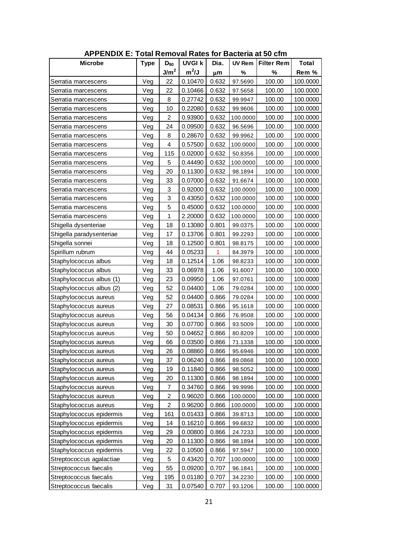| <b>APPENDIX E: Total Removal Rates for Bacteria at 50 cfm</b> |             |                  |               |       |               |                   |              |  |  |  |
|---------------------------------------------------------------|-------------|------------------|---------------|-------|---------------|-------------------|--------------|--|--|--|
| <b>Microbe</b>                                                | <b>Type</b> | $D_{90}$         | <b>UVGI k</b> | Dia.  | <b>UV Rem</b> | <b>Filter Rem</b> | <b>Total</b> |  |  |  |
|                                                               |             | J/m <sup>2</sup> | $m^2/J$       | μm    | %             | %                 | Rem %        |  |  |  |
| Serratia marcescens                                           | Veg         | 22               | 0.10470       | 0.632 | 97.5690       | 100.00            | 100.0000     |  |  |  |
| Serratia marcescens                                           | Veg         | 22               | 0.10466       | 0.632 | 97.5658       | 100.00            | 100.0000     |  |  |  |
| Serratia marcescens                                           | Veg         | 8                | 0.27742       | 0.632 | 99.9947       | 100.00            | 100.0000     |  |  |  |
| Serratia marcescens                                           | Veg         | 10               | 0.22080       | 0.632 | 99.9606       | 100.00            | 100.0000     |  |  |  |
| Serratia marcescens                                           | Veg         | $\overline{c}$   | 0.93900       | 0.632 | 100.0000      | 100.00            | 100.0000     |  |  |  |
| Serratia marcescens                                           | Veg         | 24               | 0.09500       | 0.632 | 96.5696       | 100.00            | 100.0000     |  |  |  |
| Serratia marcescens                                           | Veg         | 8                | 0.28670       | 0.632 | 99.9962       | 100.00            | 100.0000     |  |  |  |
| Serratia marcescens                                           | Veg         | 4                | 0.57500       | 0.632 | 100.0000      | 100.00            | 100.0000     |  |  |  |
| Serratia marcescens                                           | Veg         | 115              | 0.02000       | 0.632 | 50.8356       | 100.00            | 100.0000     |  |  |  |
| Serratia marcescens                                           | Veg         | 5                | 0.44490       | 0.632 | 100.0000      | 100.00            | 100.0000     |  |  |  |
| Serratia marcescens                                           | Veg         | 20               | 0.11300       | 0.632 | 98.1894       | 100.00            | 100.0000     |  |  |  |
| Serratia marcescens                                           | Veg         | 33               | 0.07000       | 0.632 | 91.6674       | 100.00            | 100.0000     |  |  |  |
| Serratia marcescens                                           | Veg         | 3                | 0.92000       | 0.632 | 100.0000      | 100.00            | 100.0000     |  |  |  |
| Serratia marcescens                                           | Veg         | 3                | 0.43050       | 0.632 | 100.0000      | 100.00            | 100.0000     |  |  |  |
| Serratia marcescens                                           | Veg         | 5                | 0.45000       | 0.632 | 100.0000      | 100.00            | 100.0000     |  |  |  |
| Serratia marcescens                                           | Veg         | 1                | 2.20000       | 0.632 | 100.0000      | 100.00            | 100.0000     |  |  |  |
| Shigella dysenteriae                                          | Veg         | 18               | 0.13080       | 0.801 | 99.0375       | 100.00            | 100.0000     |  |  |  |
| Shigella paradysenteriae                                      | Veg         | 17               | 0.13706       | 0.801 | 99.2293       | 100.00            | 100.0000     |  |  |  |
| Shigella sonnei                                               | Veg         | 18               | 0.12500       | 0.801 | 98.8175       | 100.00            | 100.0000     |  |  |  |
| Spirillum rubrum                                              | Veg         | 44               | 0.05233       | 1     | 84.3979       | 100.00            | 100.0000     |  |  |  |
| Staphylococcus albus                                          | Veg         | 18               | 0.12514       | 1.06  | 98.8233       | 100.00            | 100.0000     |  |  |  |
| Staphylococcus albus                                          | Veg         | 33               | 0.06978       | 1.06  | 91.6007       | 100.00            | 100.0000     |  |  |  |
| Staphylococcus albus (1)                                      | Veg         | 23               | 0.09950       | 1.06  | 97.0761       | 100.00            | 100.0000     |  |  |  |
| Staphylococcus albus (2)                                      | Veg         | 52               | 0.04400       | 1.06  | 79.0284       | 100.00            | 100.0000     |  |  |  |
| Staphylococcus aureus                                         | Veg         | 52               | 0.04400       | 0.866 | 79.0284       | 100.00            | 100.0000     |  |  |  |
| Staphylococcus aureus                                         | Veg         | 27               | 0.08531       | 0.866 | 95.1618       | 100.00            | 100.0000     |  |  |  |
| Staphylococcus aureus                                         | Veg         | 56               | 0.04134       | 0.866 | 76.9508       | 100.00            | 100.0000     |  |  |  |
| Staphylococcus aureus                                         | Veg         | 30               | 0.07700       | 0.866 | 93.5009       | 100.00            | 100.0000     |  |  |  |
| Staphylococcus aureus                                         | Veg         | 50               | 0.04652       | 0.866 | 80.8209       | 100.00            | 100.0000     |  |  |  |
| Staphylococcus aureus                                         | Veg         | 66               | 0.03500       | 0.866 | 71.1338       | 100.00            | 100.0000     |  |  |  |
| Staphylococcus aureus                                         | Veg         | 26               | 0.08860       | 0.866 | 95.6946       | 100.00            | 100.0000     |  |  |  |
| Staphylococcus aureus                                         | Veg         | 37               | 0.06240       | 0.866 | 89.0868       | 100.00            | 100.0000     |  |  |  |
| Staphylococcus aureus                                         | Veg         | 19               | 0.11840       | 0.866 | 98.5052       | 100.00            | 100.0000     |  |  |  |
| Staphylococcus aureus                                         | Veg         | 20               | 0.11300       | 0.866 | 98.1894       | 100.00            | 100.0000     |  |  |  |
| Staphylococcus aureus                                         | Veg         | $\overline{7}$   | 0.34760       | 0.866 | 99.9996       | 100.00            | 100.0000     |  |  |  |
| Staphylococcus aureus                                         | Veg         | $\overline{c}$   | 0.96020       | 0.866 | 100.0000      | 100.00            | 100.0000     |  |  |  |
| Staphylococcus aureus                                         | Veg         | $\overline{c}$   | 0.96200       | 0.866 | 100.0000      | 100.00            | 100.0000     |  |  |  |
| Staphylococcus epidermis                                      | Veg         | 161              | 0.01433       | 0.866 | 39.8713       | 100.00            | 100.0000     |  |  |  |
| Staphylococcus epidermis                                      | Veg         | 14               | 0.16210       | 0.866 | 99.6832       | 100.00            | 100.0000     |  |  |  |
| Staphylococcus epidermis                                      | Veg         | 29               | 0.00800       | 0.866 | 24.7233       | 100.00            | 100.0000     |  |  |  |
| Staphylococcus epidermis                                      | Veg         | 20               | 0.11300       | 0.866 | 98.1894       | 100.00            | 100.0000     |  |  |  |
| Staphylococcus epidermis                                      | Veg         | 22               | 0.10500       | 0.866 | 97.5947       | 100.00            | 100.0000     |  |  |  |
| Streptococcus agalactiae                                      | Veg         | 5                | 0.43420       | 0.707 | 100.0000      | 100.00            | 100.0000     |  |  |  |
| Streptococcus faecalis                                        | Veg         | 55               | 0.09200       | 0.707 | 96.1841       | 100.00            | 100.0000     |  |  |  |
| Streptococcus faecalis                                        | Veg         | 195              | 0.01180       | 0.707 | 34.2230       | 100.00            | 100.0000     |  |  |  |
| Streptococcus faecalis                                        | Veg         | 31               | 0.07540       | 0.707 | 93.1206       | 100.00            | 100.0000     |  |  |  |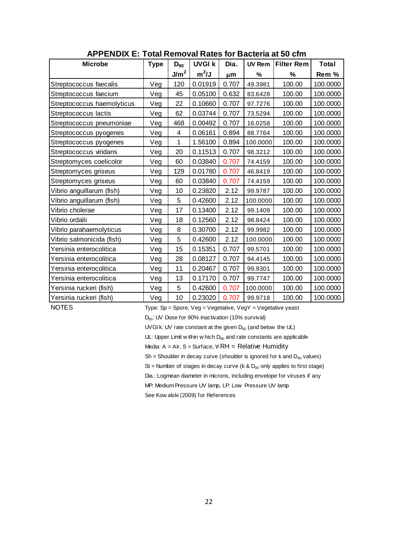| <b>APPENDIX E: Total Removal Rates for Bacteria at 50 cfm</b> |             |                  |               |       |               |                   |          |  |  |  |
|---------------------------------------------------------------|-------------|------------------|---------------|-------|---------------|-------------------|----------|--|--|--|
| <b>Microbe</b>                                                | <b>Type</b> | $D_{90}$         | <b>UVGI k</b> | Dia.  | <b>UV Rem</b> | <b>Filter Rem</b> | Total    |  |  |  |
|                                                               |             | J/m <sup>2</sup> | $m^2/J$       | μm    | %             | %                 | Rem %    |  |  |  |
| Streptococcus faecalis                                        | Veg         | 120              | 0.01919       | 0.707 | 49.3981       | 100.00            | 100.0000 |  |  |  |
| Streptococcus faecium                                         | Veg         | 45               | 0.05100       | 0.632 | 83.6428       | 100.00            | 100.0000 |  |  |  |
| Streptococcus haemolyticus                                    | Veg         | 22               | 0.10660       | 0.707 | 97.7276       | 100.00            | 100.0000 |  |  |  |
| Streptococcus lactis                                          | Veg         | 62               | 0.03744       | 0.707 | 73.5294       | 100.00            | 100.0000 |  |  |  |
| Streptococcus pneumoniae                                      | Veg         | 468              | 0.00492       | 0.707 | 16.0258       | 100.00            | 100.0000 |  |  |  |
| Streptococcus pyogenes                                        | Veg         | 4                | 0.06161       | 0.894 | 88.7764       | 100.00            | 100.0000 |  |  |  |
| Streptococcus pyogenes                                        | Veg         | 1                | 1.56100       | 0.894 | 100.0000      | 100.00            | 100.0000 |  |  |  |
| Streptococcus viridans                                        | Veg         | 20               | 0.11513       | 0.707 | 98.3212       | 100.00            | 100.0000 |  |  |  |
| Streptomyces coelicolor                                       | Veg         | 60               | 0.03840       | 0.707 | 74.4159       | 100.00            | 100.0000 |  |  |  |
| Streptomyces griseus                                          | Veg         | 129              | 0.01780       | 0.707 | 46.8419       | 100.00            | 100.0000 |  |  |  |
| Streptomyces griseus                                          | Veg         | 60               | 0.03840       | 0.707 | 74.4159       | 100.00            | 100.0000 |  |  |  |
| Vibrio anguillarum (fish)                                     | Veg         | 10               | 0.23820       | 2.12  | 99.9787       | 100.00            | 100.0000 |  |  |  |
| Vibrio anguillarum (fish)                                     | Veg         | 5                | 0.42600       | 2.12  | 100.0000      | 100.00            | 100.0000 |  |  |  |
| Vibrio cholerae                                               | Veg         | 17               | 0.13400       | 2.12  | 99.1409       | 100.00            | 100.0000 |  |  |  |
| Vibrio ordalii                                                | Veg         | 18               | 0.12560       | 2.12  | 98.8424       | 100.00            | 100.0000 |  |  |  |
| Vibrio parahaemolyticus                                       | Veg         | 8                | 0.30700       | 2.12  | 99.9982       | 100.00            | 100.0000 |  |  |  |
| Vibrio salmonicida (fish)                                     | Veg         | 5                | 0.42600       | 2.12  | 100.0000      | 100.00            | 100.0000 |  |  |  |
| Yersinia enterocolitica                                       | Veg         | 15               | 0.15351       | 0.707 | 99.5701       | 100.00            | 100.0000 |  |  |  |
| Yersinia enterocolitica                                       | Veg         | 28               | 0.08127       | 0.707 | 94.4145       | 100.00            | 100.0000 |  |  |  |
| Yersinia enterocolitica                                       | Veg         | 11               | 0.20467       | 0.707 | 99.9301       | 100.00            | 100.0000 |  |  |  |
| Yersinia enterocolitica                                       | Veg         | 13               | 0.17170       | 0.707 | 99.7747       | 100.00            | 100.0000 |  |  |  |
| Yersinia ruckeri (fish)                                       | Veg         | 5                | 0.42600       | 0.707 | 100.0000      | 100.00            | 100.0000 |  |  |  |
| Yersinia ruckeri (fish)                                       | Veg         | 10               | 0.23020       | 0.707 | 99.9718       | 100.00            | 100.0000 |  |  |  |

**APPENDIX E: Total Removal Rates for Bacteria at 50 cfm**

NOTES<br>
Type: Sp = Spore, Veg = Vegetative, VegY = Vegetative yeast<br>  $D_{90}$ : UV Dose for 90% inactivation (10% survival)<br>
UVGI k: UV rate constant at the given  $D_{90}$  (and below the UL)

D<sub>90</sub>: UV Dose for 90% inactivation (10% survival)

UVGI k: UV rate constant at the given  $D_{90}$  (and below the UL)<br>UL: Upper Limit w ithin w hich  $D_{90}$  and rate constants are applicable

Media:  $A = Air$ ,  $S = Surface$ ,  $WRH = Relative Humidity$ 

 $Sh = Sh$ oulder in decay curve (shoulder is ignored for k and  $D_{90}$  values)

St = Number of stages in decay curve (k & D<sub>90</sub> only applies to first stage)<br>Dia.: Logmean diameter in microns, including envelope for viruses if any<br>MP: Medium Pressure UV lamp, LP: Low Pressure UV lamp

Dia.: Logmean diameter in microns, including envelope for viruses if any<br>MP: Medium Pressure UV lamp, LP: Low Pressure UV lamp<br>See Kow alski (2009) for References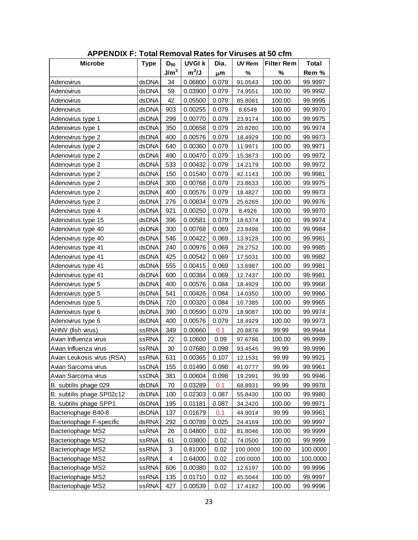| <b>APPENDIX F: Total Removal Rates for Viruses at 50 cfm</b> |             |                  |               |       |               |                   |              |  |  |
|--------------------------------------------------------------|-------------|------------------|---------------|-------|---------------|-------------------|--------------|--|--|
| <b>Microbe</b>                                               | <b>Type</b> | $D_{90}$         | <b>UVGI k</b> | Dia.  | <b>UV Rem</b> | <b>Filter Rem</b> | <b>Total</b> |  |  |
|                                                              |             | J/m <sup>2</sup> | $m^2/J$       | μm    | %             | %                 | Rem %        |  |  |
| Adenovirus                                                   | dsDNA       | 34               | 0.06800       | 0.079 | 91.0543       | 100.00            | 99.9997      |  |  |
| Adenovirus                                                   | dsDNA       | 59               | 0.03900       | 0.079 | 74.9551       | 100.00            | 99.9992      |  |  |
| Adenovirus                                                   | dsDNA       | 42               | 0.05500       | 0.079 | 85.8081       | 100.00            | 99.9995      |  |  |
| Adenovirus                                                   | dsDNA       | 903              | 0.00255       | 0.079 | 8.6549        | 100.00            | 99.9970      |  |  |
| Adenovirus type 1                                            | dsDNA       | 299              | 0.00770       | 0.079 | 23.9174       | 100.00            | 99.9975      |  |  |
| Adenovirus type 1                                            | dsDNA       | 350              | 0.00658       | 0.079 | 20.8280       | 100.00            | 99.9974      |  |  |
| Adenovirus type 2                                            | dsDNA       | 400              | 0.00576       | 0.079 | 18.4929       | 100.00            | 99.9973      |  |  |
| Adenovirus type 2                                            | dsDNA       | 640              | 0.00360       | 0.079 | 11.9971       | 100.00            | 99.9971      |  |  |
| Adenovirus type 2                                            | dsDNA       | 490              | 0.00470       | 0.079 | 15.3673       | 100.00            | 99.9972      |  |  |
| Adenovirus type 2                                            | dsDNA       | 533              | 0.00432       | 0.079 | 14.2179       | 100.00            | 99.9972      |  |  |
| Adenovirus type 2                                            | dsDNA       | 150              | 0.01540       | 0.079 | 42.1143       | 100.00            | 99.9981      |  |  |
| Adenovirus type 2                                            | dsDNA       | 300              | 0.00768       | 0.079 | 23.8633       | 100.00            | 99.9975      |  |  |
| Adenovirus type 2                                            | dsDNA       | 400              | 0.00576       | 0.079 | 18.4827       | 100.00            | 99.9973      |  |  |
| Adenovirus type 2                                            | dsDNA       | 276              | 0.00834       | 0.079 | 25.6265       | 100.00            | 99.9976      |  |  |
| Adenovirus type 4                                            | dsDNA       | 921              | 0.00250       | 0.079 | 8.4926        | 100.00            | 99.9970      |  |  |
| Adenovirus type 15                                           | dsDNA       | 396              | 0.00581       | 0.079 | 18.6374       | 100.00            | 99.9974      |  |  |
| Adenovirus type 40                                           | dsDNA       | 300              | 0.00768       | 0.069 | 23.8498       | 100.00            | 99.9984      |  |  |
| Adenovirus type 40                                           | dsDNA       | 546              | 0.00422       | 0.069 | 13.9128       | 100.00            | 99.9981      |  |  |
| Adenovirus type 41                                           | dsDNA       | 240              | 0.00976       | 0.069 | 29.2752       | 100.00            | 99.9985      |  |  |
| Adenovirus type 41                                           | dsDNA       | 425              | 0.00542       | 0.069 | 17.5031       | 100.00            | 99.9982      |  |  |
| Adenovirus type 41                                           | dsDNA       | 555              | 0.00415       | 0.069 | 13.6987       | 100.00            | 99.9981      |  |  |
| Adenovirus type 41                                           | dsDNA       | 600              | 0.00384       | 0.069 | 12.7437       | 100.00            | 99.9981      |  |  |
| Adenovirus type 5                                            | dsDNA       | 400              | 0.00576       | 0.084 | 18.4929       | 100.00            | 99.9968      |  |  |
| Adenovirus type 5                                            | dsDNA       | 541              | 0.00426       | 0.084 | 14.0350       | 100.00            | 99.9966      |  |  |
| Adenovirus type 5                                            | dsDNA       | 720              | 0.00320       | 0.084 | 10.7385       | 100.00            | 99.9965      |  |  |
| Adenovirus type 6                                            | dsDNA       | 390              | 0.00590       | 0.079 | 18.9087       | 100.00            | 99.9974      |  |  |
| Adenovirus type 6                                            | dsDNA       | 400              | 0.00576       | 0.079 | 18.4929       | 100.00            | 99.9973      |  |  |
| AHNV (fish virus)                                            | ssRNA       | 349              | 0.00660       | 0.1   | 20.8876       | 99.99             | 99.9944      |  |  |
| Avian Influenza virus                                        | ssRNA       | 22               | 0.10600       | 0.09  | 97.6786       | 100.00            | 99.9999      |  |  |
| Avian Influenza virus                                        | ssRNA       | 30               | 0.07680       | 0.098 | 93.4545       | 99.99             | 99.9996      |  |  |
| Avian Leukosis virus (RSA)                                   | ssRNA       | 631              | 0.00365       | 0.107 | 12.1531       | 99.99             | 99.9921      |  |  |
| Avian Sarcoma virus                                          | ssDNA       | 155              | 0.01490       | 0.098 | 41.0777       | 99.99             | 99.9961      |  |  |
| Avian Sarcoma virus                                          | ssDNA       | 381              | 0.00604       | 0.098 | 19.2991       | 99.99             | 99.9946      |  |  |
| B. subtilis phage 029                                        | dsDNA       | 70               | 0.03289       | 0.1   | 68.8931       | 99.99             | 99.9978      |  |  |
| B. subtilis phage SP02c12                                    | dsDNA       | 100              | 0.02303       | 0.087 | 55.8430       | 100.00            | 99.9980      |  |  |
| B. subtilis phage SPP1                                       | dsDNA       | 195              | 0.01181       | 0.087 | 34.2420       | 100.00            | 99.9971      |  |  |
| Bacteriophage B40-8                                          | dsDNA       | 137              | 0.01679       | 0.1   | 44.9014       | 99.99             | 99.9961      |  |  |
| Bacteriophage F-specific                                     | dsRNA       | 292              | 0.00789       | 0.025 | 24.4169       | 100.00            | 99.9997      |  |  |
| <b>Bacteriophage MS2</b>                                     | ssRNA       | 26               | 0.04800       | 0.02  | 81.8046       | 100.00            | 99.9999      |  |  |
| <b>Bacteriophage MS2</b>                                     | ssRNA       | 61               | 0.03800       | 0.02  | 74.0500       | 100.00            | 99.9999      |  |  |
| <b>Bacteriophage MS2</b>                                     | ssRNA       | 3                | 0.81000       | 0.02  | 100.0000      | 100.00            | 100.0000     |  |  |
| Bacteriophage MS2                                            | ssRNA       | 4                | 0.64000       | 0.02  | 100.0000      | 100.00            | 100.0000     |  |  |
| Bacteriophage MS2                                            | ssRNA       | 606              | 0.00380       | 0.02  | 12.6197       | 100.00            | 99.9996      |  |  |
| <b>Bacteriophage MS2</b>                                     | ssRNA       | 135              | 0.01710       | 0.02  | 45.5044       | 100.00            | 99.9997      |  |  |
| <b>Bacteriophage MS2</b>                                     | ssRNA       | 427              | 0.00539       | 0.02  | 17.4182       | 100.00            | 99.9996      |  |  |

**APPENDIX F: Total Removal Rates for Viruses at 50 cfm**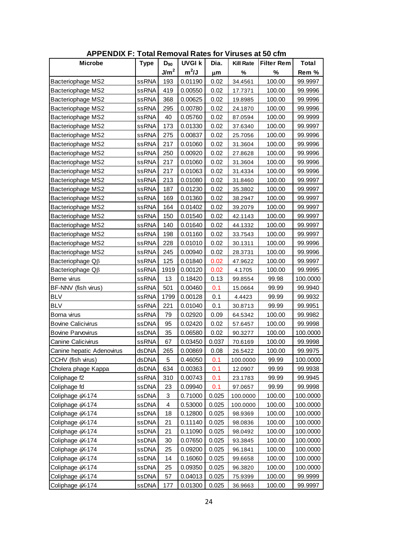| <b>APPENDIX F: Total Removal Rates for Viruses at 50 cfm</b> |              |                  |               |       |                  |                   |              |  |  |  |
|--------------------------------------------------------------|--------------|------------------|---------------|-------|------------------|-------------------|--------------|--|--|--|
| <b>Microbe</b>                                               | <b>Type</b>  | $D_{90}$         | <b>UVGI k</b> | Dia.  | <b>Kill Rate</b> | <b>Filter Rem</b> | <b>Total</b> |  |  |  |
|                                                              |              | J/m <sup>2</sup> | $m^2/J$       | μm    | %                | %                 | Rem %        |  |  |  |
| <b>Bacteriophage MS2</b>                                     | ssRNA        | 193              | 0.01190       | 0.02  | 34.4561          | 100.00            | 99.9997      |  |  |  |
| Bacteriophage MS2                                            | ssRNA        | 419              | 0.00550       | 0.02  | 17.7371          | 100.00            | 99.9996      |  |  |  |
| Bacteriophage MS2                                            | ssRNA        | 368              | 0.00625       | 0.02  | 19.8985          | 100.00            | 99.9996      |  |  |  |
| Bacteriophage MS2                                            | ssRNA        | 295              | 0.00780       | 0.02  | 24.1870          | 100.00            | 99.9996      |  |  |  |
| Bacteriophage MS2                                            | ssRNA        | 40               | 0.05760       | 0.02  | 87.0594          | 100.00            | 99.9999      |  |  |  |
| <b>Bacteriophage MS2</b>                                     | ssRNA        | 173              | 0.01330       | 0.02  | 37.6340          | 100.00            | 99.9997      |  |  |  |
| Bacteriophage MS2                                            | ssRNA        | 275              | 0.00837       | 0.02  | 25.7056          | 100.00            | 99.9996      |  |  |  |
| Bacteriophage MS2                                            | ssRNA        | 217              | 0.01060       | 0.02  | 31.3604          | 100.00            | 99.9996      |  |  |  |
| Bacteriophage MS2                                            | ssRNA        | 250              | 0.00920       | 0.02  | 27.8628          | 100.00            | 99.9996      |  |  |  |
| Bacteriophage MS2                                            | ssRNA        | 217              | 0.01060       | 0.02  | 31.3604          | 100.00            | 99.9996      |  |  |  |
| Bacteriophage MS2                                            | ssRNA        | 217              | 0.01063       | 0.02  | 31.4334          | 100.00            | 99.9996      |  |  |  |
| Bacteriophage MS2                                            | ssRNA        | 213              | 0.01080       | 0.02  | 31.8460          | 100.00            | 99.9997      |  |  |  |
| Bacteriophage MS2                                            | ssRNA        | 187              | 0.01230       | 0.02  | 35.3802          | 100.00            | 99.9997      |  |  |  |
| Bacteriophage MS2                                            | ssRNA        | 169              | 0.01360       | 0.02  | 38.2947          | 100.00            | 99.9997      |  |  |  |
| Bacteriophage MS2                                            | ssRNA        | 164              | 0.01402       | 0.02  | 39.2079          | 100.00            | 99.9997      |  |  |  |
| Bacteriophage MS2                                            | ssRNA        | 150              | 0.01540       | 0.02  | 42.1143          | 100.00            | 99.9997      |  |  |  |
| <b>Bacteriophage MS2</b>                                     | ssRNA        | 140              | 0.01640       | 0.02  | 44.1332          | 100.00            | 99.9997      |  |  |  |
| <b>Bacteriophage MS2</b>                                     | ssRNA        | 198              | 0.01160       | 0.02  | 33.7543          | 100.00            | 99.9997      |  |  |  |
| Bacteriophage MS2                                            | ssRNA        | 228              | 0.01010       | 0.02  | 30.1311          | 100.00            | 99.9996      |  |  |  |
| Bacteriophage MS2                                            | <b>ssRNA</b> | 245              | 0.00940       | 0.02  | 28.3731          | 100.00            | 99.9996      |  |  |  |
| Bacteriophage Q <sub>B</sub>                                 | ssRNA        | 125              | 0.01840       | 0.02  | 47.9622          | 100.00            | 99.9997      |  |  |  |
| Bacteriophage $\Omega\beta$                                  | ssRNA        | 1919             | 0.00120       | 0.02  | 4.1705           | 100.00            | 99.9995      |  |  |  |
| Berne virus                                                  | ssRNA        | 13               | 0.18420       | 0.13  | 99.8554          | 99.98             | 100.0000     |  |  |  |
| BF-NNV (fish virus)                                          | ssRNA        | 501              | 0.00460       | 0.1   | 15.0664          | 99.99             | 99.9940      |  |  |  |
| <b>BLV</b>                                                   | ssRNA        | 1799             | 0.00128       | 0.1   | 4.4423           | 99.99             | 99.9932      |  |  |  |
| <b>BLV</b>                                                   | ssRNA        | 221              | 0.01040       | 0.1   | 30.8713          | 99.99             | 99.9951      |  |  |  |
| Borna virus                                                  | <b>ssRNA</b> | 79               | 0.02920       | 0.09  | 64.5342          | 100.00            | 99.9982      |  |  |  |
| <b>Bovine Calicivirus</b>                                    | ssDNA        | 95               | 0.02420       | 0.02  | 57.6457          | 100.00            | 99.9998      |  |  |  |
| <b>Bovine Parvovirus</b>                                     | ssDNA        | 35               | 0.06580       | 0.02  | 90.3277          | 100.00            | 100.0000     |  |  |  |
| Canine Calicivirus                                           | ssRNA        | 67               | 0.03450       | 0.037 | 70.6169          | 100.00            | 99.9998      |  |  |  |
| Canine hepatic Adenovirus                                    | dsDNA        | 265              | 0.00869       | 0.08  | 26.5422          | 100.00            | 99.9975      |  |  |  |
| CCHV (fish virus)                                            | dsDNA        | 5                | 0.46050       | 0.1   | 100.0000         | 99.99             | 100.0000     |  |  |  |
| Cholera phage Kappa                                          | dsDNA        | 634              | 0.00363       | 0.1   | 12.0907          | 99.99             | 99.9938      |  |  |  |
| Coliphage f2                                                 | ssRNA        | 310              | 0.00743       | 0.1   | 23.1783          | 99.99             | 99.9945      |  |  |  |
| Coliphage fd                                                 | ssDNA        | 23               | 0.09940       | 0.1   | 97.0657          | 99.99             | 99.9998      |  |  |  |
| Coliphage $\phi$ X-174                                       | ssDNA        | 3                | 0.71000       | 0.025 | 100.0000         | 100.00            | 100.0000     |  |  |  |
| Coliphage $\phi$ X-174                                       | ssDNA        | 4                | 0.53000       | 0.025 | 100.0000         | 100.00            | 100.0000     |  |  |  |
| Coliphage $\phi$ X-174                                       | ssDNA        | 18               | 0.12800       | 0.025 | 98.9369          | 100.00            | 100.0000     |  |  |  |
| Coliphage (X-174                                             | ssDNA        | 21               | 0.11140       | 0.025 | 98.0836          | 100.00            | 100.0000     |  |  |  |
| Coliphage $\phi$ X-174                                       | ssDNA        | 21               | 0.11090       | 0.025 | 98.0492          | 100.00            | 100.0000     |  |  |  |
| Coliphage $\phi$ X-174                                       | ssDNA        | 30               | 0.07650       | 0.025 | 93.3845          | 100.00            | 100.0000     |  |  |  |
| Coliphage $\phi$ X-174                                       | ssDNA        | 25               | 0.09200       | 0.025 | 96.1841          | 100.00            | 100.0000     |  |  |  |
| Coliphage $\phi$ X-174                                       | ssDNA        | 14               | 0.16060       | 0.025 | 99.6658          | 100.00            | 100.0000     |  |  |  |
| Coliphage $\phi$ X-174                                       | ssDNA        | 25               | 0.09350       | 0.025 | 96.3820          | 100.00            | 100.0000     |  |  |  |
| Coliphage ¢X-174                                             | ssDNA        | 57               | 0.04013       | 0.025 | 75.9399          | 100.00            | 99.9999      |  |  |  |
| Coliphage $\phi$ X-174                                       | ssDNA        | 177              | 0.01300       | 0.025 | 36.9663          | 100.00            | 99.9997      |  |  |  |

**APPENDIX F: Total Removal Rates for Viruses at 50 cfm**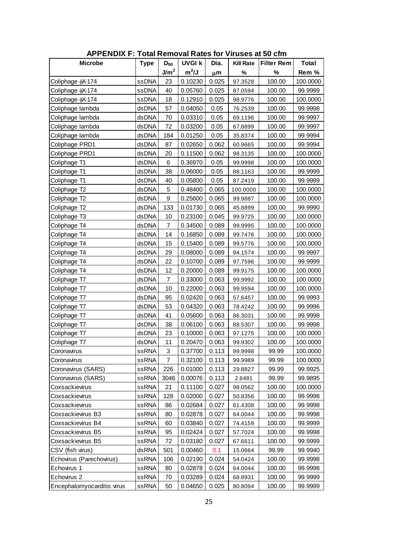| <b>APPENDIX F: Total Removal Rates for Viruses at 50 cfm</b> |              |                  |               |       |                    |                   |              |  |  |  |
|--------------------------------------------------------------|--------------|------------------|---------------|-------|--------------------|-------------------|--------------|--|--|--|
| <b>Microbe</b>                                               | <b>Type</b>  | $D_{90}$         | <b>UVGI k</b> | Dia.  | <b>Kill Rate</b>   | <b>Filter Rem</b> | <b>Total</b> |  |  |  |
|                                                              |              | J/m <sup>2</sup> | $m^2/J$       | μm    | %                  | $\%$              | Rem %        |  |  |  |
| Coliphage (X-174                                             | ssDNA        | 23               | 0.10230       | 0.025 | 97.3528            | 100.00            | 100.0000     |  |  |  |
| Coliphage $\phi$ X-174                                       | ssDNA        | 40               | 0.05760       | 0.025 | 87.0594            | 100.00            | 99.9999      |  |  |  |
| Coliphage (X-174                                             | ssDNA        | 18               | 0.12910       | 0.025 | 98.9776            | 100.00            | 100.0000     |  |  |  |
| Coliphage lambda                                             | dsDNA        | 57               | 0.04050       | 0.05  | 76.2539            | 100.00            | 99.9998      |  |  |  |
| Coliphage lambda                                             | dsDNA        | 70               | 0.03310       | 0.05  | 69.1196            | 100.00            | 99.9997      |  |  |  |
| Coliphage lambda                                             | dsDNA        | 72               | 0.03200       | 0.05  | 67.8899            | 100.00            | 99.9997      |  |  |  |
| Coliphage lambda                                             | dsDNA        | 184              | 0.01250       | 0.05  | 35.8374            | 100.00            | 99.9994      |  |  |  |
| Coliphage PRD1                                               | dsDNA        | 87               | 0.02650       | 0.062 | 60.9665            | 100.00            | 99.9994      |  |  |  |
| Coliphage PRD1                                               | dsDNA        | 20               | 0.11500       | 0.062 | 98.3135            | 100.00            | 100.0000     |  |  |  |
| Coliphage T1                                                 | dsDNA        | 6                | 0.36970       | 0.05  | 99.9998            | 100.00            | 100.0000     |  |  |  |
| Coliphage T1                                                 | dsDNA        | 38               | 0.06000       | 0.05  | 88.1163            | 100.00            | 99.9999      |  |  |  |
| Coliphage T1                                                 | dsDNA        | 40               | 0.05800       | 0.05  | 87.2419            | 100.00            | 99.9999      |  |  |  |
| Coliphage T2                                                 | dsDNA        | 5                | 0.48400       | 0.065 | 100.0000           | 100.00            | 100.0000     |  |  |  |
| Coliphage T2                                                 | dsDNA        | 9                | 0.25600       | 0.065 | 99.9887            | 100.00            | 100.0000     |  |  |  |
| Coliphage T2                                                 | dsDNA        | 133              | 0.01730       | 0.065 | 45.8899            | 100.00            | 99.9990      |  |  |  |
| Coliphage T3                                                 | dsDNA        | 10               | 0.23100       | 0.045 | 99.9725            | 100.00            | 100.0000     |  |  |  |
| Coliphage T4                                                 | dsDNA        | 7                | 0.34500       | 0.089 | 99.9995            | 100.00            | 100.0000     |  |  |  |
| Coliphage T4                                                 | dsDNA        | 14               | 0.16850       | 0.089 | 99.7476            | 100.00            | 100.0000     |  |  |  |
| Coliphage T4                                                 | dsDNA        | 15               | 0.15400       | 0.089 | 99.5776            | 100.00            | 100.0000     |  |  |  |
| Coliphage T4                                                 | dsDNA        | 29               | 0.08000       | 0.089 | 94.1574            | 100.00            | 99.9997      |  |  |  |
| Coliphage T4                                                 | dsDNA        | 22               | 0.10700       | 0.089 | 97.7596            | 100.00            | 99.9999      |  |  |  |
| Coliphage T4                                                 | dsDNA        | 12               | 0.20000       | 0.089 | 99.9175            | 100.00            | 100.0000     |  |  |  |
| Coliphage T7                                                 | dsDNA        | 7                | 0.33000       | 0.063 | 99.9992            | 100.00            | 100.0000     |  |  |  |
| Coliphage T7                                                 | dsDNA        | 10               | 0.22000       | 0.063 | 99.9594            | 100.00            | 100.0000     |  |  |  |
| Coliphage T7                                                 | dsDNA        | 95               | 0.02420       | 0.063 | 57.6457            | 100.00            | 99.9993      |  |  |  |
| Coliphage T7                                                 | dsDNA        | 53               | 0.04320       | 0.063 | 78.4242            | 100.00            | 99.9996      |  |  |  |
| Coliphage T7                                                 | dsDNA        | 41               | 0.05600       | 0.063 | 86.3031            | 100.00            | 99.9998      |  |  |  |
| Coliphage T7                                                 | dsDNA        | 38               | 0.06100       | 0.063 | 88.5307            | 100.00            | 99.9998      |  |  |  |
| Coliphage T7                                                 | dsDNA        | 23               | 0.10000       | 0.063 | 97.1275            | 100.00            | 100.0000     |  |  |  |
| Coliphage T7                                                 | dsDNA        | 11               | 0.20470       | 0.063 | 99.9302            | 100.00            | 100.0000     |  |  |  |
| Coronavirus                                                  | ssRNA        | 3                | 0.37700       | 0.113 | 99.9998            | 99.99             | 100.0000     |  |  |  |
| Coronavirus                                                  | ssRNA        | 7                | 0.32100       | 0.113 | 99.9989            | 99.99             | 100.0000     |  |  |  |
| Coronavirus (SARS)                                           | ssRNA        | 226              | 0.01000       | 0.113 | 29.8827            | 99.99             | 99.9925      |  |  |  |
| Coronavirus (SARS)                                           | ssRNA        | 3046             | 0.00076       | 0.113 | 2.6481             | 99.99             | 99.9895      |  |  |  |
| Coxsackievirus                                               | ssRNA        | 21               | 0.11100       | 0.027 | 98.0562            | 100.00            | 100.0000     |  |  |  |
| Coxsackievirus                                               | ssRNA        | 128              | 0.02000       | 0.027 | 50.8356            | 100.00            | 99.9998      |  |  |  |
| Coxsackievirus                                               | ssRNA        | 86               | 0.02684       | 0.027 | 61.4308            | 100.00            | 99.9998      |  |  |  |
| Coxsackievirus B3                                            | ssRNA        | 80               | 0.02878       | 0.027 | 64.0044            | 100.00            | 99.9998      |  |  |  |
| Coxsackievirus B4                                            | ssRNA        | 60               | 0.03840       | 0.027 | 74.4159            | 100.00            | 99.9999      |  |  |  |
| Coxsackievirus B5                                            | ssRNA        | 95               | 0.02424       | 0.027 | 57.7024            | 100.00            | 99.9998      |  |  |  |
| Coxsackievirus B5                                            | ssRNA        | 72               | 0.03180       | 0.027 | 67.6611            | 100.00            | 99.9999      |  |  |  |
| CSV (fish virus)                                             | dsRNA        | 501              | 0.00460       | 0.1   |                    | 99.99             | 99.9940      |  |  |  |
| Echovirus (Parechovirus)                                     | ssRNA        | 106              | 0.02190       | 0.024 | 15.0664<br>54.0424 | 100.00            | 99.9998      |  |  |  |
| Echovirus 1                                                  | <b>ssRNA</b> | 80               | 0.02878       | 0.024 | 64.0044            | 100.00            | 99.9998      |  |  |  |
| Echovirus 2                                                  | ssRNA        | 70               | 0.03289       | 0.024 | 68.8931            | 100.00            | 99.9999      |  |  |  |
| Encephalomyocarditis virus                                   | ssRNA        | 50               | 0.04650       | 0.025 | 80.8094            | 100.00            | 99.9999      |  |  |  |

**APPENDIX F: Total Removal Rates for Viruses at 50 cfm**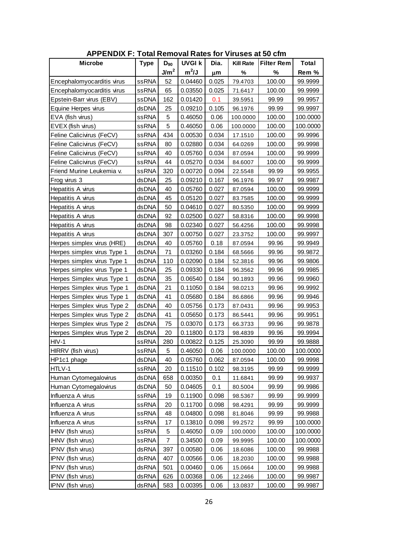| <b>APPENDIX F: Total Removal Rates for Viruses at 50 cfm</b> |             |                  |               |       |                  |                   |              |  |  |  |
|--------------------------------------------------------------|-------------|------------------|---------------|-------|------------------|-------------------|--------------|--|--|--|
| <b>Microbe</b>                                               | <b>Type</b> | $D_{90}$         | <b>UVGI k</b> | Dia.  | <b>Kill Rate</b> | <b>Filter Rem</b> | <b>Total</b> |  |  |  |
|                                                              |             | J/m <sup>2</sup> | $m^2/J$       | μm    | %                | %                 | Rem %        |  |  |  |
| Encephalomy ocarditis virus                                  | ssRNA       | 52               | 0.04460       | 0.025 | 79.4703          | 100.00            | 99.9999      |  |  |  |
| Encephalomyocarditis virus                                   | ssRNA       | 65               | 0.03550       | 0.025 | 71.6417          | 100.00            | 99.9999      |  |  |  |
| Epstein-Barr virus (EBV)                                     | ssDNA       | 162              | 0.01420       | 0.1   | 39.5951          | 99.99             | 99.9957      |  |  |  |
| Equine Herpes virus                                          | dsDNA       | 25               | 0.09210       | 0.105 | 96.1976          | 99.99             | 99.9997      |  |  |  |
| EVA (fish virus)                                             | ssRNA       | 5                | 0.46050       | 0.06  | 100.0000         | 100.00            | 100.0000     |  |  |  |
| EVEX (fish virus)                                            | ssRNA       | 5                | 0.46050       | 0.06  | 100.0000         | 100.00            | 100.0000     |  |  |  |
| Feline Calicivirus (FeCV)                                    | ssRNA       | 434              | 0.00530       | 0.034 | 17.1510          | 100.00            | 99.9996      |  |  |  |
| Feline Calicivirus (FeCV)                                    | ssRNA       | 80               | 0.02880       | 0.034 | 64.0269          | 100.00            | 99.9998      |  |  |  |
| Feline Calicivirus (FeCV)                                    | ssRNA       | 40               | 0.05760       | 0.034 | 87.0594          | 100.00            | 99.9999      |  |  |  |
| Feline Calicivirus (FeCV)                                    | ssRNA       | 44               | 0.05270       | 0.034 | 84.6007          | 100.00            | 99.9999      |  |  |  |
| Friend Murine Leukemia v.                                    | ssRNA       | 320              | 0.00720       | 0.094 | 22.5548          | 99.99             | 99.9955      |  |  |  |
| Frog virus 3                                                 | dsDNA       | 25               | 0.09210       | 0.167 | 96.1976          | 99.97             | 99.9987      |  |  |  |
| Hepatitis A virus                                            | dsDNA       | 40               | 0.05760       | 0.027 | 87.0594          | 100.00            | 99.9999      |  |  |  |
| Hepatitis A virus                                            | dsDNA       | 45               | 0.05120       | 0.027 | 83.7585          | 100.00            | 99.9999      |  |  |  |
| Hepatitis A virus                                            | dsDNA       | 50               | 0.04610       | 0.027 | 80.5350          | 100.00            | 99.9999      |  |  |  |
| Hepatitis A virus                                            | dsDNA       | 92               | 0.02500       | 0.027 | 58.8316          | 100.00            | 99.9998      |  |  |  |
| Hepatitis A virus                                            | dsDNA       | 98               | 0.02340       | 0.027 | 56.4256          | 100.00            | 99.9998      |  |  |  |
| Hepatitis A virus                                            | dsDNA       | 307              | 0.00750       | 0.027 | 23.3752          | 100.00            | 99.9997      |  |  |  |
| Herpes simplex virus (HRE)                                   | dsDNA       | 40               | 0.05760       | 0.18  | 87.0594          | 99.96             | 99.9949      |  |  |  |
| Herpes simplex virus Type 1                                  | dsDNA       | 71               | 0.03260       | 0.184 | 68.5666          | 99.96             | 99.9872      |  |  |  |
| Herpes simplex virus Type 1                                  | dsDNA       | 110              | 0.02090       | 0.184 | 52.3816          | 99.96             | 99.9806      |  |  |  |
| Herpes simplex virus Type 1                                  | dsDNA       | 25               | 0.09330       | 0.184 | 96.3562          | 99.96             | 99.9985      |  |  |  |
| Herpes Simplex virus Type 1                                  | dsDNA       | 35               | 0.06540       | 0.184 | 90.1893          | 99.96             | 99.9960      |  |  |  |
| Herpes Simplex virus Type 1                                  | dsDNA       | 21               | 0.11050       | 0.184 | 98.0213          | 99.96             | 99.9992      |  |  |  |
| Herpes Simplex virus Type 1                                  | dsDNA       | 41               | 0.05680       | 0.184 | 86.6866          | 99.96             | 99.9946      |  |  |  |
| Herpes Simplex virus Type 2                                  | dsDNA       | 40               | 0.05756       | 0.173 | 87.0431          | 99.96             | 99.9953      |  |  |  |
| Herpes Simplex virus Type 2                                  | dsDNA       | 41               | 0.05650       | 0.173 | 86.5441          | 99.96             | 99.9951      |  |  |  |
| Herpes Simplex virus Type 2                                  | dsDNA       | 75               | 0.03070       | 0.173 | 66.3733          | 99.96             | 99.9878      |  |  |  |
| Herpes Simplex virus Type 2                                  | dsDNA       | 20               | 0.11800       | 0.173 | 98.4839          | 99.96             | 99.9994      |  |  |  |
| $HIV-1$                                                      | ssRNA       | 280              | 0.00822       | 0.125 | 25.3090          | 99.99             | 99.9888      |  |  |  |
| HIRRV (fish virus)                                           | ssRNA       | $5\phantom{.0}$  | 0.46050       | 0.06  | 100.0000         | 100.00            | 100.0000     |  |  |  |
| HP1c1 phage                                                  | dsDNA       | 40               | 0.05760       | 0.062 | 87.0594          | 100.00            | 99.9998      |  |  |  |
| HTLV-1                                                       | ssRNA       | 20               | 0.11510       | 0.102 | 98.3195          | 99.99             | 99.9999      |  |  |  |
| Human Cytomegalovirus                                        | dsDNA       | 658              | 0.00350       | 0.1   | 11.6841          | 99.99             | 99.9937      |  |  |  |
| Human Cytomegalovirus                                        | dsDNA       | 50               | 0.04605       | 0.1   | 80.5004          | 99.99             | 99.9986      |  |  |  |
| Influenza A virus                                            | ssRNA       | 19               | 0.11900       | 0.098 | 98.5367          | 99.99             | 99.9999      |  |  |  |
| Influenza A virus                                            | ssRNA       | 20               | 0.11700       | 0.098 | 98.4291          | 99.99             | 99.9999      |  |  |  |
| Influenza A virus                                            | ssRNA       | 48               | 0.04800       | 0.098 | 81.8046          | 99.99             | 99.9988      |  |  |  |
| Influenza A virus                                            | ssRNA       | 17               | 0.13810       | 0.098 | 99.2572          | 99.99             | 100.0000     |  |  |  |
| IHNV (fish virus)                                            | ssRNA       | 5                | 0.46050       | 0.09  | 100.0000         | 100.00            | 100.0000     |  |  |  |
| <b>IHNV</b> (fish virus)                                     | ssRNA       | $\overline{7}$   | 0.34500       | 0.09  | 99.9995          | 100.00            | 100.0000     |  |  |  |
| IPNV (fish virus)                                            | dsRNA       | 397              | 0.00580       | 0.06  | 18.6086          | 100.00            | 99.9988      |  |  |  |
| IPNV (fish virus)                                            | dsRNA       | 407              | 0.00566       | 0.06  | 18.2030          | 100.00            | 99.9988      |  |  |  |
| IPNV (fish virus)                                            | dsRNA       | 501              | 0.00460       | 0.06  | 15.0664          | 100.00            | 99.9988      |  |  |  |
| IPNV (fish virus)                                            | dsRNA       | 626              | 0.00368       | 0.06  | 12.2466          | 100.00            | 99.9987      |  |  |  |
| IPNV (fish virus)                                            | dsRNA       | 583              | 0.00395       | 0.06  | 13.0837          | 100.00            | 99.9987      |  |  |  |

**APPENDIX F: Total Removal Rates for Viruses at 50 cfm**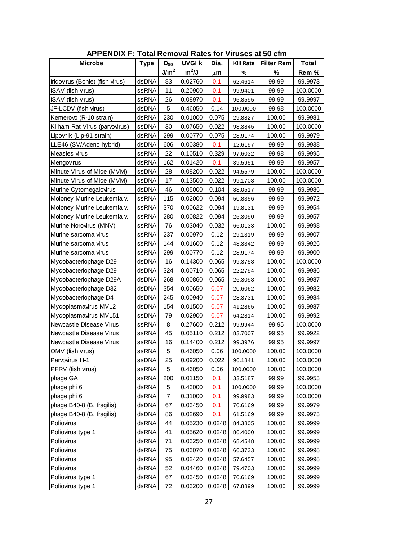| <b>APPENDIX F: Total Removal Rates for Viruses at 50 cfm</b> |              |                  |               |        |                  |                   |              |  |  |  |
|--------------------------------------------------------------|--------------|------------------|---------------|--------|------------------|-------------------|--------------|--|--|--|
| <b>Microbe</b>                                               | <b>Type</b>  | $D_{90}$         | <b>UVGI k</b> | Dia.   | <b>Kill Rate</b> | <b>Filter Rem</b> | <b>Total</b> |  |  |  |
|                                                              |              | J/m <sup>2</sup> | $m^2/J$       | μm     | %                | %                 | Rem %        |  |  |  |
| Iridovirus (Bohle) (fish virus)                              | dsDNA        | 83               | 0.02760       | 0.1    | 62.4614          | 99.99             | 99.9973      |  |  |  |
| ISAV (fish virus)                                            | ssRNA        | 11               | 0.20900       | 0.1    | 99.9401          | 99.99             | 100.0000     |  |  |  |
| ISAV (fish virus)                                            | ssRNA        | 26               | 0.08970       | 0.1    | 95.8595          | 99.99             | 99.9997      |  |  |  |
| JF-LCDV (fish virus)                                         | dsDNA        | 5                | 0.46050       | 0.14   | 100.0000         | 99.98             | 100.0000     |  |  |  |
| Kemerovo (R-10 strain)                                       | dsRNA        | 230              | 0.01000       | 0.075  | 29.8827          | 100.00            | 99.9981      |  |  |  |
| Kilham Rat Virus (parvovirus)                                | ssDNA        | 30               | 0.07650       | 0.022  | 93.3845          | 100.00            | 100.0000     |  |  |  |
| Lipovnik (Lip-91 strain)                                     | dsRNA        | 299              | 0.00770       | 0.075  | 23.9174          | 100.00            | 99.9979      |  |  |  |
| LLE46 (SV/Adeno hybrid)                                      | dsDNA        | 606              | 0.00380       | 0.1    | 12.6197          | 99.99             | 99.9938      |  |  |  |
| Measles virus                                                | <b>ssRNA</b> | 22               | 0.10510       | 0.329  | 97.6032          | 99.98             | 99.9995      |  |  |  |
| Mengovirus                                                   | dsRNA        | 162              | 0.01420       | 0.1    | 39.5951          | 99.99             | 99.9957      |  |  |  |
| Minute Virus of Mice (MVM)                                   | ssDNA        | 28               | 0.08200       | 0.022  | 94.5579          | 100.00            | 100.0000     |  |  |  |
| Minute Virus of Mice (MVM)                                   | ssDNA        | 17               | 0.13500       | 0.022  | 99.1708          | 100.00            | 100.0000     |  |  |  |
| Murine Cytomegalovirus                                       | dsDNA        | 46               | 0.05000       | 0.104  | 83.0517          | 99.99             | 99.9986      |  |  |  |
| Moloney Murine Leukemia v.                                   | <b>ssRNA</b> | 115              | 0.02000       | 0.094  | 50.8356          | 99.99             | 99.9972      |  |  |  |
| Moloney Murine Leukemia v.                                   | <b>ssRNA</b> | 370              | 0.00622       | 0.094  | 19.8131          | 99.99             | 99.9954      |  |  |  |
| Moloney Murine Leukemia v.                                   | ssRNA        | 280              | 0.00822       | 0.094  | 25.3090          | 99.99             | 99.9957      |  |  |  |
| Murine Norovirus (MNV)                                       | <b>ssRNA</b> | 76               | 0.03040       | 0.032  | 66.0133          | 100.00            | 99.9998      |  |  |  |
| Murine sarcoma virus                                         | <b>ssRNA</b> | 237              | 0.00970       | 0.12   | 29.1319          | 99.99             | 99.9907      |  |  |  |
| Murine sarcoma virus                                         | <b>ssRNA</b> | 144              | 0.01600       | 0.12   | 43.3342          | 99.99             | 99.9926      |  |  |  |
| Murine sarcoma virus                                         | <b>ssRNA</b> | 299              | 0.00770       | 0.12   | 23.9174          | 99.99             | 99.9900      |  |  |  |
| Mycobacteriophage D29                                        | dsDNA        | 16               | 0.14300       | 0.065  | 99.3758          | 100.00            | 100.0000     |  |  |  |
| Mycobacteriophage D29                                        | dsDNA        | 324              | 0.00710       | 0.065  | 22.2794          | 100.00            | 99.9986      |  |  |  |
| Mycobacteriophage D29A                                       | dsDNA        | 268              | 0.00860       | 0.065  | 26.3098          | 100.00            | 99.9987      |  |  |  |
| Mycobacteriophage D32                                        | dsDNA        | 354              | 0.00650       | 0.07   | 20.6062          | 100.00            | 99.9982      |  |  |  |
| Mycobacteriophage D4                                         | dsDNA        | 245              | 0.00940       | 0.07   | 28.3731          | 100.00            | 99.9984      |  |  |  |
| Mycoplasmavirus MVL2                                         | dsDNA        | 154              | 0.01500       | 0.07   | 41.2865          | 100.00            | 99.9987      |  |  |  |
| Mycoplasmavirus MVL51                                        | ssDNA        | 79               | 0.02900       | 0.07   | 64.2814          | 100.00            | 99.9992      |  |  |  |
| Newcastle Disease Virus                                      | ssRNA        | 8                | 0.27600       | 0.212  | 99.9944          | 99.95             | 100.0000     |  |  |  |
| Newcastle Disease Virus                                      | ssRNA        | 45               | 0.05110       | 0.212  | 83.7007          | 99.95             | 99.9922      |  |  |  |
| Newcastle Disease Virus                                      | ssRNA        | 16               | 0.14400       | 0.212  | 99.3976          | 99.95             | 99.9997      |  |  |  |
| OMV (fish virus)                                             | ssRNA        | 5                | 0.46050       | 0.06   | 100.0000         | 100.00            | 100.0000     |  |  |  |
| Parvovirus H-1                                               | ssDNA        | 25               | 0.09200       | 0.022  | 96.1841          | 100.00            | 100.0000     |  |  |  |
| PFRV (fish virus)                                            | ssRNA        | 5                | 0.46050       | 0.06   | 100.0000         | 100.00            | 100.0000     |  |  |  |
| phage GA                                                     | ssRNA        | 200              | 0.01150       | 0.1    | 33.5187          | 99.99             | 99.9953      |  |  |  |
| phage phi 6                                                  | dsRNA        | 5                | 0.43000       | 0.1    | 100.0000         | 99.99             | 100.0000     |  |  |  |
| phage phi 6                                                  | dsRNA        | 7                | 0.31000       | 0.1    | 99.9983          | 99.99             | 100.0000     |  |  |  |
| phage B40-8 (B. fragilis)                                    | dsDNA        | 67               | 0.03450       | 0.1    | 70.6169          | 99.99             | 99.9979      |  |  |  |
| phage B40-8 (B. fragilis)                                    | dsDNA        | 86               | 0.02690       | 0.1    | 61.5169          | 99.99             | 99.9973      |  |  |  |
| Poliovirus                                                   | dsRNA        | 44               | 0.05230       | 0.0248 | 84.3805          | 100.00            | 99.9999      |  |  |  |
| Poliovirus type 1                                            | dsRNA        | 41               | 0.05620       | 0.0248 | 86.4000          | 100.00            | 99.9999      |  |  |  |
| Poliovirus                                                   | dsRNA        | 71               | 0.03250       | 0.0248 | 68.4548          | 100.00            | 99.9999      |  |  |  |
| Poliovirus                                                   | dsRNA        | 75               | 0.03070       | 0.0248 | 66.3733          | 100.00            | 99.9998      |  |  |  |
| Poliovirus                                                   | dsRNA        | 95               | 0.02420       | 0.0248 | 57.6457          | 100.00            | 99.9998      |  |  |  |
| Poliovirus                                                   | dsRNA        | 52               | 0.04460       | 0.0248 | 79.4703          | 100.00            | 99.9999      |  |  |  |
| Poliovirus type 1                                            | dsRNA        | 67               | 0.03450       | 0.0248 | 70.6169          | 100.00            | 99.9999      |  |  |  |
| Poliovirus type 1                                            | dsRNA        | 72               | 0.03200       | 0.0248 | 67.8899          | 100.00            | 99.9999      |  |  |  |

**APPENDIX F: Total Removal Rates for Viruses at 50 cfm**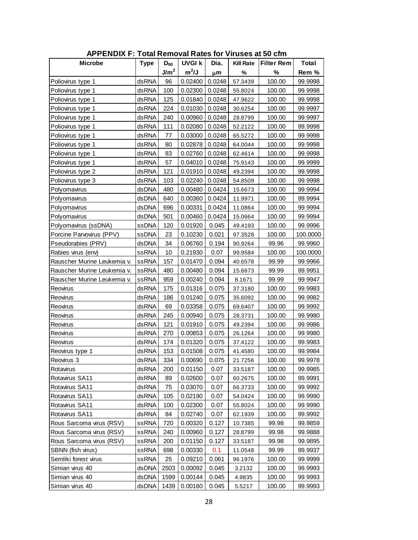| <b>APPENDIX F: Total Removal Rates for Viruses at 50 cfm</b> |              |                  |               |         |                  |                   |              |  |  |
|--------------------------------------------------------------|--------------|------------------|---------------|---------|------------------|-------------------|--------------|--|--|
| <b>Microbe</b>                                               | <b>Type</b>  | $D_{90}$         | <b>UVGI k</b> | Dia.    | <b>Kill Rate</b> | <b>Filter Rem</b> | <b>Total</b> |  |  |
|                                                              |              | J/m <sup>2</sup> | $m^2/J$       | $\mu$ m | %                | %                 | Rem %        |  |  |
| Poliovirus type 1                                            | dsRNA        | 96               | 0.02400       | 0.0248  | 57.3439          | 100.00            | 99.9998      |  |  |
| Poliovirus type 1                                            | dsRNA        | 100              | 0.02300       | 0.0248  | 55.8024          | 100.00            | 99.9998      |  |  |
| Poliovirus type 1                                            | dsRNA        | 125              | 0.01840       | 0.0248  | 47.9622          | 100.00            | 99.9998      |  |  |
| Poliovirus type 1                                            | dsRNA        | 224              | 0.01030       | 0.0248  | 30.6254          | 100.00            | 99.9997      |  |  |
| Poliovirus type 1                                            | dsRNA        | 240              | 0.00960       | 0.0248  | 28.8799          | 100.00            | 99.9997      |  |  |
| Poliovirus type 1                                            | dsRNA        | 111              | 0.02080       | 0.0248  | 52.2122          | 100.00            | 99.9998      |  |  |
| Poliovirus type 1                                            | dsRNA        | 77               | 0.03000       | 0.0248  | 65.5272          | 100.00            | 99.9998      |  |  |
| Poliovirus type 1                                            | dsRNA        | 80               | 0.02878       | 0.0248  | 64.0044          | 100.00            | 99.9998      |  |  |
| Poliovirus type 1                                            | dsRNA        | 83               | 0.02760       | 0.0248  | 62.4614          | 100.00            | 99.9998      |  |  |
| Poliovirus type 1                                            | dsRNA        | 57               | 0.04010       | 0.0248  | 75.9143          | 100.00            | 99.9999      |  |  |
| Poliovirus type 2                                            | dsRNA        | 121              | 0.01910       | 0.0248  | 49.2394          | 100.00            | 99.9998      |  |  |
| Poliovirus type 3                                            | dsRNA        | 103              | 0.02240       | 0.0248  | 54.8509          | 100.00            | 99.9998      |  |  |
| Polyomavirus                                                 | dsDNA        | 480              | 0.00480       | 0.0424  | 15.6673          | 100.00            | 99.9994      |  |  |
| Polyomavirus                                                 | dsDNA        | 640              | 0.00360       | 0.0424  | 11.9971          | 100.00            | 99.9994      |  |  |
| Polyomavirus                                                 | dsDNA        | 696              | 0.00331       | 0.0424  | 11.0864          | 100.00            | 99.9994      |  |  |
| Polyomavirus                                                 | dsDNA        | 501              | 0.00460       | 0.0424  | 15.0664          | 100.00            | 99.9994      |  |  |
| Polyomavirus (ssDNA)                                         | ssDNA        | 120              | 0.01920       | 0.045   | 49.4193          | 100.00            | 99.9996      |  |  |
| Porcine Parvovirus (PPV)                                     | ssDNA        | 23               | 0.10230       | 0.021   | 97.3528          | 100.00            | 100.0000     |  |  |
| Pseudorabies (PRV)                                           | dsDNA        | 34               | 0.06760       | 0.194   | 90.9264          | 99.96             | 99.9960      |  |  |
| Rabies virus (env)                                           | ssRNA        | 10               | 0.21930       | 0.07    | 99.9584          | 100.00            | 100.0000     |  |  |
| Rauscher Murine Leukemia v.                                  | ssRNA        | 157              | 0.01470       | 0.094   | 40.6578          | 99.99             | 99.9966      |  |  |
| Rauscher Murine Leukemia v.                                  | <b>ssRNA</b> | 480              | 0.00480       | 0.094   | 15.6673          | 99.99             | 99.9951      |  |  |
| Rauscher Murine Leukemia v.                                  | ssRNA        | 959              | 0.00240       | 0.094   | 8.1671           | 99.99             | 99.9947      |  |  |
| Reovirus                                                     | dsRNA        | 175              | 0.01316       | 0.075   | 37.3180          | 100.00            | 99.9983      |  |  |
| Reovirus                                                     | dsRNA        | 186              | 0.01240       | 0.075   | 35.6092          | 100.00            | 99.9982      |  |  |
| Reovirus                                                     | dsRNA        | 69               | 0.03358       | 0.075   | 69.6407          | 100.00            | 99.9992      |  |  |
| Reovirus                                                     | dsRNA        | 245              | 0.00940       | 0.075   | 28.3731          | 100.00            | 99.9980      |  |  |
| Reovirus                                                     | dsRNA        | 121              | 0.01910       | 0.075   | 49.2394          | 100.00            | 99.9986      |  |  |
| Reovirus                                                     | dsRNA        | 270              | 0.00853       | 0.075   | 26.1264          | 100.00            | 99.9980      |  |  |
| Reovirus                                                     | dsRNA        | 174              | 0.01320       | 0.075   | 37.4122          | 100.00            | 99.9983      |  |  |
| Reovirus type 1                                              | dsRNA        | 153              | 0.01508       | 0.075   | 41.4580          | 100.00            | 99.9984      |  |  |
| Reovirus 3                                                   | dsRNA        | 334              | 0.00690       | 0.075   | 21.7256          | 100.00            | 99.9978      |  |  |
| Rotavirus                                                    | dsRNA        | 200              | 0.01150       | 0.07    | 33.5187          | 100.00            | 99.9985      |  |  |
| Rotavirus SA11                                               | dsRNA        | 89               | 0.02600       | 0.07    | 60.2675          | 100.00            | 99.9991      |  |  |
| Rotavirus SA11                                               | dsRNA        | 75               | 0.03070       | 0.07    | 66.3733          | 100.00            | 99.9992      |  |  |
| Rotavirus SA11                                               | dsRNA        | 105              | 0.02190       | 0.07    | 54.0424          | 100.00            | 99.9990      |  |  |
| Rotavirus SA11                                               | dsRNA        | 100              | 0.02300       | 0.07    | 55.8024          | 100.00            | 99.9990      |  |  |
| Rotavirus SA11                                               | dsRNA        | 84               | 0.02740       | 0.07    | 62.1939          | 100.00            | 99.9992      |  |  |
| Rous Sarcoma virus (RSV)                                     | ssRNA        | 720              | 0.00320       | 0.127   | 10.7385          | 99.98             | 99.9859      |  |  |
| Rous Sarcoma virus (RSV)                                     | ssRNA        | 240              | 0.00960       | 0.127   | 28.8799          | 99.98             | 99.9888      |  |  |
| Rous Sarcoma virus (RSV)                                     | ssRNA        | 200              | 0.01150       | 0.127   | 33.5187          | 99.98             | 99.9895      |  |  |
| SBNN (fish virus)                                            | ssRNA        | 698              | 0.00330       | 0.1     | 11.0548          | 99.99             | 99.9937      |  |  |
| Semliki forest virus                                         | ssRNA        | 25               | 0.09210       | 0.061   | 96.1976          | 100.00            | 99.9999      |  |  |
| Simian virus 40                                              | dsDNA        | 2503             | 0.00092       | 0.045   | 3.2132           | 100.00            | 99.9993      |  |  |
| Simian virus 40                                              | dsDNA        | 1599             | 0.00144       | 0.045   | 4.9835           | 100.00            | 99.9993      |  |  |
| Simian virus 40                                              | dsDNA        | 1439             | 0.00160       | 0.045   | 5.5217           | 100.00            | 99.9993      |  |  |

**APPENDIX F: Total Removal Rates for Viruses at 50 cfm**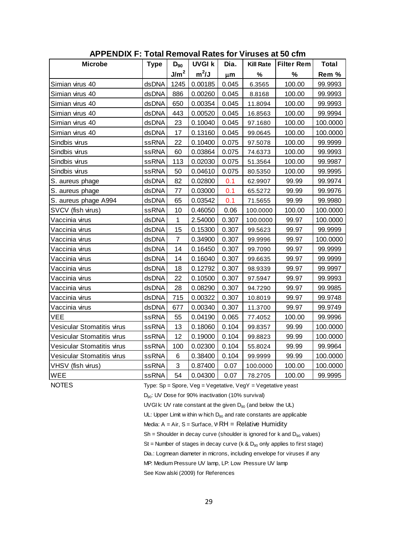| <b>APPENDIX F: Total Removal Rates for Viruses at 50 cfm</b> |              |                  |               |         |                  |                   |              |  |  |  |  |
|--------------------------------------------------------------|--------------|------------------|---------------|---------|------------------|-------------------|--------------|--|--|--|--|
| <b>Microbe</b>                                               | <b>Type</b>  | $D_{90}$         | <b>UVGI k</b> | Dia.    | <b>Kill Rate</b> | <b>Filter Rem</b> | <b>Total</b> |  |  |  |  |
|                                                              |              | J/m <sup>2</sup> | $m^2/J$       | $\mu$ m | %                | %                 | Rem %        |  |  |  |  |
| Simian virus 40                                              | dsDNA        | 1245             | 0.00185       | 0.045   | 6.3565           | 100.00            | 99.9993      |  |  |  |  |
| Simian virus 40                                              | dsDNA        | 886              | 0.00260       | 0.045   | 8.8168           | 100.00            | 99.9993      |  |  |  |  |
| Simian virus 40                                              | dsDNA        | 650              | 0.00354       | 0.045   | 11.8094          | 100.00            | 99.9993      |  |  |  |  |
| Simian virus 40                                              | dsDNA        | 443              | 0.00520       | 0.045   | 16.8563          | 100.00            | 99.9994      |  |  |  |  |
| Simian virus 40                                              | dsDNA        | 23               | 0.10040       | 0.045   | 97.1680          | 100.00            | 100.0000     |  |  |  |  |
| Simian virus 40                                              | dsDNA        | 17               | 0.13160       | 0.045   | 99.0645          | 100.00            | 100.0000     |  |  |  |  |
| Sindbis virus                                                | <b>ssRNA</b> | 22               | 0.10400       | 0.075   | 97.5078          | 100.00            | 99.9999      |  |  |  |  |
| Sindbis virus                                                | ssRNA        | 60               | 0.03864       | 0.075   | 74.6373          | 100.00            | 99.9993      |  |  |  |  |
| Sindbis virus                                                | <b>ssRNA</b> | 113              | 0.02030       | 0.075   | 51.3564          | 100.00            | 99.9987      |  |  |  |  |
| Sindbis virus                                                | <b>ssRNA</b> | 50               | 0.04610       | 0.075   | 80.5350          | 100.00            | 99.9995      |  |  |  |  |
| S. aureus phage                                              | dsDNA        | 82               | 0.02800       | 0.1     | 62.9907          | 99.99             | 99.9974      |  |  |  |  |
| S. aureus phage                                              | dsDNA        | 77               | 0.03000       | 0.1     | 65.5272          | 99.99             | 99.9976      |  |  |  |  |
| S. aureus phage A994                                         | dsDNA        | 65               | 0.03542       | 0.1     | 71.5655          | 99.99             | 99.9980      |  |  |  |  |
| SVCV (fish virus)                                            | <b>ssRNA</b> | 10               | 0.46050       | 0.06    | 100.0000         | 100.00            | 100.0000     |  |  |  |  |
| Vaccinia virus                                               | dsDNA        | 1                | 2.54000       | 0.307   | 100.0000         | 99.97             | 100.0000     |  |  |  |  |
| Vaccinia virus                                               | dsDNA        | 15               | 0.15300       | 0.307   | 99.5623          | 99.97             | 99.9999      |  |  |  |  |
| Vaccinia virus                                               | dsDNA        | $\overline{7}$   | 0.34900       | 0.307   | 99.9996          | 99.97             | 100.0000     |  |  |  |  |
| Vaccinia virus                                               | dsDNA        | 14               | 0.16450       | 0.307   | 99.7090          | 99.97             | 99.9999      |  |  |  |  |
| Vaccinia virus                                               | dsDNA        | 14               | 0.16040       | 0.307   | 99.6635          | 99.97             | 99.9999      |  |  |  |  |
| Vaccinia virus                                               | dsDNA        | 18               | 0.12792       | 0.307   | 98.9339          | 99.97             | 99.9997      |  |  |  |  |
| Vaccinia virus                                               | dsDNA        | 22               | 0.10500       | 0.307   | 97.5947          | 99.97             | 99.9993      |  |  |  |  |
| Vaccinia virus                                               | dsDNA        | 28               | 0.08290       | 0.307   | 94.7290          | 99.97             | 99.9985      |  |  |  |  |
| Vaccinia virus                                               | dsDNA        | 715              | 0.00322       | 0.307   | 10.8019          | 99.97             | 99.9748      |  |  |  |  |
| Vaccinia virus                                               | dsDNA        | 677              | 0.00340       | 0.307   | 11.3700          | 99.97             | 99.9749      |  |  |  |  |
| VEE                                                          | <b>ssRNA</b> | 55               | 0.04190       | 0.065   | 77.4052          | 100.00            | 99.9996      |  |  |  |  |
| Vesicular Stomatitis virus                                   | <b>ssRNA</b> | 13               | 0.18060       | 0.104   | 99.8357          | 99.99             | 100.0000     |  |  |  |  |
| Vesicular Stomatitis virus                                   | <b>ssRNA</b> | 12               | 0.19000       | 0.104   | 99.8823          | 99.99             | 100.0000     |  |  |  |  |
| Vesicular Stomatitis virus                                   | ssRNA        | 100              | 0.02300       | 0.104   | 55.8024          | 99.99             | 99.9964      |  |  |  |  |
| Vesicular Stomatitis virus                                   | <b>ssRNA</b> | 6                | 0.38400       | 0.104   | 99.9999          | 99.99             | 100.0000     |  |  |  |  |
| VHSV (fish virus)                                            | ssRNA        | 3                | 0.87400       | 0.07    | 100.0000         | 100.00            | 100.0000     |  |  |  |  |
| WEE                                                          | <b>ssRNA</b> | 54               | 0.04300       | 0.07    | 78.2705          | 100.00            | 99.9995      |  |  |  |  |

**APPENDIX F: Total Removal Rates for Viruses at 50 cfm**

NOTES Type: Sp = Spore, Veg = Vegetative, VegY = Vegetative yeast

D<sub>90</sub>: UV Dose for 90% inactivation (10% survival)

UVGI k: UV rate constant at the given  $D_{90}$  (and below the UL)

UL: Upper Limit w ithin w hich  $D_{90}$  and rate constants are applicable

Media:  $A = Air$ ,  $S = Surface$ ,  $WRH = Relative Humidity$ 

 $Sh = Sh$ oulder in decay curve (shoulder is ignored for k and  $D_{90}$  values)

St = Number of stages in decay curve (k & D<sub>90</sub> only applies to first stage)<br>Dia.: Logmean diameter in microns, including envelope for viruses if any<br>MP: Medium Pressure UV lamp, LP: Low Pressure UV lamp

Dia.: Logmean diameter in microns, including envelope for viruses if any See Kow alski (2009) for References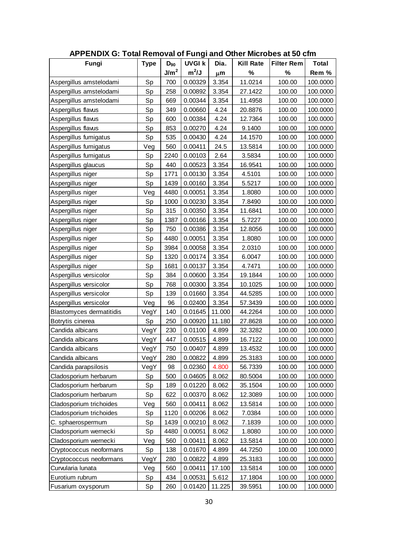| <b>APPENDIX G: Total Removal of Fungi and Other Microbes at 50 cfm</b> |             |                  |               |        |                  |                   |          |
|------------------------------------------------------------------------|-------------|------------------|---------------|--------|------------------|-------------------|----------|
| Fungi                                                                  | <b>Type</b> | $D_{90}$         | <b>UVGI k</b> | Dia.   | <b>Kill Rate</b> | <b>Filter Rem</b> | Total    |
|                                                                        |             | J/m <sup>2</sup> | $m^2/J$       | μm     | %                | %                 | Rem %    |
| Aspergillus amstelodami                                                | Sp          | 700              | 0.00329       | 3.354  | 11.0214          | 100.00            | 100.0000 |
| Aspergillus amstelodami                                                | Sp          | 258              | 0.00892       | 3.354  | 27.1422          | 100.00            | 100.0000 |
| Aspergillus amstelodami                                                | Sp          | 669              | 0.00344       | 3.354  | 11.4958          | 100.00            | 100.0000 |
| Aspergillus flaws                                                      | Sp          | 349              | 0.00660       | 4.24   | 20.8876          | 100.00            | 100.0000 |
| Aspergillus flaws                                                      | Sp          | 600              | 0.00384       | 4.24   | 12.7364          | 100.00            | 100.0000 |
| Aspergillus flaws                                                      | Sp          | 853              | 0.00270       | 4.24   | 9.1400           | 100.00            | 100.0000 |
| Aspergillus fumigatus                                                  | Sp          | 535              | 0.00430       | 4.24   | 14.1570          | 100.00            | 100.0000 |
| Aspergillus fumigatus                                                  | Veg         | 560              | 0.00411       | 24.5   | 13.5814          | 100.00            | 100.0000 |
| Aspergillus fumigatus                                                  | Sp          | 2240             | 0.00103       | 2.64   | 3.5834           | 100.00            | 100.0000 |
| Aspergillus glaucus                                                    | Sp          | 440              | 0.00523       | 3.354  | 16.9541          | 100.00            | 100.0000 |
| Aspergillus niger                                                      | Sp          | 1771             | 0.00130       | 3.354  | 4.5101           | 100.00            | 100.0000 |
| Aspergillus niger                                                      | Sp          | 1439             | 0.00160       | 3.354  | 5.5217           | 100.00            | 100.0000 |
| Aspergillus niger                                                      | Veg         | 4480             | 0.00051       | 3.354  | 1.8080           | 100.00            | 100.0000 |
| Aspergillus niger                                                      | Sp          | 1000             | 0.00230       | 3.354  | 7.8490           | 100.00            | 100.0000 |
| Aspergillus niger                                                      | Sp          | 315              | 0.00350       | 3.354  | 11.6841          | 100.00            | 100.0000 |
| Aspergillus niger                                                      | Sp          | 1387             | 0.00166       | 3.354  | 5.7227           | 100.00            | 100.0000 |
| Aspergillus niger                                                      | Sp          | 750              | 0.00386       | 3.354  | 12.8056          | 100.00            | 100.0000 |
| Aspergillus niger                                                      | Sp          | 4480             | 0.00051       | 3.354  | 1.8080           | 100.00            | 100.0000 |
| Aspergillus niger                                                      | Sp          | 3984             | 0.00058       | 3.354  | 2.0310           | 100.00            | 100.0000 |
| Aspergillus niger                                                      | Sp          | 1320             | 0.00174       | 3.354  | 6.0047           | 100.00            | 100.0000 |
| Aspergillus niger                                                      | Sp          | 1681             | 0.00137       | 3.354  | 4.7471           | 100.00            | 100.0000 |
| Aspergillus versicolor                                                 | Sp          | 384              | 0.00600       | 3.354  | 19.1844          | 100.00            | 100.0000 |
| Aspergillus versicolor                                                 | Sp          | 768              | 0.00300       | 3.354  | 10.1025          | 100.00            | 100.0000 |
| Aspergillus versicolor                                                 | Sp          | 139              | 0.01660       | 3.354  | 44.5285          | 100.00            | 100.0000 |
| Aspergillus versicolor                                                 | Veg         | 96               | 0.02400       | 3.354  | 57.3439          | 100.00            | 100.0000 |
| <b>Blastomyces dermatitidis</b>                                        | VegY        | 140              | 0.01645       | 11.000 | 44.2264          | 100.00            | 100.0000 |
| Botrytis cinerea                                                       | Sp          | 250              | 0.00920       | 11.180 | 27.8628          | 100.00            | 100.0000 |
| Candida albicans                                                       | VegY        | 230              | 0.01100       | 4.899  | 32.3282          | 100.00            | 100.0000 |
| Candida albicans                                                       | VegY        | 447              | 0.00515       | 4.899  | 16.7122          | 100.00            | 100.0000 |
| lCandida albicans                                                      | VegY        | 750              | 0.00407       | 4.899  | 13.4532          | 100.00            | 100.0000 |
| Candida albicans                                                       | VegY        | 280              | 0.00822       | 4.899  | 25.3183          | 100.00            | 100.0000 |
| Candida parapsilosis                                                   | VegY        | 98               | 0.02360       | 4.800  | 56.7339          | 100.00            | 100.0000 |
| Cladosporium herbarum                                                  | Sp          | 500              | 0.04605       | 8.062  | 80.5004          | 100.00            | 100.0000 |
| Cladosporium herbarum                                                  | Sp          | 189              | 0.01220       | 8.062  | 35.1504          | 100.00            | 100.0000 |
| Cladosporium herbarum                                                  | Sp          | 622              | 0.00370       | 8.062  | 12.3089          | 100.00            | 100.0000 |
| Cladosporium trichoides                                                | Veg         | 560              | 0.00411       | 8.062  | 13.5814          | 100.00            | 100.0000 |
| Cladosporium trichoides                                                | Sp          | 1120             | 0.00206       | 8.062  | 7.0384           | 100.00            | 100.0000 |
| C. sphaerospermum                                                      | Sp          | 1439             | 0.00210       | 8.062  | 7.1839           | 100.00            | 100.0000 |
| Cladosporium wernecki                                                  | Sp          | 4480             | 0.00051       | 8.062  | 1.8080           | 100.00            | 100.0000 |
| Cladosporium wernecki                                                  | Veg         | 560              | 0.00411       | 8.062  | 13.5814          | 100.00            | 100.0000 |
| Cryptococcus neoformans                                                | Sp          | 138              | 0.01670       | 4.899  | 44.7250          | 100.00            | 100.0000 |
| Cryptococcus neoformans                                                | VegY        | 280              | 0.00822       | 4.899  | 25.3183          | 100.00            | 100.0000 |
| Curvularia lunata                                                      | Veg         | 560              | 0.00411       | 17.100 | 13.5814          | 100.00            | 100.0000 |
| Eurotium rubrum                                                        | Sp          | 434              | 0.00531       | 5.612  | 17.1804          | 100.00            | 100.0000 |
| Fusarium oxysporum                                                     | Sp          | 260              | 0.01420       | 11.225 | 39.5951          | 100.00            | 100.0000 |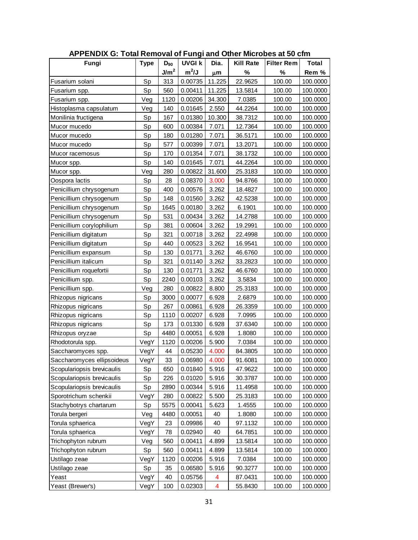| <b>APPENDIX G: Total Removal of Fungi and Other Microbes at 50 cfm</b> |             |                  |               |                         |                  |                   |              |
|------------------------------------------------------------------------|-------------|------------------|---------------|-------------------------|------------------|-------------------|--------------|
| Fungi                                                                  | <b>Type</b> | $D_{90}$         | <b>UVGI k</b> | Dia.                    | <b>Kill Rate</b> | <b>Filter Rem</b> | <b>Total</b> |
|                                                                        |             | J/m <sup>2</sup> | $m^2/J$       | μm                      | %                | %                 | Rem %        |
| Fusarium solani                                                        | Sp          | 313              | 0.00735       | 11.225                  | 22.9625          | 100.00            | 100.0000     |
| Fusarium spp.                                                          | Sp          | 560              | 0.00411       | 11.225                  | 13.5814          | 100.00            | 100.0000     |
| Fusarium spp.                                                          | Veg         | 1120             | 0.00206       | 34.300                  | 7.0385           | 100.00            | 100.0000     |
| Histoplasma capsulatum                                                 | Veg         | 140              | 0.01645       | 2.550                   | 44.2264          | 100.00            | 100.0000     |
| Monilinia fructigena                                                   | Sp          | 167              | 0.01380       | 10.300                  | 38.7312          | 100.00            | 100.0000     |
| Mucor mucedo                                                           | Sp          | 600              | 0.00384       | 7.071                   | 12.7364          | 100.00            | 100.0000     |
| Mucor mucedo                                                           | Sp          | 180              | 0.01280       | 7.071                   | 36.5171          | 100.00            | 100.0000     |
| Mucor mucedo                                                           | Sp          | 577              | 0.00399       | 7.071                   | 13.2071          | 100.00            | 100.0000     |
| Mucor racemosus                                                        | Sp          | 170              | 0.01354       | 7.071                   | 38.1732          | 100.00            | 100.0000     |
| Mucor spp.                                                             | Sp          | 140              | 0.01645       | 7.071                   | 44.2264          | 100.00            | 100.0000     |
| Mucor spp.                                                             | Veg         | 280              | 0.00822       | 31.600                  | 25.3183          | 100.00            | 100.0000     |
| Oospora lactis                                                         | Sp          | 28               | 0.08370       | 3.000                   | 94.8766          | 100.00            | 100.0000     |
| Penicillium chrysogenum                                                | Sp          | 400              | 0.00576       | 3.262                   | 18.4827          | 100.00            | 100.0000     |
| Penicillium chrysogenum                                                | Sp          | 148              | 0.01560       | 3.262                   | 42.5238          | 100.00            | 100.0000     |
| Penicillium chrysogenum                                                | Sp          | 1645             | 0.00180       | 3.262                   | 6.1901           | 100.00            | 100.0000     |
| Penicillium chrysogenum                                                | Sp          | 531              | 0.00434       | 3.262                   | 14.2788          | 100.00            | 100.0000     |
| Penicillium corylophilium                                              | Sp          | 381              | 0.00604       | 3.262                   | 19.2991          | 100.00            | 100.0000     |
| Penicillium digitatum                                                  | Sp          | 321              | 0.00718       | 3.262                   | 22.4998          | 100.00            | 100.0000     |
| Penicillium digitatum                                                  | Sp          | 440              | 0.00523       | 3.262                   | 16.9541          | 100.00            | 100.0000     |
| Penicillium expansum                                                   | Sp          | 130              | 0.01771       | 3.262                   | 46.6760          | 100.00            | 100.0000     |
| Penicillium italicum                                                   | Sp          | 321              | 0.01140       | 3.262                   | 33.2823          | 100.00            | 100.0000     |
| Penicillium roquefortii                                                | Sp          | 130              | 0.01771       | 3.262                   | 46.6760          | 100.00            | 100.0000     |
| Penicillium spp.                                                       | Sp          | 2240             | 0.00103       | 3.262                   | 3.5834           | 100.00            | 100.0000     |
| Penicillium spp.                                                       | Veg         | 280              | 0.00822       | 8.800                   | 25.3183          | 100.00            | 100.0000     |
| Rhizopus nigricans                                                     | Sp          | 3000             | 0.00077       | 6.928                   | 2.6879           | 100.00            | 100.0000     |
| Rhizopus nigricans                                                     | Sp          | 267              | 0.00861       | 6.928                   | 26.3359          | 100.00            | 100.0000     |
| Rhizopus nigricans                                                     | Sp          | 1110             | 0.00207       | 6.928                   | 7.0995           | 100.00            | 100.0000     |
| Rhizopus nigricans                                                     | Sp          | 173              | 0.01330       | 6.928                   | 37.6340          | 100.00            | 100.0000     |
| Rhizopus oryzae                                                        | Sp          | 4480             | 0.00051       | 6.928                   | 1.8080           | 100.00            | 100.0000     |
| Rhodotorula spp.                                                       | VegY        | 1120             | 0.00206       | 5.900                   | 7.0384           | 100.00            | 100.0000     |
| Saccharomyces spp.                                                     | VegY        | 44               | 0.05230       | 4.000                   | 84.3805          | 100.00            | 100.0000     |
| Saccharomyces ellipsoideus                                             | VegY        | 33               | 0.06980       | 4.000                   | 91.6081          | 100.00            | 100.0000     |
| Scopulariopsis brevicaulis                                             | Sp          | 650              | 0.01840       | 5.916                   | 47.9622          | 100.00            | 100.0000     |
| Scopulariopsis brevicaulis                                             | Sp          | 226              | 0.01020       | 5.916                   | 30.3787          | 100.00            | 100.0000     |
| Scopulariopsis brevicaulis                                             | Sp          | 2890             | 0.00344       | 5.916                   | 11.4958          | 100.00            | 100.0000     |
| Sporotrichum schenkii                                                  | VegY        | 280              | 0.00822       | 5.500                   | 25.3183          | 100.00            | 100.0000     |
| Stachybotrys chartarum                                                 | Sp          | 5575             | 0.00041       | 5.623                   | 1.4555           | 100.00            | 100.0000     |
| Torula bergeri                                                         | Veg         | 4480             | 0.00051       | 40                      | 1.8080           | 100.00            | 100.0000     |
| Torula sphaerica                                                       | VegY        | 23               | 0.09986       | 40                      | 97.1132          | 100.00            | 100.0000     |
| Torula sphaerica                                                       | VegY        | 78               | 0.02940       | 40                      | 64.7851          | 100.00            | 100.0000     |
| Trichophyton rubrum                                                    | Veg         | 560              | 0.00411       | 4.899                   | 13.5814          | 100.00            | 100.0000     |
| Trichophyton rubrum                                                    | Sp          | 560              | 0.00411       | 4.899                   | 13.5814          | 100.00            | 100.0000     |
| Ustilago zeae                                                          | VegY        | 1120             | 0.00206       | 5.916                   | 7.0384           | 100.00            | 100.0000     |
| Ustilago zeae                                                          | Sp          | 35               | 0.06580       | 5.916                   | 90.3277          | 100.00            | 100.0000     |
| Yeast                                                                  | VegY        | 40               | 0.05756       | 4                       | 87.0431          | 100.00            | 100.0000     |
| Yeast (Brewer's)                                                       | VegY        | 100              | 0.02303       | $\overline{\mathbf{4}}$ | 55.8430          | 100.00            | 100.0000     |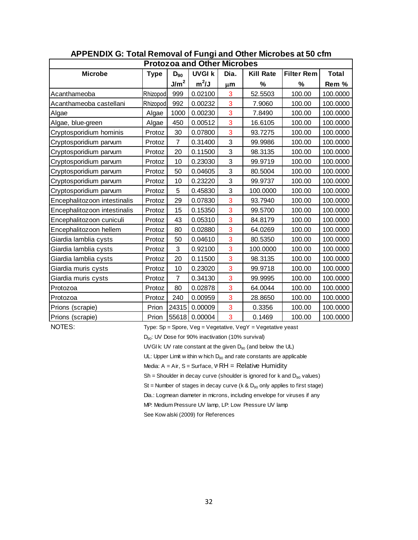|                              | APPENDIX G: Total Removal of Fungi and Other Microbes at 50 cfm |                  |                                    |      |                  |                   |              |  |  |  |  |  |  |
|------------------------------|-----------------------------------------------------------------|------------------|------------------------------------|------|------------------|-------------------|--------------|--|--|--|--|--|--|
|                              |                                                                 |                  | <b>Protozoa and Other Microbes</b> |      |                  |                   |              |  |  |  |  |  |  |
| <b>Microbe</b>               | <b>Type</b>                                                     | $D_{90}$         | <b>UVGI k</b>                      | Dia. | <b>Kill Rate</b> | <b>Filter Rem</b> | <b>Total</b> |  |  |  |  |  |  |
|                              |                                                                 | J/m <sup>2</sup> | $m^2/J$                            | μm   | %                | %                 | Rem %        |  |  |  |  |  |  |
| Acanthameoba                 | Rhizopod                                                        | 999              | 0.02100                            | 3    | 52.5503          | 100.00            | 100.0000     |  |  |  |  |  |  |
| Acanthameoba castellani      | Rhizopod                                                        | 992              | 0.00232                            | 3    | 7.9060           | 100.00            | 100.0000     |  |  |  |  |  |  |
| Algae                        | Algae                                                           | 1000             | 0.00230                            | 3    | 7.8490           | 100.00            | 100.0000     |  |  |  |  |  |  |
| Algae, blue-green            | Algae                                                           | 450              | 0.00512                            | 3    | 16.6105          | 100.00            | 100.0000     |  |  |  |  |  |  |
| Cryptosporidium hominis      | Protoz                                                          | 30               | 0.07800                            | 3    | 93.7275          | 100.00            | 100.0000     |  |  |  |  |  |  |
| Cryptosporidium parvum       | Protoz                                                          | 7                | 0.31400                            | 3    | 99.9986          | 100.00            | 100.0000     |  |  |  |  |  |  |
| Cryptosporidium parvum       | Protoz                                                          | 20               | 0.11500                            | 3    | 98.3135          | 100.00            | 100.0000     |  |  |  |  |  |  |
| Cryptosporidium parwm        | Protoz                                                          | 10               | 0.23030                            | 3    | 99.9719          | 100.00            | 100.0000     |  |  |  |  |  |  |
| Cryptosporidium parvum       | Protoz                                                          | 50               | 0.04605                            | 3    | 80.5004          | 100.00            | 100.0000     |  |  |  |  |  |  |
| Cryptosporidium parvum       | Protoz                                                          | 10               | 0.23220                            | 3    | 99.9737          | 100.00            | 100.0000     |  |  |  |  |  |  |
| Cryptosporidium parvum       | Protoz                                                          | 5                | 0.45830                            | 3    | 100.0000         | 100.00            | 100.0000     |  |  |  |  |  |  |
| Encephalitozoon intestinalis | Protoz                                                          | 29               | 0.07830                            | 3    | 93.7940          | 100.00            | 100.0000     |  |  |  |  |  |  |
| Encephalitozoon intestinalis | Protoz                                                          | 15               | 0.15350                            | 3    | 99.5700          | 100.00            | 100.0000     |  |  |  |  |  |  |
| Encephalitozoon cuniculi     | Protoz                                                          | 43               | 0.05310                            | 3    | 84.8179          | 100.00            | 100.0000     |  |  |  |  |  |  |
| Encephalitozoon hellem       | Protoz                                                          | 80               | 0.02880                            | 3    | 64.0269          | 100.00            | 100.0000     |  |  |  |  |  |  |
| Giardia lamblia cysts        | Protoz                                                          | 50               | 0.04610                            | 3    | 80.5350          | 100.00            | 100.0000     |  |  |  |  |  |  |
| Giardia lamblia cysts        | Protoz                                                          | 3                | 0.92100                            | 3    | 100.0000         | 100.00            | 100.0000     |  |  |  |  |  |  |
| Giardia lamblia cysts        | Protoz                                                          | 20               | 0.11500                            | 3    | 98.3135          | 100.00            | 100.0000     |  |  |  |  |  |  |
| Giardia muris cysts          | Protoz                                                          | 10               | 0.23020                            | 3    | 99.9718          | 100.00            | 100.0000     |  |  |  |  |  |  |
| Giardia muris cysts          | Protoz                                                          | $\overline{7}$   | 0.34130                            | 3    | 99.9995          | 100.00            | 100.0000     |  |  |  |  |  |  |
| Protozoa                     | Protoz                                                          | 80               | 0.02878                            | 3    | 64.0044          | 100.00            | 100.0000     |  |  |  |  |  |  |
| Protozoa                     | Protoz                                                          | 240              | 0.00959                            | 3    | 28.8650          | 100.00            | 100.0000     |  |  |  |  |  |  |
| Prions (scrapie)             | Prion                                                           | 24315            | 0.00009                            | 3    | 0.3356           | 100.00            | 100.0000     |  |  |  |  |  |  |
| Prions (scrapie)             | Prion                                                           | 55618            | 0.00004                            | 3    | 0.1469           | 100.00            | 100.0000     |  |  |  |  |  |  |

NOTES: Type: Sp = Spore, Veg = Vegetative, VegY = Vegetative yeast

D<sub>90</sub>: UV Dose for 90% inactivation (10% survival)

UVGI k: UV rate constant at the given  $D_{90}$  (and below the UL)

UL: Upper Limit w ithin w hich  $D_{90}$  and rate constants are applicable

Media:  $A = Air$ ,  $S = Surface$ ,  $WRH = Relative Humidity$ 

 $Sh = Sh$ oulder in decay curve (shoulder is ignored for k and  $D_{90}$  values)

St = Number of stages in decay curve (k & D<sub>90</sub> only applies to first stage)<br>Dia.: Logmean diameter in microns, including envelope for viruses if any<br>MP: Medium Pressure UV lamp, LP: Low Pressure UV lamp Dia.: Logmean diameter in microns, including envelope for viruses if any

MP: Medium Pressure UV lamp, LP: Low Pressure UV lamp<br>See Kow alski (2009) for References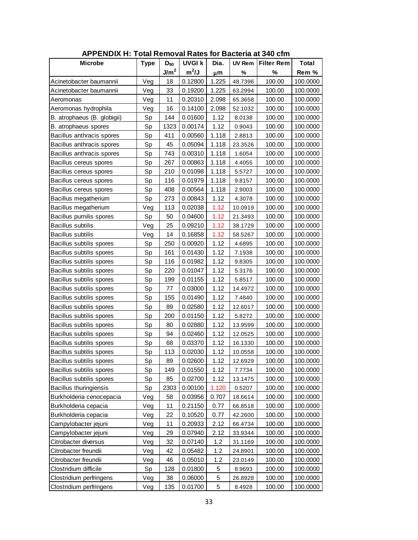| <b>APPENDIX H: Total Removal Rates for Bacteria at 340 cfm</b> |             |                  |               |       |               |                   |              |  |
|----------------------------------------------------------------|-------------|------------------|---------------|-------|---------------|-------------------|--------------|--|
| <b>Microbe</b>                                                 | <b>Type</b> | $D_{90}$         | <b>UVGI k</b> | Dia.  | <b>UV Rem</b> | <b>Filter Rem</b> | <b>Total</b> |  |
|                                                                |             | J/m <sup>2</sup> | $m^2/J$       | μm    | %             | %                 | Rem %        |  |
| Acinetobacter baumannii                                        | Veg         | 18               | 0.12800       | 1.225 | 48.7396       | 100.00            | 100.0000     |  |
| Acinetobacter baumannii                                        | Veg         | 33               | 0.19200       | 1.225 | 63.2994       | 100.00            | 100.0000     |  |
| Aeromonas                                                      | Veg         | 11               | 0.20310       | 2.098 | 65.3658       | 100.00            | 100.0000     |  |
| Aeromonas hydrophila                                           | Veg         | 16               | 0.14100       | 2.098 | 52.1032       | 100.00            | 100.0000     |  |
| B. atrophaeus (B. globigii)                                    | Sp          | 144              | 0.01600       | 1.12  | 8.0138        | 100.00            | 100.0000     |  |
| B. atrophaeus spores                                           | Sp          | 1323             | 0.00174       | 1.12  | 0.9043        | 100.00            | 100.0000     |  |
| Bacillus anthracis spores                                      | Sp          | 411              | 0.00560       | 1.118 | 2.8813        | 100.00            | 100.0000     |  |
| Bacillus anthracis spores                                      | Sp          | 45               | 0.05094       | 1.118 | 23.3526       | 100.00            | 100.0000     |  |
| Bacillus anthracis spores                                      | Sp          | 743              | 0.00310       | 1.118 | 1.6054        | 100.00            | 100.0000     |  |
| Bacillus cereus spores                                         | Sp          | 267              | 0.00863       | 1.118 | 4.4055        | 100.00            | 100.0000     |  |
| Bacillus cereus spores                                         | Sp          | 210              | 0.01098       | 1.118 | 5.5727        | 100.00            | 100.0000     |  |
| Bacillus cereus spores                                         | Sp          | 116              | 0.01979       | 1.118 | 9.8157        | 100.00            | 100.0000     |  |
| Bacillus cereus spores                                         | Sp          | 408              | 0.00564       | 1.118 | 2.9003        | 100.00            | 100.0000     |  |
| Bacillus megatherium                                           | Sp          | 273              | 0.00843       | 1.12  | 4.3078        | 100.00            | 100.0000     |  |
| Bacillus megatherium                                           | Veg         | 113              | 0.02038       | 1.12  | 10.0919       | 100.00            | 100.0000     |  |
| Bacillus pumilis spores                                        | Sp          | 50               | 0.04600       | 1.12  | 21.3493       | 100.00            | 100.0000     |  |
| <b>Bacillus subtilis</b>                                       | Veg         | 25               | 0.09210       | 1.12  | 38.1729       | 100.00            | 100.0000     |  |
| Bacillus subtilis                                              | Veg         | 14               | 0.16858       | 1.12  | 58.5267       | 100.00            | 100.0000     |  |
| Bacillus subtilis spores                                       | Sp          | 250              | 0.00920       | 1.12  | 4.6895        | 100.00            | 100.0000     |  |
| Bacillus subtilis spores                                       | Sp          | 161              | 0.01430       | 1.12  | 7.1938        | 100.00            | 100.0000     |  |
| Bacillus subtilis spores                                       | Sp          | 116              | 0.01982       | 1.12  | 9.8305        | 100.00            | 100.0000     |  |
| Bacillus subtilis spores                                       | Sp          | 220              | 0.01047       | 1.12  | 5.3176        | 100.00            | 100.0000     |  |
| Bacillus subtilis spores                                       | Sp          | 199              | 0.01155       | 1.12  | 5.8517        | 100.00            | 100.0000     |  |
| Bacillus subtilis spores                                       | Sp          | 77               | 0.03000       | 1.12  | 14.4972       | 100.00            | 100.0000     |  |
| Bacillus subtilis spores                                       | Sp          | 155              | 0.01490       | 1.12  | 7.4840        | 100.00            | 100.0000     |  |
| Bacillus subtilis spores                                       | Sp          | 89               | 0.02580       | 1.12  | 12.6017       | 100.00            | 100.0000     |  |
| Bacillus subtilis spores                                       | Sp          | 200              | 0.01150       | 1.12  | 5.8272        | 100.00            | 100.0000     |  |
| Bacillus subtilis spores                                       | Sp          | 80               | 0.02880       | 1.12  | 13.9599       | 100.00            | 100.0000     |  |
| Bacillus subtilis spores                                       | Sp          | 94               | 0.02460       | 1.12  | 12.0525       | 100.00            | 100.0000     |  |
| Bacillus subtilis spores                                       | Sp          | 68               | 0.03370       | 1.12  | 16.1330       | 100.00            | 100.0000     |  |
| Bacillus subtilis spores                                       | Sp          | 113              | 0.02030       | 1.12  | 10.0558       | 100.00            | 100.0000     |  |
| Bacillus subtilis spores                                       | Sp          | 89               | 0.02600       | 1.12  | 12.6929       | 100.00            | 100.0000     |  |
| Bacillus subtilis spores                                       | Sp          | 149              | 0.01550       | 1.12  | 7.7734        | 100.00            | 100.0000     |  |
| Bacillus subtilis spores                                       | Sp          | 85               | 0.02700       | 1.12  | 13.1475       | 100.00            | 100.0000     |  |
| Bacillus thuringiensis                                         | Sp          | 2303             | 0.00100       | 1.120 | 0.5207        | 100.00            | 100.0000     |  |
| Burkholderia cenocepacia                                       | Veg         | 58               | 0.03956       | 0.707 | 18.6614       | 100.00            | 100.0000     |  |
| Burkholderia cepacia                                           | Veg         | 11               | 0.21150       | 0.77  | 66.8518       | 100.00            | 100.0000     |  |
| Burkholderia cepacia                                           | Veg         | 22               | 0.10520       | 0.77  | 42.2600       | 100.00            | 100.0000     |  |
| Campylobacter jejuni                                           | Veg         | 11               | 0.20933       | 2.12  | 66.4734       | 100.00            | 100.0000     |  |
| Campylobacter jejuni                                           | Veg         | 29               | 0.07940       | 2.12  | 33.9344       | 100.00            | 100.0000     |  |
| Citrobacter diversus                                           | Veg         | 32               | 0.07140       | 1.2   | 31.1169       | 100.00            | 100.0000     |  |
| Citrobacter freundii                                           | Veg         | 42               | 0.05482       | 1.2   | 24.8901       | 100.00            | 100.0000     |  |
| Citrobacter freundii                                           | Veg         | 46               | 0.05010       | 1.2   | 23.0149       | 100.00            | 100.0000     |  |
| Clostridium difficile                                          | Sp          | 128              | 0.01800       | 5     | 8.9693        | 100.00            | 100.0000     |  |
| Clostridium perfringens                                        | Veg         | 38               | 0.06000       | 5     | 26.8928       | 100.00            | 100.0000     |  |
| Clostridium perfringens                                        | Veg         | 135              | 0.01700       | 5     | 8.4928        | 100.00            | 100.0000     |  |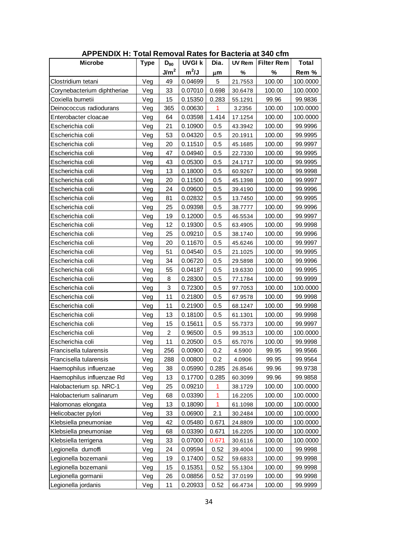| <b>APPENDIX H: Total Removal Rates for Bacteria at 340 cfm</b> |             |                  |               |       |               |                   |              |  |  |
|----------------------------------------------------------------|-------------|------------------|---------------|-------|---------------|-------------------|--------------|--|--|
| <b>Microbe</b>                                                 | <b>Type</b> | $D_{90}$         | <b>UVGI k</b> | Dia.  | <b>UV Rem</b> | <b>Filter Rem</b> | <b>Total</b> |  |  |
|                                                                |             | J/m <sup>2</sup> | $m^2/J$       | μm    | %             | %                 | Rem %        |  |  |
| Clostridium tetani                                             | Veg         | 49               | 0.04699       | 5     | 21.7553       | 100.00            | 100.0000     |  |  |
| Corynebacterium diphtheriae                                    | Veg         | 33               | 0.07010       | 0.698 | 30.6478       | 100.00            | 100.0000     |  |  |
| Coxiella burnetii                                              | Veg         | 15               | 0.15350       | 0.283 | 55.1291       | 99.96             | 99.9836      |  |  |
| Deinococcus radiodurans                                        | Veg         | 365              | 0.00630       | 1     | 3.2356        | 100.00            | 100.0000     |  |  |
| Enterobacter cloacae                                           | Veg         | 64               | 0.03598       | 1.414 | 17.1254       | 100.00            | 100.0000     |  |  |
| Escherichia coli                                               | Veg         | 21               | 0.10900       | 0.5   | 43.3942       | 100.00            | 99.9996      |  |  |
| Escherichia coli                                               | Veg         | 53               | 0.04320       | 0.5   | 20.1911       | 100.00            | 99.9995      |  |  |
| Escherichia coli                                               | Veg         | 20               | 0.11510       | 0.5   | 45.1685       | 100.00            | 99.9997      |  |  |
| Escherichia coli                                               | Veg         | 47               | 0.04940       | 0.5   | 22.7330       | 100.00            | 99.9995      |  |  |
| Escherichia coli                                               | Veg         | 43               | 0.05300       | 0.5   | 24.1717       | 100.00            | 99.9995      |  |  |
| Escherichia coli                                               | Veg         | 13               | 0.18000       | 0.5   | 60.9267       | 100.00            | 99.9998      |  |  |
| Escherichia coli                                               | Veg         | 20               | 0.11500       | 0.5   | 45.1398       | 100.00            | 99.9997      |  |  |
| Escherichia coli                                               | Veg         | 24               | 0.09600       | 0.5   | 39.4190       | 100.00            | 99.9996      |  |  |
| Escherichia coli                                               | Veg         | 81               | 0.02832       | 0.5   | 13.7450       | 100.00            | 99.9995      |  |  |
| Escherichia coli                                               | Veg         | 25               | 0.09398       | 0.5   | 38.7777       | 100.00            | 99.9996      |  |  |
| Escherichia coli                                               | Veg         | 19               | 0.12000       | 0.5   | 46.5534       | 100.00            | 99.9997      |  |  |
| Escherichia coli                                               | Veg         | 12               | 0.19300       | 0.5   | 63.4905       | 100.00            | 99.9998      |  |  |
| Escherichia coli                                               | Veg         | 25               | 0.09210       | 0.5   | 38.1740       | 100.00            | 99.9996      |  |  |
| Escherichia coli                                               | Veg         | 20               | 0.11670       | 0.5   | 45.6246       | 100.00            | 99.9997      |  |  |
| Escherichia coli                                               | Veg         | 51               | 0.04540       | 0.5   | 21.1025       | 100.00            | 99.9995      |  |  |
| Escherichia coli                                               | Veg         | 34               | 0.06720       | 0.5   | 29.5898       | 100.00            | 99.9996      |  |  |
| Escherichia coli                                               | Veg         | 55               | 0.04187       | 0.5   | 19.6330       | 100.00            | 99.9995      |  |  |
| Escherichia coli                                               | Veg         | 8                | 0.28300       | 0.5   | 77.1784       | 100.00            | 99.9999      |  |  |
| Escherichia coli                                               | Veg         | 3                | 0.72300       | 0.5   | 97.7053       | 100.00            | 100.0000     |  |  |
| Escherichia coli                                               | Veg         | 11               | 0.21800       | 0.5   | 67.9578       | 100.00            | 99.9998      |  |  |
| Escherichia coli                                               | Veg         | 11               | 0.21900       | 0.5   | 68.1247       | 100.00            | 99.9998      |  |  |
| Escherichia coli                                               | Veg         | 13               | 0.18100       | 0.5   | 61.1301       | 100.00            | 99.9998      |  |  |
| Escherichia coli                                               | Veg         | 15               | 0.15611       | 0.5   | 55.7373       | 100.00            | 99.9997      |  |  |
| Escherichia coli                                               | Veg         | $\overline{2}$   | 0.96500       | 0.5   | 99.3513       | 100.00            | 100.0000     |  |  |
| Escherichia coli                                               | Veg         | 11               | 0.20500       | 0.5   | 65.7076       | 100.00            | 99.9998      |  |  |
| Francisella tularensis                                         | Veg         | 256              | 0.00900       | 0.2   | 4.5900        | 99.95             | 99.9566      |  |  |
| Francisella tularensis                                         | Veg         | 288              | 0.00800       | 0.2   | 4.0906        | 99.95             | 99.9564      |  |  |
| Haemophilus influenzae                                         | Veg         | 38               | 0.05990       | 0.285 | 26.8546       | 99.96             | 99.9738      |  |  |
| Haemophilus influenzae Rd                                      | Veg         | 13               | 0.17700       | 0.285 | 60.3099       | 99.96             | 99.9858      |  |  |
| Halobacterium sp. NRC-1                                        | Veg         | 25               | 0.09210       | 1     | 38.1729       | 100.00            | 100.0000     |  |  |
| Halobacterium salinarum                                        | Veg         | 68               | 0.03390       | 1     | 16.2205       | 100.00            | 100.0000     |  |  |
| Halomonas elongata                                             | Veg         | 13               | 0.18090       | 1     | 61.1098       | 100.00            | 100.0000     |  |  |
| Helicobacter pylori                                            | Veg         | 33               | 0.06900       | 2.1   | 30.2484       | 100.00            | 100.0000     |  |  |
| Klebsiella pneumoniae                                          | Veg         | 42               | 0.05480       | 0.671 | 24.8809       | 100.00            | 100.0000     |  |  |
| Klebsiella pneumoniae                                          | Veg         | 68               | 0.03390       | 0.671 | 16.2205       | 100.00            | 100.0000     |  |  |
| Klebsiella terrigena                                           | Veg         | 33               | 0.07000       | 0.671 | 30.6116       | 100.00            | 100.0000     |  |  |
| Legionella dumoffi                                             | Veg         | 24               | 0.09594       | 0.52  | 39.4004       | 100.00            | 99.9998      |  |  |
| Legionella bozemanii                                           | Veg         | 19               | 0.17400       | 0.52  | 59.6833       | 100.00            | 99.9998      |  |  |
| Legionella bozemanii                                           | Veg         | 15               | 0.15351       | 0.52  | 55.1304       | 100.00            | 99.9998      |  |  |
| Legionella gormanii                                            | Veg         | 26               | 0.08856       | 0.52  | 37.0199       | 100.00            | 99.9998      |  |  |
| Legionella jordanis                                            | Veg         | 11               | 0.20933       | 0.52  | 66.4734       | 100.00            | 99.9999      |  |  |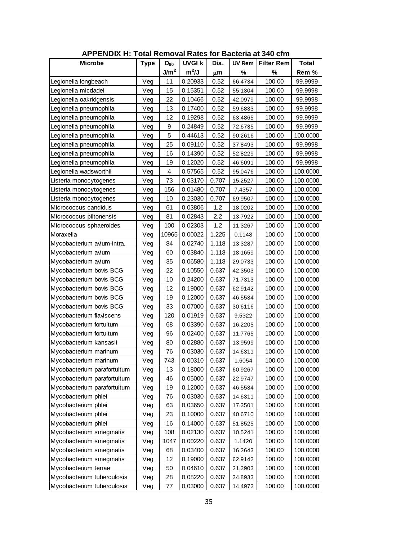| <b>APPENDIX H: Total Removal Rates for Bacteria at 340 cfm</b> |             |                  |               |       |               |                   |              |  |
|----------------------------------------------------------------|-------------|------------------|---------------|-------|---------------|-------------------|--------------|--|
| <b>Microbe</b>                                                 | <b>Type</b> | $D_{90}$         | <b>UVGI k</b> | Dia.  | <b>UV Rem</b> | <b>Filter Rem</b> | <b>Total</b> |  |
|                                                                |             | J/m <sup>2</sup> | $m^2/J$       | μm    | %             | $\%$              | Rem %        |  |
| Legionella longbeach                                           | Veg         | 11               | 0.20933       | 0.52  | 66.4734       | 100.00            | 99.9999      |  |
| Legionella micdadei                                            | Veg         | 15               | 0.15351       | 0.52  | 55.1304       | 100.00            | 99.9998      |  |
| Legionella oakridgensis                                        | Veg         | 22               | 0.10466       | 0.52  | 42.0979       | 100.00            | 99.9998      |  |
| Legionella pneumophila                                         | Veg         | 13               | 0.17400       | 0.52  | 59.6833       | 100.00            | 99.9998      |  |
| Legionella pneumophila                                         | Veg         | 12               | 0.19298       | 0.52  | 63.4865       | 100.00            | 99.9999      |  |
| Legionella pneumophila                                         | Veg         | 9                | 0.24849       | 0.52  | 72.6735       | 100.00            | 99.9999      |  |
| Legionella pneumophila                                         | Veg         | 5                | 0.44613       | 0.52  | 90.2616       | 100.00            | 100.0000     |  |
| Legionella pneumophila                                         | Veg         | 25               | 0.09110       | 0.52  | 37.8493       | 100.00            | 99.9998      |  |
| Legionella pneumophila                                         | Veg         | 16               | 0.14390       | 0.52  | 52.8229       | 100.00            | 99.9998      |  |
| Legionella pneumophila                                         | Veg         | 19               | 0.12020       | 0.52  | 46.6091       | 100.00            | 99.9998      |  |
| Legionella wadsworthii                                         | Veg         | $\overline{4}$   | 0.57565       | 0.52  | 95.0476       | 100.00            | 100.0000     |  |
| Listeria monocytogenes                                         | Veg         | 73               | 0.03170       | 0.707 | 15.2527       | 100.00            | 100.0000     |  |
| Listeria monocytogenes                                         | Veg         | 156              | 0.01480       | 0.707 | 7.4357        | 100.00            | 100.0000     |  |
| Listeria monocytogenes                                         | Veg         | 10               | 0.23030       | 0.707 | 69.9507       | 100.00            | 100.0000     |  |
| Micrococcus candidus                                           | Veg         | 61               | 0.03806       | 1.2   | 18.0202       | 100.00            | 100.0000     |  |
| Micrococcus piltonensis                                        | Veg         | 81               | 0.02843       | 2.2   | 13.7922       | 100.00            | 100.0000     |  |
| Micrococcus sphaeroides                                        | Veg         | 100              | 0.02303       | 1.2   | 11.3267       | 100.00            | 100.0000     |  |
| Moraxella                                                      | Veg         | 10965            | 0.00022       | 1.225 | 0.1148        | 100.00            | 100.0000     |  |
| Mycobacterium avium-intra.                                     | Veg         | 84               | 0.02740       | 1.118 | 13.3287       | 100.00            | 100.0000     |  |
| Mycobacterium avium                                            | Veg         | 60               | 0.03840       | 1.118 | 18.1659       | 100.00            | 100.0000     |  |
| Mycobacterium avium                                            | Veg         | 35               | 0.06580       | 1.118 | 29.0733       | 100.00            | 100.0000     |  |
| Mycobacterium bovis BCG                                        | Veg         | 22               | 0.10550       | 0.637 | 42.3503       | 100.00            | 100.0000     |  |
| Mycobacterium bovis BCG                                        | Veg         | 10               | 0.24200       | 0.637 | 71.7313       | 100.00            | 100.0000     |  |
| Mycobacterium bovis BCG                                        | Veg         | 12               | 0.19000       | 0.637 | 62.9142       | 100.00            | 100.0000     |  |
| Mycobacterium bovis BCG                                        | Veg         | 19               | 0.12000       | 0.637 | 46.5534       | 100.00            | 100.0000     |  |
| Mycobacterium bovis BCG                                        | Veg         | 33               | 0.07000       | 0.637 | 30.6116       | 100.00            | 100.0000     |  |
| Mycobacterium flaviscens                                       | Veg         | 120              | 0.01919       | 0.637 | 9.5322        | 100.00            | 100.0000     |  |
| Mycobacterium fortuitum                                        | Veg         | 68               | 0.03390       | 0.637 | 16.2205       | 100.00            | 100.0000     |  |
| Mycobacterium fortuitum                                        | Veg         | 96               | 0.02400       | 0.637 | 11.7765       | 100.00            | 100.0000     |  |
| Mycobacterium kansasii                                         | Veg         | 80               | 0.02880       | 0.637 | 13.9599       | 100.00            | 100.0000     |  |
| Mycobacterium marinum                                          | Veg         | 76               | 0.03030       | 0.637 | 14.6311       | 100.00            | 100.0000     |  |
| Mycobacterium marinum                                          | Veg         | 743              | 0.00310       | 0.637 | 1.6054        | 100.00            | 100.0000     |  |
| Mycobacterium parafortuitum                                    | Veg         | 13               | 0.18000       | 0.637 | 60.9267       | 100.00            | 100.0000     |  |
| Mycobacterium parafortuitum                                    | Veg         | 46               | 0.05000       | 0.637 | 22.9747       | 100.00            | 100.0000     |  |
| Mycobacterium parafortuitum                                    | Veg         | 19               | 0.12000       | 0.637 | 46.5534       | 100.00            | 100.0000     |  |
| Mycobacterium phlei                                            | Veg         | 76               | 0.03030       | 0.637 | 14.6311       | 100.00            | 100.0000     |  |
| Mycobacterium phlei                                            | Veg         | 63               | 0.03650       | 0.637 | 17.3501       | 100.00            | 100.0000     |  |
| Mycobacterium phlei                                            | Veg         | 23               | 0.10000       | 0.637 | 40.6710       | 100.00            | 100.0000     |  |
| Mycobacterium phlei                                            | Veg         | 16               | 0.14000       | 0.637 | 51.8525       | 100.00            | 100.0000     |  |
| Mycobacterium smegmatis                                        | Veg         | 108              | 0.02130       | 0.637 | 10.5241       | 100.00            | 100.0000     |  |
| Mycobacterium smegmatis                                        | Veg         | 1047             | 0.00220       | 0.637 | 1.1420        | 100.00            | 100.0000     |  |
| Mycobacterium smegmatis                                        | Veg         | 68               | 0.03400       | 0.637 | 16.2643       | 100.00            | 100.0000     |  |
| Mycobacterium smegmatis                                        | Veg         | 12               | 0.19000       | 0.637 | 62.9142       | 100.00            | 100.0000     |  |
| Mycobacterium terrae                                           | Veg         | 50               | 0.04610       | 0.637 | 21.3903       | 100.00            | 100.0000     |  |
| Mycobacterium tuberculosis                                     | Veg         | 28               | 0.08220       | 0.637 | 34.8933       | 100.00            | 100.0000     |  |
| Mycobacterium tuberculosis                                     | Veg         | 77               | 0.03000       | 0.637 | 14.4972       | 100.00            | 100.0000     |  |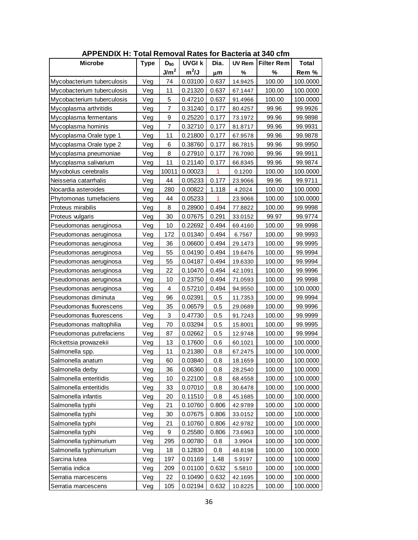| <b>APPENDIX H: Total Removal Rates for Bacteria at 340 cfm</b> |             |                  |               |       |               |                   |              |  |
|----------------------------------------------------------------|-------------|------------------|---------------|-------|---------------|-------------------|--------------|--|
| <b>Microbe</b>                                                 | <b>Type</b> | $D_{90}$         | <b>UVGI k</b> | Dia.  | <b>UV Rem</b> | <b>Filter Rem</b> | <b>Total</b> |  |
|                                                                |             | J/m <sup>2</sup> | $m^2/J$       | μm    | %             | %                 | Rem %        |  |
| Mycobacterium tuberculosis                                     | Veg         | 74               | 0.03100       | 0.637 | 14.9425       | 100.00            | 100.0000     |  |
| Mycobacterium tuberculosis                                     | Veg         | 11               | 0.21320       | 0.637 | 67.1447       | 100.00            | 100.0000     |  |
| Mycobacterium tuberculosis                                     | Veg         | 5                | 0.47210       | 0.637 | 91.4966       | 100.00            | 100.0000     |  |
| Mycoplasma arthritidis                                         | Veg         | $\overline{7}$   | 0.31240       | 0.177 | 80.4257       | 99.96             | 99.9926      |  |
| Mycoplasma fermentans                                          | Veg         | 9                | 0.25220       | 0.177 | 73.1972       | 99.96             | 99.9898      |  |
| Mycoplasma hominis                                             | Veg         | 7                | 0.32710       | 0.177 | 81.8717       | 99.96             | 99.9931      |  |
| Mycoplasma Orale type 1                                        | Veg         | 11               | 0.21800       | 0.177 | 67.9578       | 99.96             | 99.9878      |  |
| Mycoplasma Orale type 2                                        | Veg         | 6                | 0.38760       | 0.177 | 86.7815       | 99.96             | 99.9950      |  |
| Mycoplasma pneumoniae                                          | Veg         | 8                | 0.27910       | 0.177 | 76.7090       | 99.96             | 99.9911      |  |
| Mycoplasma salivarium                                          | Veg         | 11               | 0.21140       | 0.177 | 66.8345       | 99.96             | 99.9874      |  |
| Myxobolus cerebralis                                           | Veg         | 10011            | 0.00023       | 1     | 0.1200        | 100.00            | 100.0000     |  |
| Neisseria catarrhalis                                          | Veg         | 44               | 0.05233       | 0.177 | 23.9066       | 99.96             | 99.9711      |  |
| Nocardia asteroides                                            | Veg         | 280              | 0.00822       | 1.118 | 4.2024        | 100.00            | 100.0000     |  |
| Phytomonas tumefaciens                                         | Veg         | 44               | 0.05233       | 1     | 23.9066       | 100.00            | 100.0000     |  |
| Proteus mirabilis                                              | Veg         | 8                | 0.28900       | 0.494 | 77.8822       | 100.00            | 99.9998      |  |
| Proteus vulgaris                                               | Veg         | 30               | 0.07675       | 0.291 | 33.0152       | 99.97             | 99.9774      |  |
| Pseudomonas aeruginosa                                         | Veg         | 10               | 0.22692       | 0.494 | 69.4160       | 100.00            | 99.9998      |  |
| Pseudomonas aeruginosa                                         | Veg         | 172              | 0.01340       | 0.494 | 6.7567        | 100.00            | 99.9993      |  |
| Pseudomonas aeruginosa                                         | Veg         | 36               | 0.06600       | 0.494 | 29.1473       | 100.00            | 99.9995      |  |
| Pseudomonas aeruginosa                                         | Veg         | 55               | 0.04190       | 0.494 | 19.6476       | 100.00            | 99.9994      |  |
| Pseudomonas aeruginosa                                         | Veg         | 55               | 0.04187       | 0.494 | 19.6330       | 100.00            | 99.9994      |  |
| Pseudomonas aeruginosa                                         | Veg         | 22               | 0.10470       | 0.494 | 42.1091       | 100.00            | 99.9996      |  |
| Pseudomonas aeruginosa                                         | Veg         | 10               | 0.23750       | 0.494 | 71.0593       | 100.00            | 99.9998      |  |
| Pseudomonas aeruginosa                                         | Veg         | 4                | 0.57210       | 0.494 | 94.9550       | 100.00            | 100.0000     |  |
| Pseudomonas diminuta                                           | Veg         | 96               | 0.02391       | 0.5   | 11.7353       | 100.00            | 99.9994      |  |
| Pseudomonas fluorescens                                        | Veg         | 35               | 0.06579       | 0.5   | 29.0689       | 100.00            | 99.9996      |  |
| Pseudomonas fluorescens                                        | Veg         | 3                | 0.47730       | 0.5   | 91.7243       | 100.00            | 99.9999      |  |
| Pseudomonas maltophilia                                        | Veg         | 70               | 0.03294       | 0.5   | 15.8001       | 100.00            | 99.9995      |  |
| Pseudomonas putrefaciens                                       | Veg         | 87               | 0.02662       | 0.5   | 12.9748       | 100.00            | 99.9994      |  |
| Rickettsia prowazekii                                          | Veg         | 13               | 0.17600       | 0.6   | 60.1021       | 100.00            | 100.0000     |  |
| Salmonella spp.                                                | Veg         | 11               | 0.21380       | 0.8   | 67.2475       | 100.00            | 100.0000     |  |
| Salmonella anatum                                              | Veg         | 60               | 0.03840       | 0.8   | 18.1659       | 100.00            | 100.0000     |  |
| Salmonella derby                                               | Veg         | 36               | 0.06360       | 0.8   | 28.2540       | 100.00            | 100.0000     |  |
| Salmonella enteritidis                                         | Veg         | 10               | 0.22100       | 0.8   | 68.4558       | 100.00            | 100.0000     |  |
| Salmonella enteritidis                                         | Veg         | 33               | 0.07010       | 0.8   | 30.6478       | 100.00            | 100.0000     |  |
| Salmonella infantis                                            | Veg         | 20               | 0.11510       | 0.8   | 45.1685       | 100.00            | 100.0000     |  |
| Salmonella typhi                                               | Veg         | 21               | 0.10760       | 0.806 | 42.9789       | 100.00            | 100.0000     |  |
| Salmonella typhi                                               | Veg         | 30               | 0.07675       | 0.806 | 33.0152       | 100.00            | 100.0000     |  |
| Salmonella typhi                                               | Veg         | 21               | 0.10760       | 0.806 | 42.9782       | 100.00            | 100.0000     |  |
| Salmonella typhi                                               | Veg         | 9                | 0.25580       | 0.806 | 73.6963       | 100.00            | 100.0000     |  |
| Salmonella typhimurium                                         | Veg         | 295              | 0.00780       | 0.8   | 3.9904        | 100.00            | 100.0000     |  |
| Salmonella typhimurium                                         | Veg         | 18               | 0.12830       | 0.8   | 48.8198       | 100.00            | 100.0000     |  |
| Sarcina lutea                                                  | Veg         | 197              | 0.01169       | 1.48  | 5.9197        | 100.00            | 100.0000     |  |
| Serratia indica                                                | Veg         | 209              | 0.01100       | 0.632 | 5.5810        | 100.00            | 100.0000     |  |
| Serratia marcescens                                            | Veg         | 22               | 0.10490       | 0.632 | 42.1695       | 100.00            | 100.0000     |  |
| Serratia marcescens                                            | Veg         | 105              | 0.02194       | 0.632 | 10.8225       | 100.00            | 100.0000     |  |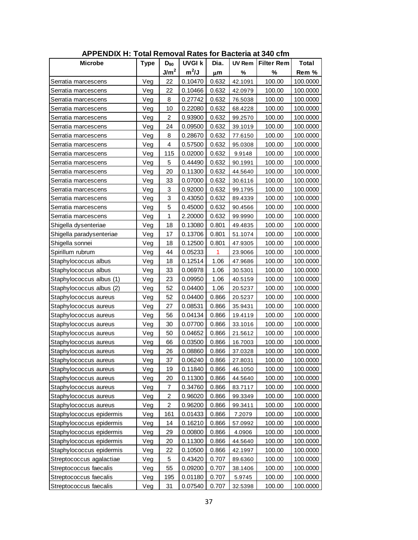| <b>APPENDIX H: Total Removal Rates for Bacteria at 340 cfm</b> |             |                  |               |       |               |                   |              |  |  |
|----------------------------------------------------------------|-------------|------------------|---------------|-------|---------------|-------------------|--------------|--|--|
| <b>Microbe</b>                                                 | <b>Type</b> | $D_{90}$         | <b>UVGI k</b> | Dia.  | <b>UV Rem</b> | <b>Filter Rem</b> | <b>Total</b> |  |  |
|                                                                |             | J/m <sup>2</sup> | $m^2/J$       | μm    | %             | %                 | Rem %        |  |  |
| Serratia marcescens                                            | Veg         | 22               | 0.10470       | 0.632 | 42.1091       | 100.00            | 100.0000     |  |  |
| Serratia marcescens                                            | Veg         | 22               | 0.10466       | 0.632 | 42.0979       | 100.00            | 100.0000     |  |  |
| Serratia marcescens                                            | Veg         | 8                | 0.27742       | 0.632 | 76.5038       | 100.00            | 100.0000     |  |  |
| Serratia marcescens                                            | Veg         | 10               | 0.22080       | 0.632 | 68.4228       | 100.00            | 100.0000     |  |  |
| Serratia marcescens                                            | Veg         | $\overline{c}$   | 0.93900       | 0.632 | 99.2570       | 100.00            | 100.0000     |  |  |
| Serratia marcescens                                            | Veg         | 24               | 0.09500       | 0.632 | 39.1019       | 100.00            | 100.0000     |  |  |
| Serratia marcescens                                            | Veg         | 8                | 0.28670       | 0.632 | 77.6150       | 100.00            | 100.0000     |  |  |
| Serratia marcescens                                            | Veg         | 4                | 0.57500       | 0.632 | 95.0308       | 100.00            | 100.0000     |  |  |
| Serratia marcescens                                            | Veg         | 115              | 0.02000       | 0.632 | 9.9148        | 100.00            | 100.0000     |  |  |
| Serratia marcescens                                            | Veg         | 5                | 0.44490       | 0.632 | 90.1991       | 100.00            | 100.0000     |  |  |
| Serratia marcescens                                            | Veg         | 20               | 0.11300       | 0.632 | 44.5640       | 100.00            | 100.0000     |  |  |
| Serratia marcescens                                            | Veg         | 33               | 0.07000       | 0.632 | 30.6116       | 100.00            | 100.0000     |  |  |
| Serratia marcescens                                            | Veg         | 3                | 0.92000       | 0.632 | 99.1795       | 100.00            | 100.0000     |  |  |
| Serratia marcescens                                            | Veg         | 3                | 0.43050       | 0.632 | 89.4339       | 100.00            | 100.0000     |  |  |
| Serratia marcescens                                            | Veg         | 5                | 0.45000       | 0.632 | 90.4566       | 100.00            | 100.0000     |  |  |
| Serratia marcescens                                            | Veg         | 1                | 2.20000       | 0.632 | 99.9990       | 100.00            | 100.0000     |  |  |
| Shigella dysenteriae                                           | Veg         | 18               | 0.13080       | 0.801 | 49.4835       | 100.00            | 100.0000     |  |  |
| Shigella paradysenteriae                                       | Veg         | 17               | 0.13706       | 0.801 | 51.1074       | 100.00            | 100.0000     |  |  |
| Shigella sonnei                                                | Veg         | 18               | 0.12500       | 0.801 | 47.9305       | 100.00            | 100.0000     |  |  |
| Spirillum rubrum                                               | Veg         | 44               | 0.05233       | 1     | 23.9066       | 100.00            | 100.0000     |  |  |
| Staphylococcus albus                                           | Veg         | 18               | 0.12514       | 1.06  | 47.9686       | 100.00            | 100.0000     |  |  |
| Staphylococcus albus                                           | Veg         | 33               | 0.06978       | 1.06  | 30.5301       | 100.00            | 100.0000     |  |  |
| Staphylococcus albus (1)                                       | Veg         | 23               | 0.09950       | 1.06  | 40.5159       | 100.00            | 100.0000     |  |  |
| Staphylococcus albus (2)                                       | Veg         | 52               | 0.04400       | 1.06  | 20.5237       | 100.00            | 100.0000     |  |  |
| Staphylococcus aureus                                          | Veg         | 52               | 0.04400       | 0.866 | 20.5237       | 100.00            | 100.0000     |  |  |
| Staphylococcus aureus                                          | Veg         | 27               | 0.08531       | 0.866 | 35.9431       | 100.00            | 100.0000     |  |  |
| Staphylococcus aureus                                          | Veg         | 56               | 0.04134       | 0.866 | 19.4119       | 100.00            | 100.0000     |  |  |
| Staphylococcus aureus                                          | Veg         | 30               | 0.07700       | 0.866 | 33.1016       | 100.00            | 100.0000     |  |  |
| Staphylococcus aureus                                          | Veg         | 50               | 0.04652       | 0.866 | 21.5612       | 100.00            | 100.0000     |  |  |
| Staphylococcus aureus                                          | Veg         | 66               | 0.03500       | 0.866 | 16.7003       | 100.00            | 100.0000     |  |  |
| Staphylococcus aureus                                          | Veg         | 26               | 0.08860       | 0.866 | 37.0328       | 100.00            | 100.0000     |  |  |
| Staphylococcus aureus                                          | Veg         | 37               | 0.06240       | 0.866 | 27.8031       | 100.00            | 100.0000     |  |  |
| Staphylococcus aureus                                          | Veg         | 19               | 0.11840       | 0.866 | 46.1050       | 100.00            | 100.0000     |  |  |
| Staphylococcus aureus                                          | Veg         | 20               | 0.11300       | 0.866 | 44.5640       | 100.00            | 100.0000     |  |  |
| Staphylococcus aureus                                          | Veg         | $\overline{7}$   | 0.34760       | 0.866 | 83.7117       | 100.00            | 100.0000     |  |  |
| Staphylococcus aureus                                          | Veg         | $\overline{c}$   | 0.96020       | 0.866 | 99.3349       | 100.00            | 100.0000     |  |  |
| Staphylococcus aureus                                          | Veg         | $\overline{a}$   | 0.96200       | 0.866 | 99.3411       | 100.00            | 100.0000     |  |  |
| Staphylococcus epidermis                                       | Veg         | 161              | 0.01433       | 0.866 | 7.2079        | 100.00            | 100.0000     |  |  |
| Staphylococcus epidermis                                       | Veg         | 14               | 0.16210       | 0.866 | 57.0992       | 100.00            | 100.0000     |  |  |
| Staphylococcus epidermis                                       | Veg         | 29               | 0.00800       | 0.866 | 4.0906        | 100.00            | 100.0000     |  |  |
| Staphylococcus epidermis                                       | Veg         | 20               | 0.11300       | 0.866 | 44.5640       | 100.00            | 100.0000     |  |  |
| Staphylococcus epidermis                                       | Veg         | 22               | 0.10500       | 0.866 | 42.1997       | 100.00            | 100.0000     |  |  |
| Streptococcus agalactiae                                       | Veg         | 5                | 0.43420       | 0.707 | 89.6360       | 100.00            | 100.0000     |  |  |
| Streptococcus faecalis                                         | Veg         | 55               | 0.09200       | 0.707 | 38.1406       | 100.00            | 100.0000     |  |  |
| Streptococcus faecalis                                         | Veg         | 195              | 0.01180       | 0.707 | 5.9745        | 100.00            | 100.0000     |  |  |
| Streptococcus faecalis                                         | Veg         | 31               | 0.07540       | 0.707 | 32.5398       | 100.00            | 100.0000     |  |  |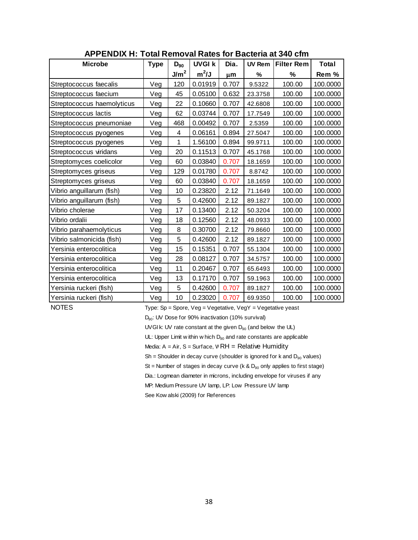| <b>APPENDIX H: Total Removal Rates for Bacteria at 340 cfm</b> |             |                  |               |       |               |                   |          |  |  |  |
|----------------------------------------------------------------|-------------|------------------|---------------|-------|---------------|-------------------|----------|--|--|--|
| <b>Microbe</b>                                                 | <b>Type</b> | $D_{90}$         | <b>UVGI k</b> | Dia.  | <b>UV Rem</b> | <b>Filter Rem</b> | Total    |  |  |  |
|                                                                |             | J/m <sup>2</sup> | $m^2/J$       | μm    | %             | %                 | Rem %    |  |  |  |
| Streptococcus faecalis                                         | Veg         | 120              | 0.01919       | 0.707 | 9.5322        | 100.00            | 100.0000 |  |  |  |
| Streptococcus faecium                                          | Veg         | 45               | 0.05100       | 0.632 | 23.3758       | 100.00            | 100.0000 |  |  |  |
| Streptococcus haemolyticus                                     | Veg         | 22               | 0.10660       | 0.707 | 42.6808       | 100.00            | 100.0000 |  |  |  |
| Streptococcus lactis                                           | Veg         | 62               | 0.03744       | 0.707 | 17.7549       | 100.00            | 100.0000 |  |  |  |
| Streptococcus pneumoniae                                       | Veg         | 468              | 0.00492       | 0.707 | 2.5359        | 100.00            | 100.0000 |  |  |  |
| Streptococcus pyogenes                                         | Veg         | 4                | 0.06161       | 0.894 | 27.5047       | 100.00            | 100.0000 |  |  |  |
| Streptococcus pyogenes                                         | Veg         | 1                | 1.56100       | 0.894 | 99.9711       | 100.00            | 100.0000 |  |  |  |
| Streptococcus viridans                                         | Veg         | 20               | 0.11513       | 0.707 | 45.1768       | 100.00            | 100.0000 |  |  |  |
| Streptomyces coelicolor                                        | Veg         | 60               | 0.03840       | 0.707 | 18.1659       | 100.00            | 100.0000 |  |  |  |
| Streptomyces griseus                                           | Veg         | 129              | 0.01780       | 0.707 | 8.8742        | 100.00            | 100.0000 |  |  |  |
| Streptomyces griseus                                           | Veg         | 60               | 0.03840       | 0.707 | 18.1659       | 100.00            | 100.0000 |  |  |  |
| Vibrio anguillarum (fish)                                      | Veg         | 10               | 0.23820       | 2.12  | 71.1649       | 100.00            | 100.0000 |  |  |  |
| Vibrio anguillarum (fish)                                      | Veg         | 5                | 0.42600       | 2.12  | 89.1827       | 100.00            | 100.0000 |  |  |  |
| Vibrio cholerae                                                | Veg         | 17               | 0.13400       | 2.12  | 50.3204       | 100.00            | 100.0000 |  |  |  |
| Vibrio ordalii                                                 | Veg         | 18               | 0.12560       | 2.12  | 48.0933       | 100.00            | 100.0000 |  |  |  |
| Vibrio parahaemolyticus                                        | Veg         | 8                | 0.30700       | 2.12  | 79.8660       | 100.00            | 100.0000 |  |  |  |
| Vibrio salmonicida (fish)                                      | Veg         | 5                | 0.42600       | 2.12  | 89.1827       | 100.00            | 100.0000 |  |  |  |
| Yersinia enterocolitica                                        | Veg         | 15               | 0.15351       | 0.707 | 55.1304       | 100.00            | 100.0000 |  |  |  |
| Yersinia enterocolitica                                        | Veg         | 28               | 0.08127       | 0.707 | 34.5757       | 100.00            | 100.0000 |  |  |  |
| Yersinia enterocolitica                                        | Veg         | 11               | 0.20467       | 0.707 | 65.6493       | 100.00            | 100.0000 |  |  |  |
| Yersinia enterocolitica                                        | Veg         | 13               | 0.17170       | 0.707 | 59.1963       | 100.00            | 100.0000 |  |  |  |
| Yersinia ruckeri (fish)                                        | Veg         | 5                | 0.42600       | 0.707 | 89.1827       | 100.00            | 100.0000 |  |  |  |
| Yersinia ruckeri (fish)                                        | Veg         | 10               | 0.23020       | 0.707 | 69.9350       | 100.00            | 100.0000 |  |  |  |

**APPENDIX H: Total Removal Rates for Bacteria at 340 cfm**

NOTES<br>
Type: Sp = Spore, Veg = Vegetative, VegY = Vegetative yeast<br>  $D_{90}$ : UV Dose for 90% inactivation (10% survival)<br>
UVGI k: UV rate constant at the given  $D_{90}$  (and below the UL)

D<sub>90</sub>: UV Dose for 90% inactivation (10% survival)

UVGI k: UV rate constant at the given  $D_{90}$  (and below the UL)<br>UL: Upper Limit w ithin w hich  $D_{90}$  and rate constants are applicable

Media:  $A = Air$ ,  $S = Surface$ ,  $WRH = Relative Humidity$ 

 $Sh = Sh$ oulder in decay curve (shoulder is ignored for k and  $D_{90}$  values)

St = Number of stages in decay curve (k & D<sub>90</sub> only applies to first stage)<br>Dia.: Logmean diameter in microns, including envelope for viruses if any<br>MP: Medium Pressure UV lamp, LP: Low Pressure UV lamp

Dia.: Logmean diameter in microns, including envelope for viruses if any<br>MP: Medium Pressure UV lamp, LP: Low Pressure UV lamp<br>See Kow alski (2009) for References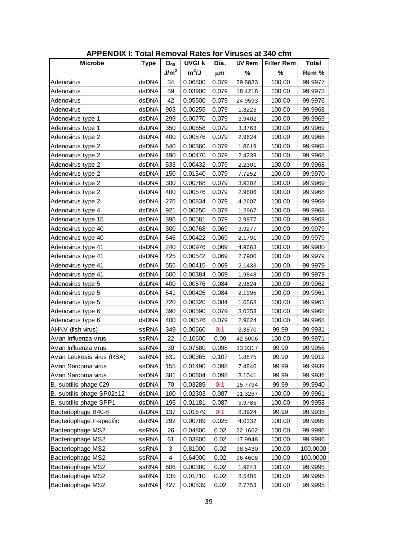| <b>APPENDIX I: Total Removal Rates for Viruses at 340 cfm</b> |              |                  |               |       |               |                   |              |
|---------------------------------------------------------------|--------------|------------------|---------------|-------|---------------|-------------------|--------------|
| <b>Microbe</b>                                                | <b>Type</b>  | $D_{90}$         | <b>UVGI k</b> | Dia.  | <b>UV Rem</b> | <b>Filter Rem</b> | <b>Total</b> |
|                                                               |              | J/m <sup>2</sup> | $m^2/J$       | μm    | %             | %                 | Rem %        |
| Adenovirus                                                    | dsDNA        | 34               | 0.06800       | 0.079 | 29.8833       | 100.00            | 99.9977      |
| Adenovirus                                                    | dsDNA        | 59               | 0.03900       | 0.079 | 18.4218       | 100.00            | 99.9973      |
| Adenovirus                                                    | dsDNA        | 42               | 0.05500       | 0.079 | 24.9593       | 100.00            | 99.9976      |
| Adenovirus                                                    | dsDNA        | 903              | 0.00255       | 0.079 | 1.3225        | 100.00            | 99.9968      |
| Adenovirus type 1                                             | dsDNA        | 299              | 0.00770       | 0.079 | 3.9402        | 100.00            | 99.9969      |
| Adenovirus type 1                                             | dsDNA        | 350              | 0.00658       | 0.079 | 3.3763        | 100.00            | 99.9969      |
| Adenovirus type 2                                             | dsDNA        | 400              | 0.00576       | 0.079 | 2.9624        | 100.00            | 99.9968      |
| Adenovirus type 2                                             | dsDNA        | 640              | 0.00360       | 0.079 | 1.8619        | 100.00            | 99.9968      |
| Adenovirus type 2                                             | dsDNA        | 490              | 0.00470       | 0.079 | 2.4239        | 100.00            | 99.9968      |
| Adenovirus type 2                                             | dsDNA        | 533              | 0.00432       | 0.079 | 2.2301        | 100.00            | 99.9968      |
| Adenovirus type 2                                             | dsDNA        | 150              | 0.01540       | 0.079 | 7.7252        | 100.00            | 99.9970      |
| Adenovirus type 2                                             | dsDNA        | 300              | 0.00768       | 0.079 | 3.9302        | 100.00            | 99.9969      |
| Adenovirus type 2                                             | dsDNA        | 400              | 0.00576       | 0.079 | 2.9606        | 100.00            | 99.9968      |
| Adenovirus type 2                                             | dsDNA        | 276              | 0.00834       | 0.079 | 4.2607        | 100.00            | 99.9969      |
| Adenovirus type 4                                             | dsDNA        | 921              | 0.00250       | 0.079 | 1.2967        | 100.00            | 99.9968      |
| Adenovirus type 15                                            | dsDNA        | 396              | 0.00581       | 0.079 | 2.9877        | 100.00            | 99.9968      |
| Adenovirus type 40                                            | dsDNA        | 300              | 0.00768       | 0.069 | 3.9277        | 100.00            | 99.9979      |
| Adenovirus type 40                                            | dsDNA        | 546              | 0.00422       | 0.069 | 2.1791        | 100.00            | 99.9979      |
| Adenovirus type 41                                            | dsDNA        | 240              | 0.00976       | 0.069 | 4.9663        | 100.00            | 99.9980      |
| Adenovirus type 41                                            | dsDNA        | 425              | 0.00542       | 0.069 | 2.7900        | 100.00            | 99.9979      |
| Adenovirus type 41                                            | dsDNA        | 555              | 0.00415       | 0.069 | 2.1433        | 100.00            | 99.9979      |
| Adenovirus type 41                                            | dsDNA        | 600              | 0.00384       | 0.069 | 1.9848        | 100.00            | 99.9979      |
| Adenovirus type 5                                             | dsDNA        | 400              | 0.00576       | 0.084 | 2.9624        | 100.00            | 99.9962      |
| Adenovirus type 5                                             | dsDNA        | 541              | 0.00426       | 0.084 | 2.1995        | 100.00            | 99.9961      |
| Adenovirus type 5                                             | dsDNA        | 720              | 0.00320       | 0.084 | 1.6568        | 100.00            | 99.9961      |
| Adenovirus type 6                                             | dsDNA        | 390              | 0.00590       | 0.079 | 3.0353        | 100.00            | 99.9968      |
| Adenovirus type 6                                             | dsDNA        | 400              | 0.00576       | 0.079 | 2.9624        | 100.00            | 99.9968      |
| AHNV (fish virus)                                             | <b>ssRNA</b> | 349              | 0.00660       | 0.1   | 3.3870        | 99.99             | 99.9931      |
| Avian Influenza virus                                         | <b>ssRNA</b> | 22               | 0.10600       | 0.09  | 42.5006       | 100.00            | 99.9971      |
| Avian Influenza virus                                         | ssRNA        | 30               | 0.07680       | 0.098 | 33.0317       | 99.99             | 99.9956      |
| Avian Leukosis virus (RSA)                                    | ssRNA        | 631              | 0.00365       | 0.107 | 1.8875        | 99.99             | 99.9912      |
| Avian Sarcoma virus                                           | ssDNA        | 155              | 0.01490       | 0.098 | 7.4840        | 99.99             | 99.9939      |
| Avian Sarcoma virus                                           | ssDNA        | 381              | 0.00604       | 0.098 | 3.1041        | 99.99             | 99.9936      |
| B. subtilis phage 029                                         | dsDNA        | 70               | 0.03289       | 0.1   | 15.7794       | 99.99             | 99.9940      |
| B. subtilis phage SP02c12                                     | dsDNA        | 100              | 0.02303       | 0.087 | 11.3267       | 100.00            | 99.9961      |
| B. subtilis phage SPP1                                        | dsDNA        | 195              | 0.01181       | 0.087 | 5.9785        | 100.00            | 99.9958      |
| Bacteriophage B40-8                                           | dsDNA        | 137              | 0.01679       | 0.1   | 8.3924        | 99.99             | 99.9935      |
| Bacteriophage F-specific                                      | dsRNA        | 292              | 0.00789       | 0.025 | 4.0332        | 100.00            | 99.9996      |
| <b>Bacteriophage MS2</b>                                      | ssRNA        | 26               | 0.04800       | 0.02  | 22.1662       | 100.00            | 99.9996      |
| Bacteriophage MS2                                             | ssRNA        | 61               | 0.03800       | 0.02  | 17.9948       | 100.00            | 99.9996      |
| Bacteriophage MS2                                             | ssRNA        | 3                | 0.81000       | 0.02  | 98.5430       | 100.00            | 100.0000     |
| <b>Bacteriophage MS2</b>                                      | ssRNA        | 4                | 0.64000       | 0.02  | 96.4608       | 100.00            | 100.0000     |
| <b>Bacteriophage MS2</b>                                      | ssRNA        | 606              | 0.00380       | 0.02  | 1.9643        | 100.00            | 99.9995      |
| Bacteriophage MS2                                             | <b>ssRNA</b> | 135              | 0.01710       | 0.02  | 8.5405        | 100.00            | 99.9995      |
| <b>Bacteriophage MS2</b>                                      | <b>ssRNA</b> | 427              | 0.00539       | 0.02  | 2.7753        | 100.00            | 99.9995      |

**APPENDIX I: Total Removal Rates for Viruses at 340 cfm**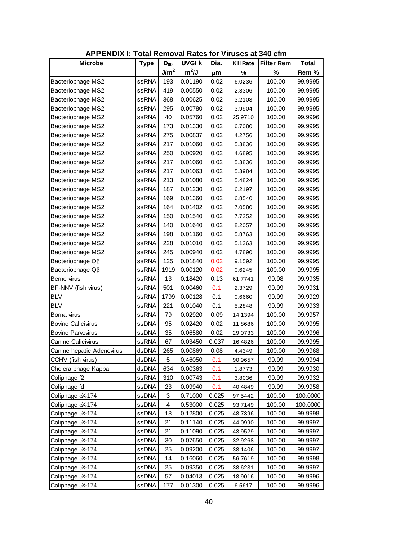| <b>APPENDIX I: Total Removal Rates for Viruses at 340 cfm</b> |              |                  |               |       |                  |                   |              |  |
|---------------------------------------------------------------|--------------|------------------|---------------|-------|------------------|-------------------|--------------|--|
| <b>Microbe</b>                                                | <b>Type</b>  | $D_{90}$         | <b>UVGI k</b> | Dia.  | <b>Kill Rate</b> | <b>Filter Rem</b> | <b>Total</b> |  |
|                                                               |              | J/m <sup>2</sup> | $m^2/J$       | μm    | %                | %                 | Rem %        |  |
| <b>Bacteriophage MS2</b>                                      | ssRNA        | 193              | 0.01190       | 0.02  | 6.0236           | 100.00            | 99.9995      |  |
| Bacteriophage MS2                                             | ssRNA        | 419              | 0.00550       | 0.02  | 2.8306           | 100.00            | 99.9995      |  |
| Bacteriophage MS2                                             | ssRNA        | 368              | 0.00625       | 0.02  | 3.2103           | 100.00            | 99.9995      |  |
| Bacteriophage MS2                                             | ssRNA        | 295              | 0.00780       | 0.02  | 3.9904           | 100.00            | 99.9995      |  |
| Bacteriophage MS2                                             | ssRNA        | 40               | 0.05760       | 0.02  | 25.9710          | 100.00            | 99.9996      |  |
| Bacteriophage MS2                                             | ssRNA        | 173              | 0.01330       | 0.02  | 6.7080           | 100.00            | 99.9995      |  |
| Bacteriophage MS2                                             | ssRNA        | 275              | 0.00837       | 0.02  | 4.2756           | 100.00            | 99.9995      |  |
| Bacteriophage MS2                                             | ssRNA        | 217              | 0.01060       | 0.02  | 5.3836           | 100.00            | 99.9995      |  |
| Bacteriophage MS2                                             | ssRNA        | 250              | 0.00920       | 0.02  | 4.6895           | 100.00            | 99.9995      |  |
| Bacteriophage MS2                                             | ssRNA        | 217              | 0.01060       | 0.02  | 5.3836           | 100.00            | 99.9995      |  |
| Bacteriophage MS2                                             | ssRNA        | 217              | 0.01063       | 0.02  | 5.3984           | 100.00            | 99.9995      |  |
| Bacteriophage MS2                                             | ssRNA        | 213              | 0.01080       | 0.02  | 5.4824           | 100.00            | 99.9995      |  |
| Bacteriophage MS2                                             | ssRNA        | 187              | 0.01230       | 0.02  | 6.2197           | 100.00            | 99.9995      |  |
| Bacteriophage MS2                                             | <b>ssRNA</b> | 169              | 0.01360       | 0.02  | 6.8540           | 100.00            | 99.9995      |  |
| Bacteriophage MS2                                             | ssRNA        | 164              | 0.01402       | 0.02  | 7.0580           | 100.00            | 99.9995      |  |
| Bacteriophage MS2                                             | ssRNA        | 150              | 0.01540       | 0.02  | 7.7252           | 100.00            | 99.9995      |  |
| Bacteriophage MS2                                             | ssRNA        | 140              | 0.01640       | 0.02  | 8.2057           | 100.00            | 99.9995      |  |
| <b>Bacteriophage MS2</b>                                      | ssRNA        | 198              | 0.01160       | 0.02  | 5.8763           | 100.00            | 99.9995      |  |
| Bacteriophage MS2                                             | ssRNA        | 228              | 0.01010       | 0.02  | 5.1363           | 100.00            | 99.9995      |  |
| Bacteriophage MS2                                             | ssRNA        | 245              | 0.00940       | 0.02  | 4.7890           | 100.00            | 99.9995      |  |
| Bacteriophage Q <sub>B</sub>                                  | ssRNA        | 125              | 0.01840       | 0.02  | 9.1592           | 100.00            | 99.9995      |  |
| Bacteriophage $Q\beta$                                        | ssRNA        | 1919             | 0.00120       | 0.02  | 0.6245           | 100.00            | 99.9995      |  |
| Berne virus                                                   | ssRNA        | 13               | 0.18420       | 0.13  | 61.7741          | 99.98             | 99.9935      |  |
| BF-NNV (fish virus)                                           | ssRNA        | 501              | 0.00460       | 0.1   | 2.3729           | 99.99             | 99.9931      |  |
| <b>BLV</b>                                                    | ssRNA        | 1799             | 0.00128       | 0.1   | 0.6660           | 99.99             | 99.9929      |  |
| <b>BLV</b>                                                    | ssRNA        | 221              | 0.01040       | 0.1   | 5.2848           | 99.99             | 99.9933      |  |
| Borna virus                                                   | ssRNA        | 79               | 0.02920       | 0.09  | 14.1394          | 100.00            | 99.9957      |  |
| <b>Bovine Calicivirus</b>                                     | ssDNA        | 95               | 0.02420       | 0.02  | 11.8686          | 100.00            | 99.9995      |  |
| <b>Bovine Parvovirus</b>                                      | ssDNA        | 35               | 0.06580       | 0.02  | 29.0733          | 100.00            | 99.9996      |  |
| Canine Calicivirus                                            | ssRNA        | 67               | 0.03450       | 0.037 | 16.4826          | 100.00            | 99.9995      |  |
| Canine hepatic Adenovirus                                     | dsDNA        | 265              | 0.00869       | 0.08  | 4.4349           | 100.00            | 99.9968      |  |
| CCHV (fish virus)                                             | dsDNA        | 5                | 0.46050       | 0.1   | 90.9657          | 99.99             | 99.9994      |  |
| Cholera phage Kappa                                           | dsDNA        | 634              | 0.00363       | 0.1   | 1.8773           | 99.99             | 99.9930      |  |
| Coliphage f2                                                  | ssRNA        | 310              | 0.00743       | 0.1   | 3.8036           | 99.99             | 99.9932      |  |
| Coliphage fd                                                  | ssDNA        | 23               | 0.09940       | 0.1   | 40.4849          | 99.99             | 99.9958      |  |
| Coliphage $\phi$ X-174                                        | ssDNA        | 3                | 0.71000       | 0.025 | 97.5442          | 100.00            | 100.0000     |  |
| Coliphage $\phi$ X-174                                        | ssDNA        | 4                | 0.53000       | 0.025 | 93.7149          | 100.00            | 100.0000     |  |
| Coliphage $\phi$ X-174                                        | ssDNA        | 18               | 0.12800       | 0.025 | 48.7396          | 100.00            | 99.9998      |  |
| Coliphage (X-174                                              | ssDNA        | 21               | 0.11140       | 0.025 | 44.0990          | 100.00            | 99.9997      |  |
| Coliphage $\phi$ X-174                                        | ssDNA        | 21               | 0.11090       | 0.025 | 43.9529          | 100.00            | 99.9997      |  |
| Coliphage $\phi$ X-174                                        | ssDNA        | 30               | 0.07650       | 0.025 | 32.9268          | 100.00            | 99.9997      |  |
| Coliphage $\phi$ X-174                                        | ssDNA        | 25               | 0.09200       | 0.025 | 38.1406          | 100.00            | 99.9997      |  |
| Coliphage $\phi$ X-174                                        | ssDNA        | 14               | 0.16060       | 0.025 | 56.7619          | 100.00            | 99.9998      |  |
| Coliphage $\phi$ X-174                                        | ssDNA        | 25               | 0.09350       | 0.025 | 38.6231          | 100.00            | 99.9997      |  |
| Coliphage $\phi$ X-174                                        | ssDNA        | 57               | 0.04013       | 0.025 | 18.9016          | 100.00            | 99.9996      |  |
| Coliphage $\phi$ X-174                                        | ssDNA        | 177              | 0.01300       | 0.025 | 6.5617           | 100.00            | 99.9996      |  |

**APPENDIX I: Total Removal Rates for Viruses at 340 cfm**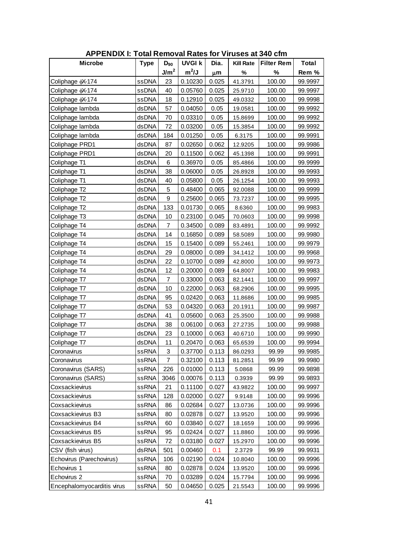| <b>APPENDIX I: Total Removal Rates for Viruses at 340 cfm</b> |             |                  |               |       |                  |                   |              |  |  |
|---------------------------------------------------------------|-------------|------------------|---------------|-------|------------------|-------------------|--------------|--|--|
| <b>Microbe</b>                                                | <b>Type</b> | $D_{90}$         | <b>UVGI k</b> | Dia.  | <b>Kill Rate</b> | <b>Filter Rem</b> | <b>Total</b> |  |  |
|                                                               |             | J/m <sup>2</sup> | $m^2/J$       | μm    | %                | $\%$              | Rem %        |  |  |
| Coliphage $\phi$ X-174                                        | ssDNA       | 23               | 0.10230       | 0.025 | 41.3791          | 100.00            | 99.9997      |  |  |
| Coliphage $\phi$ X-174                                        | ssDNA       | 40               | 0.05760       | 0.025 | 25.9710          | 100.00            | 99.9997      |  |  |
| Coliphage (X-174                                              | ssDNA       | 18               | 0.12910       | 0.025 | 49.0332          | 100.00            | 99.9998      |  |  |
| Coliphage lambda                                              | dsDNA       | 57               | 0.04050       | 0.05  | 19.0581          | 100.00            | 99.9992      |  |  |
| Coliphage lambda                                              | dsDNA       | 70               | 0.03310       | 0.05  | 15.8699          | 100.00            | 99.9992      |  |  |
| Coliphage lambda                                              | dsDNA       | 72               | 0.03200       | 0.05  | 15.3854          | 100.00            | 99.9992      |  |  |
| Coliphage lambda                                              | dsDNA       | 184              | 0.01250       | 0.05  | 6.3175           | 100.00            | 99.9991      |  |  |
| Coliphage PRD1                                                | dsDNA       | 87               | 0.02650       | 0.062 | 12.9205          | 100.00            | 99.9986      |  |  |
| Coliphage PRD1                                                | dsDNA       | 20               | 0.11500       | 0.062 | 45.1398          | 100.00            | 99.9991      |  |  |
| Coliphage T1                                                  | dsDNA       | 6                | 0.36970       | 0.05  | 85.4866          | 100.00            | 99.9999      |  |  |
| Coliphage T1                                                  | dsDNA       | 38               | 0.06000       | 0.05  | 26.8928          | 100.00            | 99.9993      |  |  |
| Coliphage T1                                                  | dsDNA       | 40               | 0.05800       | 0.05  | 26.1254          | 100.00            | 99.9993      |  |  |
| Coliphage T2                                                  | dsDNA       | 5                | 0.48400       | 0.065 | 92.0088          | 100.00            | 99.9999      |  |  |
| Coliphage T2                                                  | dsDNA       | 9                | 0.25600       | 0.065 | 73.7237          | 100.00            | 99.9995      |  |  |
| Coliphage T2                                                  | dsDNA       | 133              | 0.01730       | 0.065 | 8.6360           | 100.00            | 99.9983      |  |  |
| Coliphage T3                                                  | dsDNA       | 10               | 0.23100       | 0.045 | 70.0603          | 100.00            | 99.9998      |  |  |
| Coliphage T4                                                  | dsDNA       | 7                | 0.34500       | 0.089 | 83.4891          | 100.00            | 99.9992      |  |  |
| Coliphage T4                                                  | dsDNA       | 14               | 0.16850       | 0.089 | 58.5089          | 100.00            | 99.9980      |  |  |
| Coliphage T4                                                  | dsDNA       | 15               | 0.15400       | 0.089 | 55.2461          | 100.00            | 99.9979      |  |  |
| Coliphage T4                                                  | dsDNA       | 29               | 0.08000       | 0.089 | 34.1412          | 100.00            | 99.9968      |  |  |
| Coliphage T4                                                  | dsDNA       | 22               | 0.10700       | 0.089 | 42.8000          | 100.00            | 99.9973      |  |  |
| Coliphage T4                                                  | dsDNA       | 12               | 0.20000       | 0.089 | 64.8007          | 100.00            | 99.9983      |  |  |
| Coliphage T7                                                  | dsDNA       | 7                | 0.33000       | 0.063 | 82.1441          | 100.00            | 99.9997      |  |  |
| Coliphage T7                                                  | dsDNA       | 10               | 0.22000       | 0.063 | 68.2906          | 100.00            | 99.9995      |  |  |
| Coliphage T7                                                  | dsDNA       | 95               | 0.02420       | 0.063 | 11.8686          | 100.00            | 99.9985      |  |  |
| Coliphage T7                                                  | dsDNA       | 53               | 0.04320       | 0.063 | 20.1911          | 100.00            | 99.9987      |  |  |
| Coliphage T7                                                  | dsDNA       | 41               | 0.05600       | 0.063 | 25.3500          | 100.00            | 99.9988      |  |  |
| Coliphage T7                                                  | dsDNA       | 38               | 0.06100       | 0.063 | 27.2735          | 100.00            | 99.9988      |  |  |
| Coliphage T7                                                  | dsDNA       | 23               | 0.10000       | 0.063 | 40.6710          | 100.00            | 99.9990      |  |  |
| Coliphage T7                                                  | dsDNA       | 11               | 0.20470       | 0.063 | 65.6539          | 100.00            | 99.9994      |  |  |
| Coronavirus                                                   | ssRNA       | 3                | 0.37700       | 0.113 | 86.0293          | 99.99             | 99.9985      |  |  |
| Coronavirus                                                   | ssRNA       | 7                | 0.32100       | 0.113 | 81.2851          | 99.99             | 99.9980      |  |  |
| Coronavirus (SARS)                                            | ssRNA       | 226              | 0.01000       | 0.113 | 5.0868           | 99.99             | 99.9898      |  |  |
| Coronavirus (SARS)                                            | ssRNA       | 3046             | 0.00076       | 0.113 | 0.3939           | 99.99             | 99.9893      |  |  |
| Coxsackievirus                                                | ssRNA       | 21               | 0.11100       | 0.027 | 43.9822          | 100.00            | 99.9997      |  |  |
| Coxsackievirus                                                | ssRNA       | 128              | 0.02000       | 0.027 | 9.9148           | 100.00            | 99.9996      |  |  |
| Coxsackievirus                                                | ssRNA       | 86               | 0.02684       | 0.027 | 13.0736          | 100.00            | 99.9996      |  |  |
| Coxsackievirus B3                                             | ssRNA       | 80               | 0.02878       | 0.027 | 13.9520          | 100.00            | 99.9996      |  |  |
| Coxsackievirus B4                                             | ssRNA       | 60               | 0.03840       | 0.027 | 18.1659          | 100.00            | 99.9996      |  |  |
| Coxsackievirus B5                                             | ssRNA       | 95               | 0.02424       | 0.027 | 11.8860          | 100.00            | 99.9996      |  |  |
| Coxsackievirus B5                                             | ssRNA       | 72               | 0.03180       | 0.027 | 15.2970          | 100.00            | 99.9996      |  |  |
| CSV (fish virus)                                              | dsRNA       | 501              | 0.00460       | 0.1   | 2.3729           | 99.99             | 99.9931      |  |  |
| Echovirus (Parechovirus)                                      | ssRNA       | 106              | 0.02190       | 0.024 | 10.8040          | 100.00            | 99.9996      |  |  |
| Echovirus 1                                                   | ssRNA       | 80               | 0.02878       | 0.024 | 13.9520          | 100.00            | 99.9996      |  |  |
| Echovirus 2                                                   | ssRNA       | 70               | 0.03289       | 0.024 | 15.7794          | 100.00            | 99.9996      |  |  |
| Encephalomyocarditis virus                                    | ssRNA       | 50               | 0.04650       | 0.025 | 21.5543          | 100.00            | 99.9996      |  |  |

**APPENDIX I: Total Removal Rates for Viruses at 340 cfm**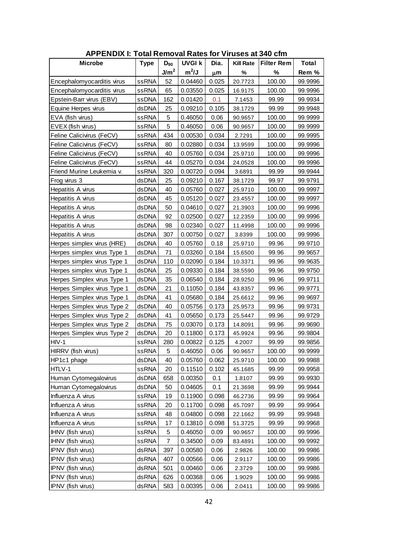| <b>APPENDIX I: Total Removal Rates for Viruses at 340 cfm</b> |             |                  |               |         |                  |                   |              |  |  |
|---------------------------------------------------------------|-------------|------------------|---------------|---------|------------------|-------------------|--------------|--|--|
| <b>Microbe</b>                                                | <b>Type</b> | $D_{90}$         | <b>UVGI k</b> | Dia.    | <b>Kill Rate</b> | <b>Filter Rem</b> | <b>Total</b> |  |  |
|                                                               |             | J/m <sup>2</sup> | $m^2/J$       | $\mu$ m | %                | %                 | Rem %        |  |  |
| Encephalomy ocarditis virus                                   | ssRNA       | 52               | 0.04460       | 0.025   | 20.7723          | 100.00            | 99.9996      |  |  |
| Encephalomy ocarditis virus                                   | ssRNA       | 65               | 0.03550       | 0.025   | 16.9175          | 100.00            | 99.9996      |  |  |
| Epstein-Barr virus (EBV)                                      | ssDNA       | 162              | 0.01420       | 0.1     | 7.1453           | 99.99             | 99.9934      |  |  |
| Equine Herpes virus                                           | dsDNA       | 25               | 0.09210       | 0.105   | 38.1729          | 99.99             | 99.9948      |  |  |
| EVA (fish virus)                                              | ssRNA       | 5                | 0.46050       | 0.06    | 90.9657          | 100.00            | 99.9999      |  |  |
| EVEX (fish virus)                                             | ssRNA       | 5                | 0.46050       | 0.06    | 90.9657          | 100.00            | 99.9999      |  |  |
| Feline Calicivirus (FeCV)                                     | ssRNA       | 434              | 0.00530       | 0.034   | 2.7291           | 100.00            | 99.9995      |  |  |
| Feline Calicivirus (FeCV)                                     | ssRNA       | 80               | 0.02880       | 0.034   | 13.9599          | 100.00            | 99.9996      |  |  |
| Feline Calicivirus (FeCV)                                     | ssRNA       | 40               | 0.05760       | 0.034   | 25.9710          | 100.00            | 99.9996      |  |  |
| Feline Calicivirus (FeCV)                                     | ssRNA       | 44               | 0.05270       | 0.034   | 24.0528          | 100.00            | 99.9996      |  |  |
| Friend Murine Leukemia v.                                     | ssRNA       | 320              | 0.00720       | 0.094   | 3.6891           | 99.99             | 99.9944      |  |  |
| Frog virus 3                                                  | dsDNA       | 25               | 0.09210       | 0.167   | 38.1729          | 99.97             | 99.9791      |  |  |
| Hepatitis A virus                                             | dsDNA       | 40               | 0.05760       | 0.027   | 25.9710          | 100.00            | 99.9997      |  |  |
| Hepatitis A virus                                             | dsDNA       | 45               | 0.05120       | 0.027   | 23.4557          | 100.00            | 99.9997      |  |  |
| Hepatitis A virus                                             | dsDNA       | 50               | 0.04610       | 0.027   | 21.3903          | 100.00            | 99.9996      |  |  |
| Hepatitis A virus                                             | dsDNA       | 92               | 0.02500       | 0.027   | 12.2359          | 100.00            | 99.9996      |  |  |
| Hepatitis A virus                                             | dsDNA       | 98               | 0.02340       | 0.027   | 11.4998          | 100.00            | 99.9996      |  |  |
| Hepatitis A virus                                             | dsDNA       | 307              | 0.00750       | 0.027   | 3.8399           | 100.00            | 99.9996      |  |  |
| Herpes simplex virus (HRE)                                    | dsDNA       | 40               | 0.05760       | 0.18    | 25.9710          | 99.96             | 99.9710      |  |  |
| Herpes simplex virus Type 1                                   | dsDNA       | 71               | 0.03260       | 0.184   | 15.6500          | 99.96             | 99.9657      |  |  |
| Herpes simplex virus Type 1                                   | dsDNA       | 110              | 0.02090       | 0.184   | 10.3371          | 99.96             | 99.9635      |  |  |
| Herpes simplex virus Type 1                                   | dsDNA       | 25               | 0.09330       | 0.184   | 38.5590          | 99.96             | 99.9750      |  |  |
| Herpes Simplex virus Type 1                                   | dsDNA       | 35               | 0.06540       | 0.184   | 28.9250          | 99.96             | 99.9711      |  |  |
| Herpes Simplex virus Type 1                                   | dsDNA       | 21               | 0.11050       | 0.184   | 43.8357          | 99.96             | 99.9771      |  |  |
| Herpes Simplex virus Type 1                                   | dsDNA       | 41               | 0.05680       | 0.184   | 25.6612          | 99.96             | 99.9697      |  |  |
| Herpes Simplex virus Type 2                                   | dsDNA       | 40               | 0.05756       | 0.173   | 25.9573          | 99.96             | 99.9731      |  |  |
| Herpes Simplex virus Type 2                                   | dsDNA       | 41               | 0.05650       | 0.173   | 25.5447          | 99.96             | 99.9729      |  |  |
| Herpes Simplex virus Type 2                                   | dsDNA       | 75               | 0.03070       | 0.173   | 14.8091          | 99.96             | 99.9690      |  |  |
| Herpes Simplex virus Type 2                                   | dsDNA       | 20               | 0.11800       | 0.173   | 45.9924          | 99.96             | 99.9804      |  |  |
| $HIV-1$                                                       | ssRNA       | 280              | 0.00822       | 0.125   | 4.2007           | 99.99             | 99.9856      |  |  |
| HIRRV (fish virus)                                            | ssRNA       | 5                | 0.46050       | 0.06    | 90.9657          | 100.00            | 99.9999      |  |  |
| HP1c1 phage                                                   | dsDNA       | 40               | 0.05760       | 0.062   | 25.9710          | 100.00            | 99.9988      |  |  |
| HTLV-1                                                        | ssRNA       | 20               | 0.11510       | 0.102   | 45.1685          | 99.99             | 99.9958      |  |  |
| Human Cytomegalovirus                                         | dsDNA       | 658              | 0.00350       | 0.1     | 1.8107           | 99.99             | 99.9930      |  |  |
| Human Cytomegalovirus                                         | dsDNA       | 50               | 0.04605       | 0.1     | 21.3698          | 99.99             | 99.9944      |  |  |
| Influenza A virus                                             | ssRNA       | 19               | 0.11900       | 0.098   | 46.2736          | 99.99             | 99.9964      |  |  |
| Influenza A virus                                             | ssRNA       | 20               | 0.11700       | 0.098   | 45.7097          | 99.99             | 99.9964      |  |  |
| Influenza A virus                                             | ssRNA       | 48               | 0.04800       | 0.098   | 22.1662          | 99.99             | 99.9948      |  |  |
| Influenza A virus                                             | ssRNA       | 17               | 0.13810       | 0.098   | 51.3725          | 99.99             | 99.9968      |  |  |
| IHNV (fish virus)                                             | ssRNA       | 5                | 0.46050       | 0.09    | 90.9657          | 100.00            | 99.9996      |  |  |
| IHNV (fish virus)                                             | ssRNA       | 7                | 0.34500       | 0.09    | 83.4891          | 100.00            | 99.9992      |  |  |
| IPNV (fish virus)                                             | dsRNA       | 397              | 0.00580       | 0.06    | 2.9826           | 100.00            | 99.9986      |  |  |
| IPNV (fish virus)                                             | dsRNA       | 407              | 0.00566       | 0.06    | 2.9117           | 100.00            | 99.9986      |  |  |
| IPNV (fish virus)                                             | dsRNA       | 501              | 0.00460       | 0.06    | 2.3729           | 100.00            | 99.9986      |  |  |
| IPNV (fish virus)                                             | dsRNA       | 626              | 0.00368       | 0.06    | 1.9029           | 100.00            | 99.9986      |  |  |
| IPNV (fish virus)                                             | dsRNA       | 583              | 0.00395       | 0.06    | 2.0411           | 100.00            | 99.9986      |  |  |

**APPENDIX I: Total Removal Rates for Viruses at 340 cfm**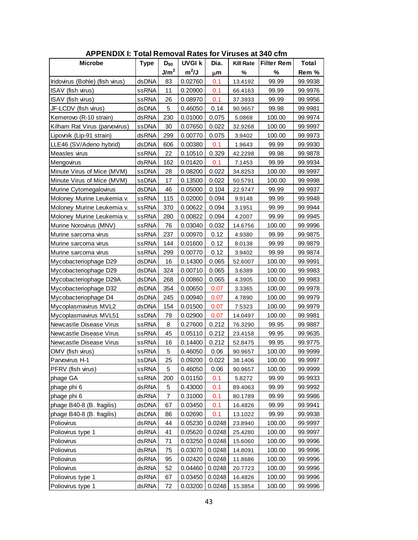| <b>APPENDIX I: Total Removal Rates for Viruses at 340 cfm</b> |             |                  |               |        |                  |                   |              |  |  |
|---------------------------------------------------------------|-------------|------------------|---------------|--------|------------------|-------------------|--------------|--|--|
| <b>Microbe</b>                                                | <b>Type</b> | $D_{90}$         | <b>UVGI k</b> | Dia.   | <b>Kill Rate</b> | <b>Filter Rem</b> | <b>Total</b> |  |  |
|                                                               |             | J/m <sup>2</sup> | $m^2/J$       | μm     | %                | $\%$              | Rem %        |  |  |
| Iridovirus (Bohle) (fish virus)                               | dsDNA       | 83               | 0.02760       | 0.1    | 13.4192          | 99.99             | 99.9938      |  |  |
| ISAV (fish virus)                                             | ssRNA       | 11               | 0.20900       | 0.1    | 66.4163          | 99.99             | 99.9976      |  |  |
| ISAV (fish virus)                                             | ssRNA       | 26               | 0.08970       | 0.1    | 37.3933          | 99.99             | 99.9956      |  |  |
| JF-LCDV (fish virus)                                          | dsDNA       | 5                | 0.46050       | 0.14   | 90.9657          | 99.98             | 99.9981      |  |  |
| Kemerovo (R-10 strain)                                        | dsRNA       | 230              | 0.01000       | 0.075  | 5.0868           | 100.00            | 99.9974      |  |  |
| Kilham Rat Virus (parvovirus)                                 | ssDNA       | 30               | 0.07650       | 0.022  | 32.9268          | 100.00            | 99.9997      |  |  |
| Lipovnik (Lip-91 strain)                                      | dsRNA       | 299              | 0.00770       | 0.075  | 3.9402           | 100.00            | 99.9973      |  |  |
| LLE46 (SV/Adeno hybrid)                                       | dsDNA       | 606              | 0.00380       | 0.1    | 1.9643           | 99.99             | 99.9930      |  |  |
| Measles virus                                                 | ssRNA       | 22               | 0.10510       | 0.329  | 42.2298          | 99.98             | 99.9878      |  |  |
| Mengovirus                                                    | dsRNA       | 162              | 0.01420       | 0.1    | 7.1453           | 99.99             | 99.9934      |  |  |
| Minute Virus of Mice (MVM)                                    | ssDNA       | 28               | 0.08200       | 0.022  | 34.8253          | 100.00            | 99.9997      |  |  |
| Minute Virus of Mice (MVM)                                    | ssDNA       | 17               | 0.13500       | 0.022  | 50.5791          | 100.00            | 99.9998      |  |  |
| Murine Cytomegalovirus                                        | dsDNA       | 46               | 0.05000       | 0.104  | 22.9747          | 99.99             | 99.9937      |  |  |
| Moloney Murine Leukemia v.                                    | ssRNA       | 115              | 0.02000       | 0.094  | 9.9148           | 99.99             | 99.9948      |  |  |
| Moloney Murine Leukemia v.                                    | ssRNA       | 370              | 0.00622       | 0.094  | 3.1951           | 99.99             | 99.9944      |  |  |
| Moloney Murine Leukemia v.                                    | ssRNA       | 280              | 0.00822       | 0.094  | 4.2007           | 99.99             | 99.9945      |  |  |
| Murine Norovirus (MNV)                                        | ssRNA       | 76               | 0.03040       | 0.032  | 14.6756          | 100.00            | 99.9996      |  |  |
| Murine sarcoma virus                                          | ssRNA       | 237              | 0.00970       | 0.12   | 4.9380           | 99.99             | 99.9875      |  |  |
| Murine sarcoma virus                                          | ssRNA       | 144              | 0.01600       | 0.12   | 8.0138           | 99.99             | 99.9879      |  |  |
| Murine sarcoma virus                                          | ssRNA       | 299              | 0.00770       | 0.12   | 3.9402           | 99.99             | 99.9874      |  |  |
| Mycobacteriophage D29                                         | dsDNA       | 16               | 0.14300       | 0.065  | 52.6007          | 100.00            | 99.9991      |  |  |
| Mycobacteriophage D29                                         | dsDNA       | 324              | 0.00710       | 0.065  | 3.6389           | 100.00            | 99.9983      |  |  |
| Mycobacteriophage D29A                                        | dsDNA       | 268              | 0.00860       | 0.065  | 4.3905           | 100.00            | 99.9983      |  |  |
| Mycobacteriophage D32                                         | dsDNA       | 354              | 0.00650       | 0.07   | 3.3365           | 100.00            | 99.9978      |  |  |
| Mycobacteriophage D4                                          | dsDNA       | 245              | 0.00940       | 0.07   | 4.7890           | 100.00            | 99.9979      |  |  |
| Mycoplasmavirus MVL2                                          | dsDNA       | 154              | 0.01500       | 0.07   | 7.5323           | 100.00            | 99.9979      |  |  |
| Mycoplasmavirus MVL51                                         | ssDNA       | 79               | 0.02900       | 0.07   | 14.0497          | 100.00            | 99.9981      |  |  |
| Newcastle Disease Virus                                       | ssRNA       | 8                | 0.27600       | 0.212  | 76.3290          | 99.95             | 99.9887      |  |  |
| Newcastle Disease Virus                                       | ssRNA       | 45               | 0.05110       | 0.212  | 23.4158          | 99.95             | 99.9635      |  |  |
| Newcastle Disease Virus                                       | ssRNA       | 16               | 0.14400       | 0.212  | 52.8475          | 99.95             | 99.9775      |  |  |
| OMV (fish virus)                                              | ssRNA       | 5                | 0.46050       | 0.06   | 90.9657          | 100.00            | 99.9999      |  |  |
| Parvovirus H-1                                                | ssDNA       | 25               | 0.09200       | 0.022  | 38.1406          | 100.00            | 99.9997      |  |  |
| PFRV (fish virus)                                             | ssRNA       | 5                | 0.46050       | 0.06   | 90.9657          | 100.00            | 99.9999      |  |  |
| phage GA                                                      | ssRNA       | 200              | 0.01150       | 0.1    | 5.8272           | 99.99             | 99.9933      |  |  |
| phage phi 6                                                   | dsRNA       | 5                | 0.43000       | 0.1    | 89.4063          | 99.99             | 99.9992      |  |  |
| phage phi 6                                                   | dsRNA       | 7                | 0.31000       | 0.1    | 80.1789          | 99.99             | 99.9986      |  |  |
| phage B40-8 (B. fragilis)                                     | dsDNA       | 67               | 0.03450       | 0.1    | 16.4826          | 99.99             | 99.9941      |  |  |
| phage B40-8 (B. fragilis)                                     | dsDNA       | 86               | 0.02690       | 0.1    | 13.1022          | 99.99             | 99.9938      |  |  |
| Poliovirus                                                    | dsRNA       | 44               | 0.05230       | 0.0248 | 23.8940          | 100.00            | 99.9997      |  |  |
| Poliovirus type 1                                             | dsRNA       | 41               | 0.05620       | 0.0248 | 25.4280          | 100.00            | 99.9997      |  |  |
| Poliovirus                                                    | dsRNA       | 71               | 0.03250       | 0.0248 | 15.6060          | 100.00            | 99.9996      |  |  |
| Poliovirus                                                    | dsRNA       | 75               | 0.03070       | 0.0248 | 14.8091          | 100.00            | 99.9996      |  |  |
| Poliovirus                                                    | dsRNA       | 95               | 0.02420       | 0.0248 | 11.8686          | 100.00            | 99.9996      |  |  |
| Poliovirus                                                    | dsRNA       | 52               | 0.04460       | 0.0248 | 20.7723          | 100.00            | 99.9996      |  |  |
| Poliovirus type 1                                             | dsRNA       | 67               | 0.03450       | 0.0248 | 16.4826          | 100.00            | 99.9996      |  |  |
| Poliovirus type 1                                             | dsRNA       | 72               | 0.03200       | 0.0248 | 15.3854          | 100.00            | 99.9996      |  |  |

**APPENDIX I: Total Removal Rates for Viruses at 340 cfm**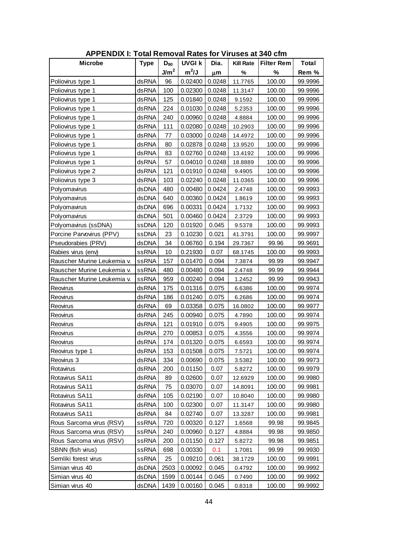| <b>APPENDIX I: Total Removal Rates for Viruses at 340 cfm</b> |             |                  |               |         |                  |                   |         |  |  |
|---------------------------------------------------------------|-------------|------------------|---------------|---------|------------------|-------------------|---------|--|--|
| <b>Microbe</b>                                                | <b>Type</b> | $D_{90}$         | <b>UVGI k</b> | Dia.    | <b>Kill Rate</b> | <b>Filter Rem</b> | Total   |  |  |
|                                                               |             | J/m <sup>2</sup> | $m^2/J$       | $\mu$ m | %                | %                 | Rem %   |  |  |
| Poliovirus type 1                                             | dsRNA       | 96               | 0.02400       | 0.0248  | 11.7765          | 100.00            | 99.9996 |  |  |
| Poliovirus type 1                                             | dsRNA       | 100              | 0.02300       | 0.0248  | 11.3147          | 100.00            | 99.9996 |  |  |
| Poliovirus type 1                                             | dsRNA       | 125              | 0.01840       | 0.0248  | 9.1592           | 100.00            | 99.9996 |  |  |
| Poliovirus type 1                                             | dsRNA       | 224              | 0.01030       | 0.0248  | 5.2353           | 100.00            | 99.9996 |  |  |
| Poliovirus type 1                                             | dsRNA       | 240              | 0.00960       | 0.0248  | 4.8884           | 100.00            | 99.9996 |  |  |
| Poliovirus type 1                                             | dsRNA       | 111              | 0.02080       | 0.0248  | 10.2903          | 100.00            | 99.9996 |  |  |
| Poliovirus type 1                                             | dsRNA       | 77               | 0.03000       | 0.0248  | 14.4972          | 100.00            | 99.9996 |  |  |
| Poliovirus type 1                                             | dsRNA       | 80               | 0.02878       | 0.0248  | 13.9520          | 100.00            | 99.9996 |  |  |
| Poliovirus type 1                                             | dsRNA       | 83               | 0.02760       | 0.0248  | 13.4192          | 100.00            | 99.9996 |  |  |
| Poliovirus type 1                                             | dsRNA       | 57               | 0.04010       | 0.0248  | 18.8889          | 100.00            | 99.9996 |  |  |
| Poliovirus type 2                                             | dsRNA       | 121              | 0.01910       | 0.0248  | 9.4905           | 100.00            | 99.9996 |  |  |
| Poliovirus type 3                                             | dsRNA       | 103              | 0.02240       | 0.0248  | 11.0365          | 100.00            | 99.9996 |  |  |
| Polyomavirus                                                  | dsDNA       | 480              | 0.00480       | 0.0424  | 2.4748           | 100.00            | 99.9993 |  |  |
| Polyomavirus                                                  | dsDNA       | 640              | 0.00360       | 0.0424  | 1.8619           | 100.00            | 99.9993 |  |  |
| Polyomavirus                                                  | dsDNA       | 696              | 0.00331       | 0.0424  | 1.7132           | 100.00            | 99.9993 |  |  |
| Polyomavirus                                                  | dsDNA       | 501              | 0.00460       | 0.0424  | 2.3729           | 100.00            | 99.9993 |  |  |
| Polyomavirus (ssDNA)                                          | ssDNA       | 120              | 0.01920       | 0.045   | 9.5378           | 100.00            | 99.9993 |  |  |
| Porcine Parvovirus (PPV)                                      | ssDNA       | 23               | 0.10230       | 0.021   | 41.3791          | 100.00            | 99.9997 |  |  |
| Pseudorabies (PRV)                                            | dsDNA       | 34               | 0.06760       | 0.194   | 29.7367          | 99.96             | 99.9691 |  |  |
| Rabies virus (env)                                            | ssRNA       | 10               | 0.21930       | 0.07    | 68.1745          | 100.00            | 99.9993 |  |  |
| Rauscher Murine Leukemia v.                                   | ssRNA       | 157              | 0.01470       | 0.094   | 7.3874           | 99.99             | 99.9947 |  |  |
| Rauscher Murine Leukemia v.                                   | ssRNA       | 480              | 0.00480       | 0.094   | 2.4748           | 99.99             | 99.9944 |  |  |
| Rauscher Murine Leukemia v.                                   | ssRNA       | 959              | 0.00240       | 0.094   | 1.2452           | 99.99             | 99.9943 |  |  |
| Reovirus                                                      | dsRNA       | 175              | 0.01316       | 0.075   | 6.6386           | 100.00            | 99.9974 |  |  |
| Reovirus                                                      | dsRNA       | 186              | 0.01240       | 0.075   | 6.2686           | 100.00            | 99.9974 |  |  |
| Reovirus                                                      | dsRNA       | 69               | 0.03358       | 0.075   | 16.0802          | 100.00            | 99.9977 |  |  |
| Reovirus                                                      | dsRNA       | 245              | 0.00940       | 0.075   | 4.7890           | 100.00            | 99.9974 |  |  |
| Reovirus                                                      | dsRNA       | 121              | 0.01910       | 0.075   | 9.4905           | 100.00            | 99.9975 |  |  |
| Reovirus                                                      | dsRNA       | 270              | 0.00853       | 0.075   | 4.3556           | 100.00            | 99.9974 |  |  |
| Reovirus                                                      | dsRNA       | 174              | 0.01320       | 0.075   | 6.6593           | 100.00            | 99.9974 |  |  |
| Reovirus type 1                                               | dsRNA       | 153              | 0.01508       | 0.075   | 7.5721           | 100.00            | 99.9974 |  |  |
| Reovirus 3                                                    | dsRNA       | 334              | 0.00690       | 0.075   | 3.5382           | 100.00            | 99.9973 |  |  |
| Rotavirus                                                     | dsRNA       | 200              | 0.01150       | 0.07    | 5.8272           | 100.00            | 99.9979 |  |  |
| Rotavirus SA11                                                | dsRNA       | 89               | 0.02600       | 0.07    | 12.6929          | 100.00            | 99.9980 |  |  |
| Rotavirus SA11                                                | dsRNA       | 75               | 0.03070       | 0.07    | 14.8091          | 100.00            | 99.9981 |  |  |
| Rotavirus SA11                                                | dsRNA       | 105              | 0.02190       | 0.07    | 10.8040          | 100.00            | 99.9980 |  |  |
| Rotavirus SA11                                                | dsRNA       | 100              | 0.02300       | 0.07    | 11.3147          | 100.00            | 99.9980 |  |  |
| Rotavirus SA11                                                | dsRNA       | 84               | 0.02740       | 0.07    | 13.3287          | 100.00            | 99.9981 |  |  |
| Rous Sarcoma virus (RSV)                                      | ssRNA       | 720              | 0.00320       | 0.127   | 1.6568           | 99.98             | 99.9845 |  |  |
| Rous Sarcoma virus (RSV)                                      | ssRNA       | 240              | 0.00960       | 0.127   | 4.8884           | 99.98             | 99.9850 |  |  |
| Rous Sarcoma virus (RSV)                                      | ssRNA       | 200              | 0.01150       | 0.127   | 5.8272           | 99.98             | 99.9851 |  |  |
| SBNN (fish virus)                                             | ssRNA       | 698              | 0.00330       | 0.1     | 1.7081           | 99.99             | 99.9930 |  |  |
| Semliki forest virus                                          | ssRNA       | 25               | 0.09210       | 0.061   | 38.1729          | 100.00            | 99.9991 |  |  |
| Simian virus 40                                               | dsDNA       | 2503             | 0.00092       | 0.045   | 0.4792           | 100.00            | 99.9992 |  |  |
| Simian virus 40                                               | dsDNA       | 1599             | 0.00144       | 0.045   | 0.7490           | 100.00            | 99.9992 |  |  |
| Simian virus 40                                               | dsDNA       | 1439             | 0.00160       | 0.045   | 0.8318           | 100.00            | 99.9992 |  |  |

**APPENDIX I: Total Removal Rates for Viruses at 340 cfm**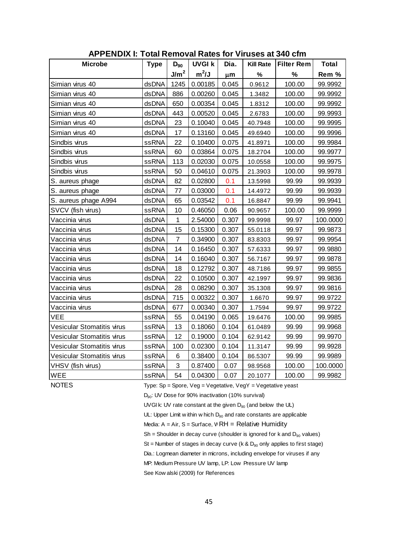| <b>Microbe</b>             | <b>Type</b>  | $D_{90}$         | <b>UVGI k</b> | Dia.  | <b>Kill Rate</b> | <b>Filter Rem</b> | <b>Total</b> |
|----------------------------|--------------|------------------|---------------|-------|------------------|-------------------|--------------|
|                            |              | J/m <sup>2</sup> | $m^2/J$       | μm    | %                | %                 | Rem %        |
| Simian virus 40            | dsDNA        | 1245             | 0.00185       | 0.045 | 0.9612           | 100.00            | 99.9992      |
| Simian virus 40            | dsDNA        | 886              | 0.00260       | 0.045 | 1.3482           | 100.00            | 99.9992      |
| Simian virus 40            | dsDNA        | 650              | 0.00354       | 0.045 | 1.8312           | 100.00            | 99.9992      |
| Simian virus 40            | dsDNA        | 443              | 0.00520       | 0.045 | 2.6783           | 100.00            | 99.9993      |
| Simian virus 40            | dsDNA        | 23               | 0.10040       | 0.045 | 40.7948          | 100.00            | 99.9995      |
| Simian virus 40            | dsDNA        | 17               | 0.13160       | 0.045 | 49.6940          | 100.00            | 99.9996      |
| Sindbis virus              | ssRNA        | 22               | 0.10400       | 0.075 | 41.8971          | 100.00            | 99.9984      |
| Sindbis virus              | <b>ssRNA</b> | 60               | 0.03864       | 0.075 | 18.2704          | 100.00            | 99.9977      |
| Sindbis virus              | <b>ssRNA</b> | 113              | 0.02030       | 0.075 | 10.0558          | 100.00            | 99.9975      |
| Sindbis virus              | <b>ssRNA</b> | 50               | 0.04610       | 0.075 | 21.3903          | 100.00            | 99.9978      |
| S. aureus phage            | dsDNA        | 82               | 0.02800       | 0.1   | 13.5998          | 99.99             | 99.9939      |
| S. aureus phage            | dsDNA        | 77               | 0.03000       | 0.1   | 14.4972          | 99.99             | 99.9939      |
| S. aureus phage A994       | dsDNA        | 65               | 0.03542       | 0.1   | 16.8847          | 99.99             | 99.9941      |
| SVCV (fish virus)          | <b>ssRNA</b> | 10               | 0.46050       | 0.06  | 90.9657          | 100.00            | 99.9999      |
| Vaccinia virus             | dsDNA        | 1                | 2.54000       | 0.307 | 99.9998          | 99.97             | 100.0000     |
| Vaccinia virus             | dsDNA        | 15               | 0.15300       | 0.307 | 55.0118          | 99.97             | 99.9873      |
| Vaccinia virus             | dsDNA        | $\overline{7}$   | 0.34900       | 0.307 | 83.8303          | 99.97             | 99.9954      |
| Vaccinia virus             | dsDNA        | 14               | 0.16450       | 0.307 | 57.6333          | 99.97             | 99.9880      |
| Vaccinia virus             | dsDNA        | 14               | 0.16040       | 0.307 | 56.7167          | 99.97             | 99.9878      |
| Vaccinia virus             | dsDNA        | 18               | 0.12792       | 0.307 | 48.7186          | 99.97             | 99.9855      |
| Vaccinia virus             | dsDNA        | 22               | 0.10500       | 0.307 | 42.1997          | 99.97             | 99.9836      |
| Vaccinia virus             | dsDNA        | 28               | 0.08290       | 0.307 | 35.1308          | 99.97             | 99.9816      |
| Vaccinia virus             | dsDNA        | 715              | 0.00322       | 0.307 | 1.6670           | 99.97             | 99.9722      |
| Vaccinia virus             | dsDNA        | 677              | 0.00340       | 0.307 | 1.7594           | 99.97             | 99.9722      |
| VEE                        | <b>ssRNA</b> | 55               | 0.04190       | 0.065 | 19.6476          | 100.00            | 99.9985      |
| Vesicular Stomatitis virus | ssRNA        | 13               | 0.18060       | 0.104 | 61.0489          | 99.99             | 99.9968      |
| Vesicular Stomatitis virus | ssRNA        | 12               | 0.19000       | 0.104 | 62.9142          | 99.99             | 99.9970      |
| Vesicular Stomatitis virus | <b>ssRNA</b> | 100              | 0.02300       | 0.104 | 11.3147          | 99.99             | 99.9928      |
| Vesicular Stomatitis virus | <b>ssRNA</b> | 6                | 0.38400       | 0.104 | 86.5307          | 99.99             | 99.9989      |
| VHSV (fish virus)          | <b>ssRNA</b> | 3                | 0.87400       | 0.07  | 98.9568          | 100.00            | 100.0000     |
| WEE                        | <b>ssRNA</b> | 54               | 0.04300       | 0.07  | 20.1077          | 100.00            | 99.9982      |

**APPENDIX I: Total Removal Rates for Viruses at 340 cfm**

NOTES Type: Sp = Spore, Veg = Vegetative, VegY = Vegetative yeast

D<sub>90</sub>: UV Dose for 90% inactivation (10% survival)

UVGI k: UV rate constant at the given  $D_{90}$  (and below the UL)

UL: Upper Limit w ithin w hich  $D_{90}$  and rate constants are applicable

Media:  $A = Air$ ,  $S = Surface$ ,  $WRH = Relative Humidity$ 

 $Sh = Sh$ oulder in decay curve (shoulder is ignored for k and  $D_{90}$  values)

St = Number of stages in decay curve (k & D<sub>90</sub> only applies to first stage)<br>Dia.: Logmean diameter in microns, including envelope for viruses if any<br>MP: Medium Pressure UV lamp, LP: Low Pressure UV lamp

Dia.: Logmean diameter in microns, including envelope for viruses if any See Kow alski (2009) for References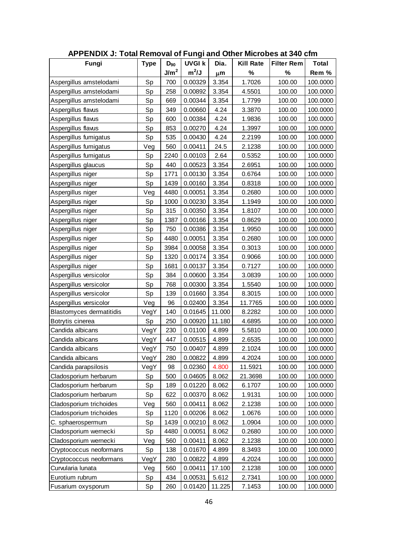| APPENDIX J: Total Removal of Fungi and Other Microbes at 340 cfm |             |                  |               |        |                  |                   |              |
|------------------------------------------------------------------|-------------|------------------|---------------|--------|------------------|-------------------|--------------|
| Fungi                                                            | <b>Type</b> | $D_{90}$         | <b>UVGI k</b> | Dia.   | <b>Kill Rate</b> | <b>Filter Rem</b> | <b>Total</b> |
|                                                                  |             | J/m <sup>2</sup> | $m^2/J$       | μm     | %                | %                 | Rem %        |
| Aspergillus amstelodami                                          | Sp          | 700              | 0.00329       | 3.354  | 1.7026           | 100.00            | 100.0000     |
| Aspergillus amstelodami                                          | Sp          | 258              | 0.00892       | 3.354  | 4.5501           | 100.00            | 100.0000     |
| Aspergillus amstelodami                                          | Sp          | 669              | 0.00344       | 3.354  | 1.7799           | 100.00            | 100.0000     |
| Aspergillus flaws                                                | Sp          | 349              | 0.00660       | 4.24   | 3.3870           | 100.00            | 100.0000     |
| Aspergillus flaws                                                | Sp          | 600              | 0.00384       | 4.24   | 1.9836           | 100.00            | 100.0000     |
| Aspergillus flaws                                                | Sp          | 853              | 0.00270       | 4.24   | 1.3997           | 100.00            | 100.0000     |
| Aspergillus fumigatus                                            | Sp          | 535              | 0.00430       | 4.24   | 2.2199           | 100.00            | 100.0000     |
| Aspergillus fumigatus                                            | Veg         | 560              | 0.00411       | 24.5   | 2.1238           | 100.00            | 100.0000     |
| Aspergillus fumigatus                                            | Sp          | 2240             | 0.00103       | 2.64   | 0.5352           | 100.00            | 100.0000     |
| Aspergillus glaucus                                              | Sp          | 440              | 0.00523       | 3.354  | 2.6951           | 100.00            | 100.0000     |
| Aspergillus niger                                                | Sp          | 1771             | 0.00130       | 3.354  | 0.6764           | 100.00            | 100.0000     |
| Aspergillus niger                                                | Sp          | 1439             | 0.00160       | 3.354  | 0.8318           | 100.00            | 100.0000     |
| Aspergillus niger                                                | Veg         | 4480             | 0.00051       | 3.354  | 0.2680           | 100.00            | 100.0000     |
| Aspergillus niger                                                | Sp          | 1000             | 0.00230       | 3.354  | 1.1949           | 100.00            | 100.0000     |
| Aspergillus niger                                                | Sp          | 315              | 0.00350       | 3.354  | 1.8107           | 100.00            | 100.0000     |
| Aspergillus niger                                                | Sp          | 1387             | 0.00166       | 3.354  | 0.8629           | 100.00            | 100.0000     |
| Aspergillus niger                                                | Sp          | 750              | 0.00386       | 3.354  | 1.9950           | 100.00            | 100.0000     |
| Aspergillus niger                                                | Sp          | 4480             | 0.00051       | 3.354  | 0.2680           | 100.00            | 100.0000     |
| Aspergillus niger                                                | Sp          | 3984             | 0.00058       | 3.354  | 0.3013           | 100.00            | 100.0000     |
| Aspergillus niger                                                | Sp          | 1320             | 0.00174       | 3.354  | 0.9066           | 100.00            | 100.0000     |
| Aspergillus niger                                                | Sp          | 1681             | 0.00137       | 3.354  | 0.7127           | 100.00            | 100.0000     |
| Aspergillus versicolor                                           | Sp          | 384              | 0.00600       | 3.354  | 3.0839           | 100.00            | 100.0000     |
| Aspergillus versicolor                                           | Sp          | 768              | 0.00300       | 3.354  | 1.5540           | 100.00            | 100.0000     |
| Aspergillus versicolor                                           | Sp          | 139              | 0.01660       | 3.354  | 8.3015           | 100.00            | 100.0000     |
| Aspergillus versicolor                                           | Veg         | 96               | 0.02400       | 3.354  | 11.7765          | 100.00            | 100.0000     |
| <b>Blastomyces dermatitidis</b>                                  | VegY        | 140              | 0.01645       | 11.000 | 8.2282           | 100.00            | 100.0000     |
| Botrytis cinerea                                                 | Sp          | 250              | 0.00920       | 11.180 | 4.6895           | 100.00            | 100.0000     |
| Candida albicans                                                 | VegY        | 230              | 0.01100       | 4.899  | 5.5810           | 100.00            | 100.0000     |
| Candida albicans                                                 | VegY        | 447              | 0.00515       | 4.899  | 2.6535           | 100.00            | 100.0000     |
| lCandida albicans                                                | VegY        | 750              | 0.00407       | 4.899  | 2.1024           | 100.00            | 100.0000     |
| Candida albicans                                                 | VegY        | 280              | 0.00822       | 4.899  | 4.2024           | 100.00            | 100.0000     |
| Candida parapsilosis                                             | VegY        | 98               | 0.02360       | 4.800  | 11.5921          | 100.00            | 100.0000     |
| Cladosporium herbarum                                            | Sp          | 500              | 0.04605       | 8.062  | 21.3698          | 100.00            | 100.0000     |
| Cladosporium herbarum                                            | Sp          | 189              | 0.01220       | 8.062  | 6.1707           | 100.00            | 100.0000     |
| Cladosporium herbarum                                            | Sp          | 622              | 0.00370       | 8.062  | 1.9131           | 100.00            | 100.0000     |
| Cladosporium trichoides                                          | Veg         | 560              | 0.00411       | 8.062  | 2.1238           | 100.00            | 100.0000     |
| Cladosporium trichoides                                          | Sp          | 1120             | 0.00206       | 8.062  | 1.0676           | 100.00            | 100.0000     |
| C. sphaerospermum                                                | Sp          | 1439             | 0.00210       | 8.062  | 1.0904           | 100.00            | 100.0000     |
| Cladosporium wernecki                                            | Sp          | 4480             | 0.00051       | 8.062  | 0.2680           | 100.00            | 100.0000     |
| Cladosporium wernecki                                            | Veg         | 560              | 0.00411       | 8.062  | 2.1238           | 100.00            | 100.0000     |
| Cryptococcus neoformans                                          | Sp          | 138              | 0.01670       | 4.899  | 8.3493           | 100.00            | 100.0000     |
| Cryptococcus neoformans                                          | VegY        | 280              | 0.00822       | 4.899  | 4.2024           | 100.00            | 100.0000     |
| Curvularia lunata                                                | Veg         | 560              | 0.00411       | 17.100 | 2.1238           | 100.00            | 100.0000     |
| Eurotium rubrum                                                  | Sp          | 434              | 0.00531       | 5.612  | 2.7341           | 100.00            | 100.0000     |
| Fusarium oxysporum                                               | Sp          | 260              | 0.01420       | 11.225 | 7.1453           | 100.00            | 100.0000     |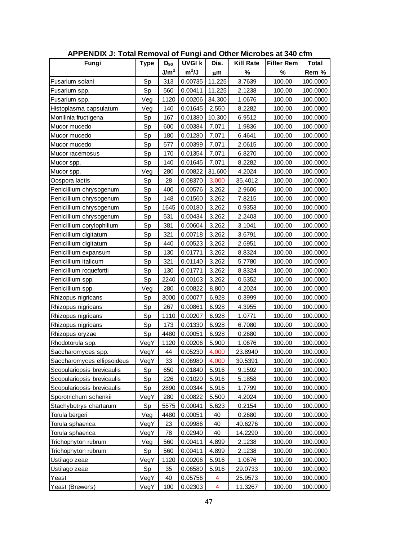| <b>APPENDIX J: Total Removal of Fungi and Other Microbes at 340 cfm</b> |             |                  |               |        |                  |                   |              |
|-------------------------------------------------------------------------|-------------|------------------|---------------|--------|------------------|-------------------|--------------|
| Fungi                                                                   | <b>Type</b> | $D_{90}$         | <b>UVGI k</b> | Dia.   | <b>Kill Rate</b> | <b>Filter Rem</b> | <b>Total</b> |
|                                                                         |             | J/m <sup>2</sup> | $m^2/J$       | μm     | %                | %                 | Rem %        |
| Fusarium solani                                                         | Sp          | 313              | 0.00735       | 11.225 | 3.7639           | 100.00            | 100.0000     |
| Fusarium spp.                                                           | Sp          | 560              | 0.00411       | 11.225 | 2.1238           | 100.00            | 100.0000     |
| Fusarium spp.                                                           | Veg         | 1120             | 0.00206       | 34.300 | 1.0676           | 100.00            | 100.0000     |
| Histoplasma capsulatum                                                  | Veg         | 140              | 0.01645       | 2.550  | 8.2282           | 100.00            | 100.0000     |
| Monilinia fructigena                                                    | Sp          | 167              | 0.01380       | 10.300 | 6.9512           | 100.00            | 100.0000     |
| Mucor mucedo                                                            | Sp          | 600              | 0.00384       | 7.071  | 1.9836           | 100.00            | 100.0000     |
| Mucor mucedo                                                            | Sp          | 180              | 0.01280       | 7.071  | 6.4641           | 100.00            | 100.0000     |
| Mucor mucedo                                                            | Sp          | 577              | 0.00399       | 7.071  | 2.0615           | 100.00            | 100.0000     |
| Mucor racemosus                                                         | Sp          | 170              | 0.01354       | 7.071  | 6.8270           | 100.00            | 100.0000     |
| Mucor spp.                                                              | Sp          | 140              | 0.01645       | 7.071  | 8.2282           | 100.00            | 100.0000     |
| Mucor spp.                                                              | Veg         | 280              | 0.00822       | 31.600 | 4.2024           | 100.00            | 100.0000     |
| Oospora lactis                                                          | Sp          | 28               | 0.08370       | 3.000  | 35.4012          | 100.00            | 100.0000     |
| Penicillium chrysogenum                                                 | Sp          | 400              | 0.00576       | 3.262  | 2.9606           | 100.00            | 100.0000     |
| Penicillium chrysogenum                                                 | Sp          | 148              | 0.01560       | 3.262  | 7.8215           | 100.00            | 100.0000     |
| Penicillium chrysogenum                                                 | Sp          | 1645             | 0.00180       | 3.262  | 0.9353           | 100.00            | 100.0000     |
| Penicillium chrysogenum                                                 | Sp          | 531              | 0.00434       | 3.262  | 2.2403           | 100.00            | 100.0000     |
| Penicillium corylophilium                                               | Sp          | 381              | 0.00604       | 3.262  | 3.1041           | 100.00            | 100.0000     |
| Penicillium digitatum                                                   | Sp          | 321              | 0.00718       | 3.262  | 3.6791           | 100.00            | 100.0000     |
| Penicillium digitatum                                                   | Sp          | 440              | 0.00523       | 3.262  | 2.6951           | 100.00            | 100.0000     |
| Penicillium expansum                                                    | Sp          | 130              | 0.01771       | 3.262  | 8.8324           | 100.00            | 100.0000     |
| Penicillium italicum                                                    | Sp          | 321              | 0.01140       | 3.262  | 5.7780           | 100.00            | 100.0000     |
| Penicillium roquefortii                                                 | Sp          | 130              | 0.01771       | 3.262  | 8.8324           | 100.00            | 100.0000     |
| Penicillium spp.                                                        | Sp          | 2240             | 0.00103       | 3.262  | 0.5352           | 100.00            | 100.0000     |
| Penicillium spp.                                                        | Veg         | 280              | 0.00822       | 8.800  | 4.2024           | 100.00            | 100.0000     |
| Rhizopus nigricans                                                      | Sp          | 3000             | 0.00077       | 6.928  | 0.3999           | 100.00            | 100.0000     |
| Rhizopus nigricans                                                      | Sp          | 267              | 0.00861       | 6.928  | 4.3955           | 100.00            | 100.0000     |
| Rhizopus nigricans                                                      | Sp          | 1110             | 0.00207       | 6.928  | 1.0771           | 100.00            | 100.0000     |
| Rhizopus nigricans                                                      | Sp          | 173              | 0.01330       | 6.928  | 6.7080           | 100.00            | 100.0000     |
| Rhizopus oryzae                                                         | Sp          | 4480             | 0.00051       | 6.928  | 0.2680           | 100.00            | 100.0000     |
| Rhodotorula spp.                                                        | VegY        | 1120             | 0.00206       | 5.900  | 1.0676           | 100.00            | 100.0000     |
| Saccharomyces spp.                                                      | VegY        | 44               | 0.05230       | 4.000  | 23.8940          | 100.00            | 100.0000     |
| Saccharomyces ellipsoideus                                              | VegY        | 33               | 0.06980       | 4.000  | 30.5391          | 100.00            | 100.0000     |
| Scopulariopsis brevicaulis                                              | Sp          | 650              | 0.01840       | 5.916  | 9.1592           | 100.00            | 100.0000     |
| Scopulariopsis brevicaulis                                              | Sp          | 226              | 0.01020       | 5.916  | 5.1858           | 100.00            | 100.0000     |
| Scopulariopsis brevicaulis                                              | Sp          | 2890             | 0.00344       | 5.916  | 1.7799           | 100.00            | 100.0000     |
| Sporotrichum schenkii                                                   | VegY        | 280              | 0.00822       | 5.500  | 4.2024           | 100.00            | 100.0000     |
| Stachybotrys chartarum                                                  | Sp          | 5575             | 0.00041       | 5.623  | 0.2154           | 100.00            | 100.0000     |
| Torula bergeri                                                          | Veg         | 4480             | 0.00051       | 40     | 0.2680           | 100.00            | 100.0000     |
| Torula sphaerica                                                        | VegY        | 23               | 0.09986       | 40     | 40.6276          | 100.00            | 100.0000     |
| Torula sphaerica                                                        | VegY        | 78               | 0.02940       | 40     | 14.2290          | 100.00            | 100.0000     |
| Trichophyton rubrum                                                     | Veg         | 560              | 0.00411       | 4.899  | 2.1238           | 100.00            | 100.0000     |
| Trichophyton rubrum                                                     | Sp          | 560              | 0.00411       | 4.899  | 2.1238           | 100.00            | 100.0000     |
| Ustilago zeae                                                           | VegY        | 1120             | 0.00206       | 5.916  | 1.0676           | 100.00            | 100.0000     |
| Ustilago zeae                                                           | Sp          | 35               | 0.06580       | 5.916  | 29.0733          | 100.00            | 100.0000     |
| Yeast                                                                   | VegY        | 40               | 0.05756       | 4      | 25.9573          | 100.00            | 100.0000     |
| Yeast (Brewer's)                                                        | VegY        | 100              | 0.02303       | 4      | 11.3267          | 100.00            | 100.0000     |